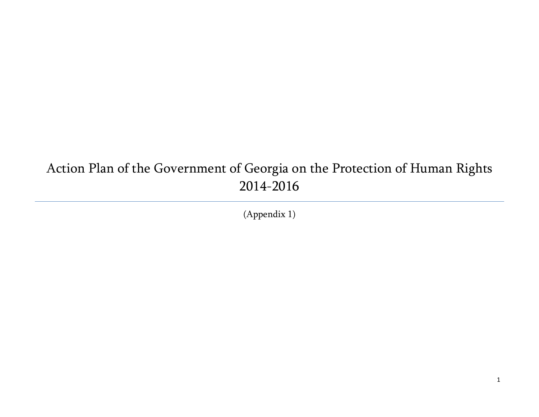## Action Plan of the Government of Georgia on the Protection of Human Rights 2014-2016

(Appendix 1)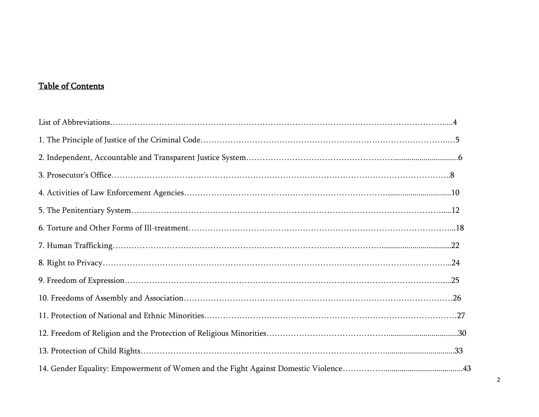## Table of Contents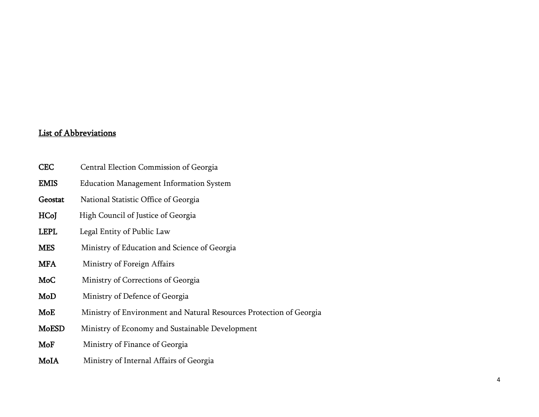## List of Abbreviations

| <b>CEC</b>   | Central Election Commission of Georgia                              |
|--------------|---------------------------------------------------------------------|
| <b>EMIS</b>  | <b>Education Management Information System</b>                      |
| Geostat      | National Statistic Office of Georgia                                |
| HCoJ         | High Council of Justice of Georgia                                  |
| <b>LEPL</b>  | Legal Entity of Public Law                                          |
| <b>MES</b>   | Ministry of Education and Science of Georgia                        |
| <b>MFA</b>   | Ministry of Foreign Affairs                                         |
| MoC          | Ministry of Corrections of Georgia                                  |
| MoD          | Ministry of Defence of Georgia                                      |
| MoE          | Ministry of Environment and Natural Resources Protection of Georgia |
| <b>MoESD</b> | Ministry of Economy and Sustainable Development                     |
| MoF          | Ministry of Finance of Georgia                                      |
| MoIA         | Ministry of Internal Affairs of Georgia                             |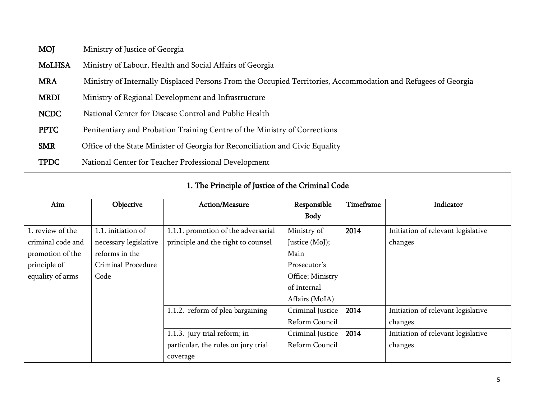- MOJ Ministry of Justice of Georgia
- MoLHSA Ministry of Labour, Health and Social Affairs of Georgia
- MRA Ministry of Internally Displaced Persons From the Occupied Territories, Accommodation and Refugees of Georgia
- MRDI Ministry of Regional Development and Infrastructure
- NCDC National Center for Disease Control and Public Health
- PPTC Penitentiary and Probation Training Centre of the Ministry of Corrections
- SMR Office of the State Minister of Georgia for Reconciliation and Civic Equality
- TPDC National Center for Teacher Professional Development

| 1. The Francipic of Jasuce of the Grimmal Gode |                       |                                     |                  |           |                                    |
|------------------------------------------------|-----------------------|-------------------------------------|------------------|-----------|------------------------------------|
| Aim                                            | Objective             | Action/Measure                      | Responsible      | Timeframe | Indicator                          |
|                                                |                       |                                     | Body             |           |                                    |
| 1. review of the                               | 1.1. initiation of    | 1.1.1. promotion of the adversarial | Ministry of      | 2014      | Initiation of relevant legislative |
| criminal code and                              | necessary legislative | principle and the right to counsel  | Justice (MoJ);   |           | changes                            |
| promotion of the                               | reforms in the        |                                     | Main             |           |                                    |
| principle of                                   | Criminal Procedure    |                                     | Prosecutor's     |           |                                    |
| equality of arms                               | Code                  |                                     | Office; Ministry |           |                                    |
|                                                |                       |                                     | of Internal      |           |                                    |
|                                                |                       |                                     | Affairs (MoIA)   |           |                                    |
|                                                |                       | 1.1.2. reform of plea bargaining    | Criminal Justice | 2014      | Initiation of relevant legislative |
|                                                |                       |                                     | Reform Council   |           | changes                            |
|                                                |                       | 1.1.3. jury trial reform; in        | Criminal Justice | 2014      | Initiation of relevant legislative |
|                                                |                       | particular, the rules on jury trial | Reform Council   |           | changes                            |
|                                                |                       | coverage                            |                  |           |                                    |

## 1. The Principle of Justice of the Criminal Code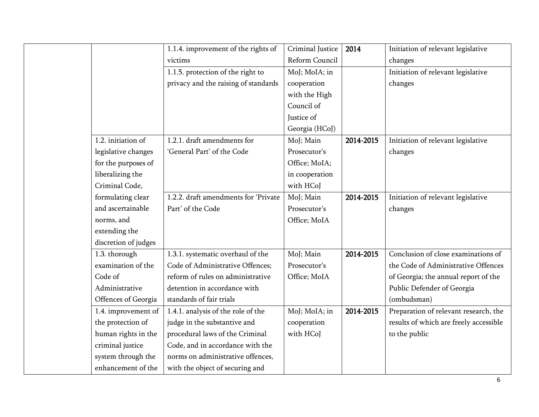|                      | 1.1.4. improvement of the rights of  | Criminal Justice | 2014      | Initiation of relevant legislative     |
|----------------------|--------------------------------------|------------------|-----------|----------------------------------------|
|                      | victims                              | Reform Council   |           | changes                                |
|                      | 1.1.5. protection of the right to    | MoJ; MoIA; in    |           | Initiation of relevant legislative     |
|                      | privacy and the raising of standards | cooperation      |           | changes                                |
|                      |                                      | with the High    |           |                                        |
|                      |                                      | Council of       |           |                                        |
|                      |                                      | Justice of       |           |                                        |
|                      |                                      | Georgia (HCoJ)   |           |                                        |
| 1.2. initiation of   | 1.2.1. draft amendments for          | MoJ; Main        | 2014-2015 | Initiation of relevant legislative     |
| legislative changes  | 'General Part' of the Code           | Prosecutor's     |           | changes                                |
| for the purposes of  |                                      | Office; MoIA;    |           |                                        |
| liberalizing the     |                                      | in cooperation   |           |                                        |
| Criminal Code,       |                                      | with HCoJ        |           |                                        |
| formulating clear    | 1.2.2. draft amendments for 'Private | MoJ; Main        | 2014-2015 | Initiation of relevant legislative     |
| and ascertainable    | Part' of the Code                    | Prosecutor's     |           | changes                                |
| norms, and           |                                      | Office; MoIA     |           |                                        |
| extending the        |                                      |                  |           |                                        |
| discretion of judges |                                      |                  |           |                                        |
| 1.3. thorough        | 1.3.1. systematic overhaul of the    | MoJ; Main        | 2014-2015 | Conclusion of close examinations of    |
| examination of the   | Code of Administrative Offences;     | Prosecutor's     |           | the Code of Administrative Offences    |
| Code of              | reform of rules on administrative    | Office; MoIA     |           | of Georgia; the annual report of the   |
| Administrative       | detention in accordance with         |                  |           | Public Defender of Georgia             |
| Offences of Georgia  | standards of fair trials             |                  |           | (ombudsman)                            |
| 1.4. improvement of  | 1.4.1. analysis of the role of the   | MoJ; MoIA; in    | 2014-2015 | Preparation of relevant research, the  |
| the protection of    | judge in the substantive and         | cooperation      |           | results of which are freely accessible |
| human rights in the  | procedural laws of the Criminal      | with HCoJ        |           | to the public                          |
| criminal justice     | Code, and in accordance with the     |                  |           |                                        |
| system through the   | norms on administrative offences,    |                  |           |                                        |
| enhancement of the   | with the object of securing and      |                  |           |                                        |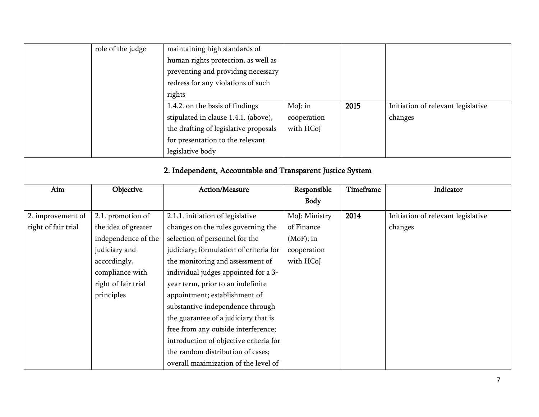|                                                            | role of the judge   | maintaining high standards of          |               |           |                                    |  |
|------------------------------------------------------------|---------------------|----------------------------------------|---------------|-----------|------------------------------------|--|
|                                                            |                     | human rights protection, as well as    |               |           |                                    |  |
|                                                            |                     | preventing and providing necessary     |               |           |                                    |  |
|                                                            |                     | redress for any violations of such     |               |           |                                    |  |
|                                                            |                     | rights                                 |               |           |                                    |  |
|                                                            |                     | 1.4.2. on the basis of findings        | Moj; in       | 2015      | Initiation of relevant legislative |  |
|                                                            |                     | stipulated in clause 1.4.1. (above),   | cooperation   |           | changes                            |  |
|                                                            |                     | the drafting of legislative proposals  | with HCoJ     |           |                                    |  |
|                                                            |                     | for presentation to the relevant       |               |           |                                    |  |
|                                                            |                     | legislative body                       |               |           |                                    |  |
| 2. Independent, Accountable and Transparent Justice System |                     |                                        |               |           |                                    |  |
|                                                            |                     |                                        |               |           |                                    |  |
| Aim                                                        | Objective           | Action/Measure                         | Responsible   | Timeframe | Indicator                          |  |
|                                                            |                     |                                        | <b>Body</b>   |           |                                    |  |
| 2. improvement of                                          | 2.1. promotion of   | 2.1.1. initiation of legislative       | MoJ; Ministry | 2014      | Initiation of relevant legislative |  |
| right of fair trial                                        | the idea of greater | changes on the rules governing the     | of Finance    |           | changes                            |  |
|                                                            | independence of the | selection of personnel for the         | $(Mof);$ in   |           |                                    |  |
|                                                            | judiciary and       | judiciary; formulation of criteria for | cooperation   |           |                                    |  |
|                                                            | accordingly,        | the monitoring and assessment of       | with HCoJ     |           |                                    |  |
|                                                            | compliance with     | individual judges appointed for a 3-   |               |           |                                    |  |
|                                                            | right of fair trial | year term, prior to an indefinite      |               |           |                                    |  |
|                                                            | principles          | appointment; establishment of          |               |           |                                    |  |
|                                                            |                     | substantive independence through       |               |           |                                    |  |
|                                                            |                     | the guarantee of a judiciary that is   |               |           |                                    |  |
|                                                            |                     | free from any outside interference;    |               |           |                                    |  |
|                                                            |                     | introduction of objective criteria for |               |           |                                    |  |
|                                                            |                     |                                        |               |           |                                    |  |
|                                                            |                     | the random distribution of cases;      |               |           |                                    |  |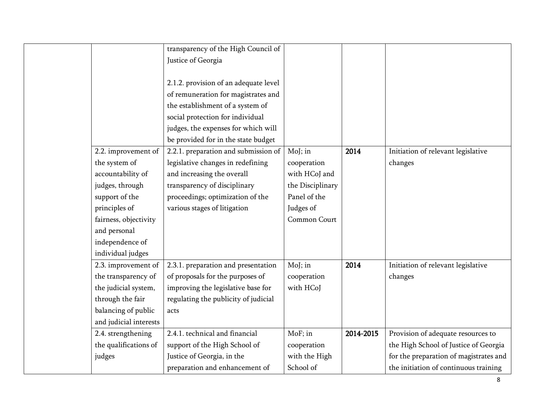|                        | transparency of the High Council of   |                  |           |                                        |
|------------------------|---------------------------------------|------------------|-----------|----------------------------------------|
|                        | Justice of Georgia                    |                  |           |                                        |
|                        |                                       |                  |           |                                        |
|                        | 2.1.2. provision of an adequate level |                  |           |                                        |
|                        | of remuneration for magistrates and   |                  |           |                                        |
|                        | the establishment of a system of      |                  |           |                                        |
|                        | social protection for individual      |                  |           |                                        |
|                        | judges, the expenses for which will   |                  |           |                                        |
|                        | be provided for in the state budget   |                  |           |                                        |
| 2.2. improvement of    | 2.2.1. preparation and submission of  | $Moj$ ; in       | 2014      | Initiation of relevant legislative     |
| the system of          | legislative changes in redefining     | cooperation      |           | changes                                |
| accountability of      | and increasing the overall            | with HCoJ and    |           |                                        |
| judges, through        | transparency of disciplinary          | the Disciplinary |           |                                        |
| support of the         | proceedings; optimization of the      | Panel of the     |           |                                        |
| principles of          | various stages of litigation          | Judges of        |           |                                        |
| fairness, objectivity  |                                       | Common Court     |           |                                        |
| and personal           |                                       |                  |           |                                        |
| independence of        |                                       |                  |           |                                        |
| individual judges      |                                       |                  |           |                                        |
| 2.3. improvement of    | 2.3.1. preparation and presentation   | $Moj$ ; in       | 2014      | Initiation of relevant legislative     |
| the transparency of    | of proposals for the purposes of      | cooperation      |           | changes                                |
| the judicial system,   | improving the legislative base for    | with HCoJ        |           |                                        |
| through the fair       | regulating the publicity of judicial  |                  |           |                                        |
| balancing of public    | acts                                  |                  |           |                                        |
| and judicial interests |                                       |                  |           |                                        |
| 2.4. strengthening     | 2.4.1. technical and financial        | MoF; in          | 2014-2015 | Provision of adequate resources to     |
| the qualifications of  | support of the High School of         | cooperation      |           | the High School of Justice of Georgia  |
| judges                 | Justice of Georgia, in the            | with the High    |           | for the preparation of magistrates and |
|                        | preparation and enhancement of        | School of        |           | the initiation of continuous training  |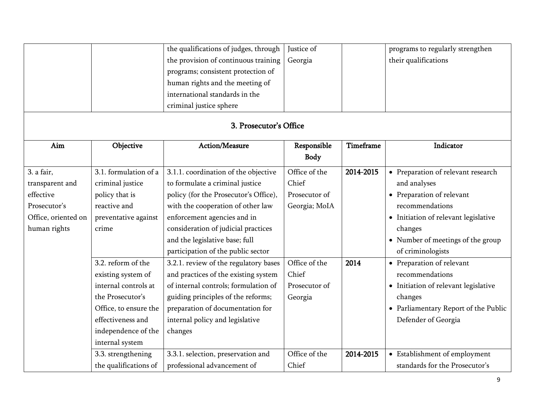|                        |                       | the qualifications of judges, through | Justice of    |           | programs to regularly strengthen     |  |  |
|------------------------|-----------------------|---------------------------------------|---------------|-----------|--------------------------------------|--|--|
|                        |                       | the provision of continuous training  | Georgia       |           | their qualifications                 |  |  |
|                        |                       | programs; consistent protection of    |               |           |                                      |  |  |
|                        |                       | human rights and the meeting of       |               |           |                                      |  |  |
|                        |                       | international standards in the        |               |           |                                      |  |  |
|                        |                       | criminal justice sphere               |               |           |                                      |  |  |
| 3. Prosecutor's Office |                       |                                       |               |           |                                      |  |  |
| Aim                    | Objective             | Action/Measure                        | Responsible   | Timeframe | Indicator                            |  |  |
|                        |                       |                                       | Body          |           |                                      |  |  |
| 3. a fair,             | 3.1. formulation of a | 3.1.1. coordination of the objective  | Office of the | 2014-2015 | • Preparation of relevant research   |  |  |
| transparent and        | criminal justice      | to formulate a criminal justice       | Chief         |           | and analyses                         |  |  |
| effective              | policy that is        | policy (for the Prosecutor's Office), | Prosecutor of |           | • Preparation of relevant            |  |  |
| Prosecutor's           | reactive and          | with the cooperation of other law     | Georgia; MoIA |           | recommendations                      |  |  |
| Office, oriented on    | preventative against  | enforcement agencies and in           |               |           | • Initiation of relevant legislative |  |  |
| human rights           | crime                 | consideration of judicial practices   |               |           | changes                              |  |  |
|                        |                       | and the legislative base; full        |               |           | • Number of meetings of the group    |  |  |
|                        |                       | participation of the public sector    |               |           | of criminologists                    |  |  |
|                        | 3.2. reform of the    | 3.2.1. review of the regulatory bases | Office of the | 2014      | • Preparation of relevant            |  |  |
|                        | existing system of    | and practices of the existing system  | Chief         |           | recommendations                      |  |  |
|                        | internal controls at  | of internal controls; formulation of  | Prosecutor of |           | • Initiation of relevant legislative |  |  |
|                        | the Prosecutor's      | guiding principles of the reforms;    | Georgia       |           | changes                              |  |  |
|                        | Office, to ensure the | preparation of documentation for      |               |           | • Parliamentary Report of the Public |  |  |
|                        | effectiveness and     | internal policy and legislative       |               |           | Defender of Georgia                  |  |  |
|                        | independence of the   | changes                               |               |           |                                      |  |  |
|                        | internal system       |                                       |               |           |                                      |  |  |
|                        | 3.3. strengthening    | 3.3.1. selection, preservation and    | Office of the | 2014-2015 | • Establishment of employment        |  |  |
|                        | the qualifications of | professional advancement of           | Chief         |           | standards for the Prosecutor's       |  |  |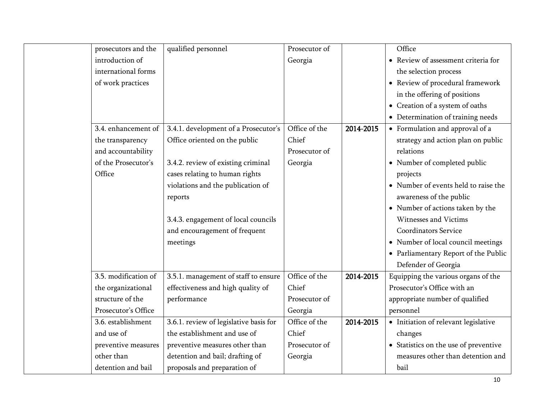| prosecutors and the  | qualified personnel                    | Prosecutor of |           | Office                                |
|----------------------|----------------------------------------|---------------|-----------|---------------------------------------|
| introduction of      |                                        | Georgia       |           | • Review of assessment criteria for   |
| international forms  |                                        |               |           | the selection process                 |
| of work practices    |                                        |               |           | • Review of procedural framework      |
|                      |                                        |               |           | in the offering of positions          |
|                      |                                        |               |           | • Creation of a system of oaths       |
|                      |                                        |               |           | • Determination of training needs     |
| 3.4. enhancement of  | 3.4.1. development of a Prosecutor's   | Office of the | 2014-2015 | • Formulation and approval of a       |
| the transparency     | Office oriented on the public          | Chief         |           | strategy and action plan on public    |
| and accountability   |                                        | Prosecutor of |           | relations                             |
| of the Prosecutor's  | 3.4.2. review of existing criminal     | Georgia       |           | • Number of completed public          |
| Office               | cases relating to human rights         |               |           | projects                              |
|                      | violations and the publication of      |               |           | • Number of events held to raise the  |
|                      | reports                                |               |           | awareness of the public               |
|                      |                                        |               |           | • Number of actions taken by the      |
|                      | 3.4.3. engagement of local councils    |               |           | Witnesses and Victims                 |
|                      | and encouragement of frequent          |               |           | <b>Coordinators Service</b>           |
|                      | meetings                               |               |           | • Number of local council meetings    |
|                      |                                        |               |           | • Parliamentary Report of the Public  |
|                      |                                        |               |           | Defender of Georgia                   |
| 3.5. modification of | 3.5.1. management of staff to ensure   | Office of the | 2014-2015 | Equipping the various organs of the   |
| the organizational   | effectiveness and high quality of      | Chief         |           | Prosecutor's Office with an           |
| structure of the     | performance                            | Prosecutor of |           | appropriate number of qualified       |
| Prosecutor's Office  |                                        | Georgia       |           | personnel                             |
| 3.6. establishment   | 3.6.1. review of legislative basis for | Office of the | 2014-2015 | · Initiation of relevant legislative  |
| and use of           | the establishment and use of           | Chief         |           | changes                               |
| preventive measures  | preventive measures other than         | Prosecutor of |           | • Statistics on the use of preventive |
| other than           | detention and bail; drafting of        | Georgia       |           | measures other than detention and     |
| detention and bail   | proposals and preparation of           |               |           | bail                                  |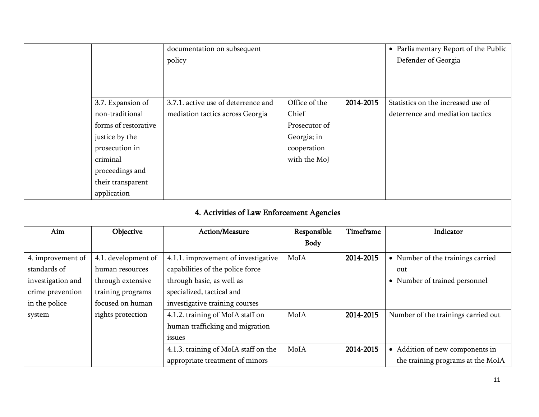|                   |                      | documentation on subsequent               |               |           | • Parliamentary Report of the Public |
|-------------------|----------------------|-------------------------------------------|---------------|-----------|--------------------------------------|
|                   |                      | policy                                    |               |           | Defender of Georgia                  |
|                   |                      |                                           |               |           |                                      |
|                   |                      |                                           |               |           |                                      |
|                   | 3.7. Expansion of    | 3.7.1. active use of deterrence and       | Office of the | 2014-2015 | Statistics on the increased use of   |
|                   | non-traditional      | mediation tactics across Georgia          | Chief         |           | deterrence and mediation tactics     |
|                   | forms of restorative |                                           | Prosecutor of |           |                                      |
|                   | justice by the       |                                           | Georgia; in   |           |                                      |
|                   | prosecution in       |                                           | cooperation   |           |                                      |
|                   | criminal             |                                           | with the MoJ  |           |                                      |
|                   | proceedings and      |                                           |               |           |                                      |
|                   | their transparent    |                                           |               |           |                                      |
|                   | application          |                                           |               |           |                                      |
|                   |                      |                                           |               |           |                                      |
|                   |                      | 4. Activities of Law Enforcement Agencies |               |           |                                      |
| Aim               | Objective            | Action/Measure                            | Responsible   | Timeframe | Indicator                            |
|                   |                      |                                           | Body          |           |                                      |
| 4. improvement of | 4.1. development of  | 4.1.1. improvement of investigative       | MoIA          | 2014-2015 | • Number of the trainings carried    |
| standards of      | human resources      | capabilities of the police force          |               |           | out                                  |
| investigation and | through extensive    | through basic, as well as                 |               |           | • Number of trained personnel        |
| crime prevention  | training programs    | specialized, tactical and                 |               |           |                                      |
| in the police     | focused on human     | investigative training courses            |               |           |                                      |
| system            | rights protection    | 4.1.2. training of MoIA staff on          | MoIA          | 2014-2015 | Number of the trainings carried out  |
|                   |                      | human trafficking and migration           |               |           |                                      |
|                   |                      | issues                                    |               |           |                                      |
|                   |                      | 4.1.3. training of MoIA staff on the      | MoIA          | 2014-2015 | • Addition of new components in      |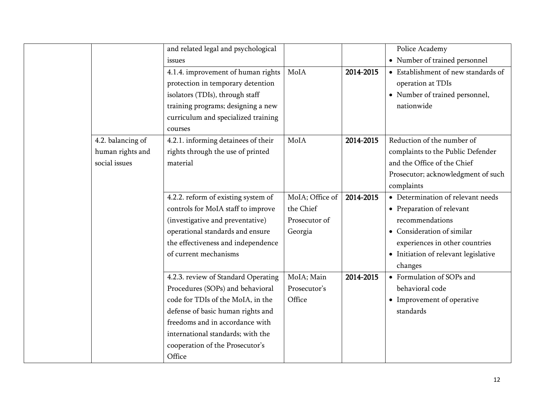|                   | and related legal and psychological |                 |           | Police Academy                       |
|-------------------|-------------------------------------|-----------------|-----------|--------------------------------------|
|                   |                                     |                 |           |                                      |
|                   | issues                              |                 |           | • Number of trained personnel        |
|                   | 4.1.4. improvement of human rights  | MoIA            | 2014-2015 | • Establishment of new standards of  |
|                   | protection in temporary detention   |                 |           | operation at TDIs                    |
|                   | isolators (TDIs), through staff     |                 |           | • Number of trained personnel,       |
|                   | training programs; designing a new  |                 |           | nationwide                           |
|                   | curriculum and specialized training |                 |           |                                      |
|                   | courses                             |                 |           |                                      |
| 4.2. balancing of | 4.2.1. informing detainees of their | MoIA            | 2014-2015 | Reduction of the number of           |
| human rights and  | rights through the use of printed   |                 |           | complaints to the Public Defender    |
| social issues     | material                            |                 |           | and the Office of the Chief          |
|                   |                                     |                 |           | Prosecutor; acknowledgment of such   |
|                   |                                     |                 |           | complaints                           |
|                   | 4.2.2. reform of existing system of | MoIA; Office of | 2014-2015 | • Determination of relevant needs    |
|                   | controls for MoIA staff to improve  | the Chief       |           | • Preparation of relevant            |
|                   | (investigative and preventative)    | Prosecutor of   |           | recommendations                      |
|                   | operational standards and ensure    | Georgia         |           | • Consideration of similar           |
|                   | the effectiveness and independence  |                 |           | experiences in other countries       |
|                   | of current mechanisms               |                 |           | • Initiation of relevant legislative |
|                   |                                     |                 |           | changes                              |
|                   | 4.2.3. review of Standard Operating | MoIA; Main      | 2014-2015 | • Formulation of SOPs and            |
|                   | Procedures (SOPs) and behavioral    | Prosecutor's    |           | behavioral code                      |
|                   | code for TDIs of the MoIA, in the   | Office          |           | • Improvement of operative           |
|                   | defense of basic human rights and   |                 |           | standards                            |
|                   | freedoms and in accordance with     |                 |           |                                      |
|                   | international standards; with the   |                 |           |                                      |
|                   | cooperation of the Prosecutor's     |                 |           |                                      |
|                   | Office                              |                 |           |                                      |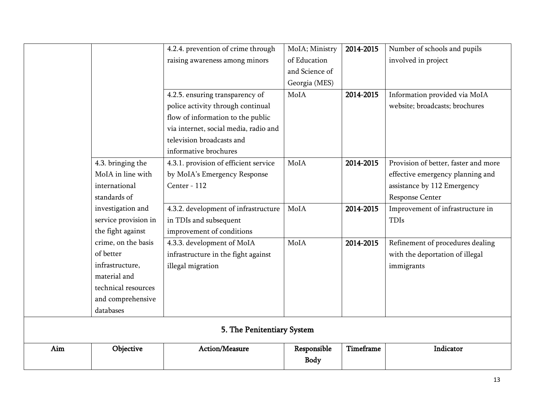|     |                      | 4.2.4. prevention of crime through    | MoIA; Ministry | 2014-2015 | Number of schools and pupils         |
|-----|----------------------|---------------------------------------|----------------|-----------|--------------------------------------|
|     |                      | raising awareness among minors        | of Education   |           | involved in project                  |
|     |                      |                                       | and Science of |           |                                      |
|     |                      |                                       | Georgia (MES)  |           |                                      |
|     |                      | 4.2.5. ensuring transparency of       | MoIA           | 2014-2015 | Information provided via MoIA        |
|     |                      | police activity through continual     |                |           | website; broadcasts; brochures       |
|     |                      | flow of information to the public     |                |           |                                      |
|     |                      | via internet, social media, radio and |                |           |                                      |
|     |                      | television broadcasts and             |                |           |                                      |
|     |                      | informative brochures                 |                |           |                                      |
|     | 4.3. bringing the    | 4.3.1. provision of efficient service | MoIA           | 2014-2015 | Provision of better, faster and more |
|     | MoIA in line with    | by MoIA's Emergency Response          |                |           | effective emergency planning and     |
|     | international        | Center - 112                          |                |           | assistance by 112 Emergency          |
|     | standards of         |                                       |                |           | Response Center                      |
|     | investigation and    | 4.3.2. development of infrastructure  | MoIA           | 2014-2015 | Improvement of infrastructure in     |
|     | service provision in | in TDIs and subsequent                |                |           | <b>TDIs</b>                          |
|     | the fight against    | improvement of conditions             |                |           |                                      |
|     | crime, on the basis  | 4.3.3. development of MoIA            | MoIA           | 2014-2015 | Refinement of procedures dealing     |
|     | of better            | infrastructure in the fight against   |                |           | with the deportation of illegal      |
|     | infrastructure,      | illegal migration                     |                |           | immigrants                           |
|     | material and         |                                       |                |           |                                      |
|     | technical resources  |                                       |                |           |                                      |
|     | and comprehensive    |                                       |                |           |                                      |
|     | databases            |                                       |                |           |                                      |
|     |                      | 5. The Penitentiary System            |                |           |                                      |
| Aim | Objective            | Action/Measure                        | Responsible    | Timeframe | Indicator                            |
|     |                      |                                       | <b>Body</b>    |           |                                      |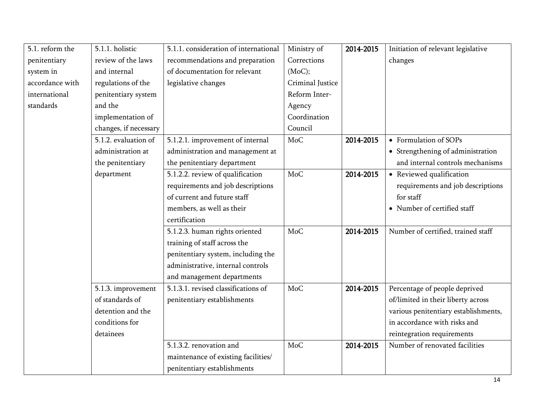| 5.1. reform the | 5.1.1. holistic       | 5.1.1. consideration of international | Ministry of      | 2014-2015 | Initiation of relevant legislative   |
|-----------------|-----------------------|---------------------------------------|------------------|-----------|--------------------------------------|
| penitentiary    | review of the laws    | recommendations and preparation       | Corrections      |           | changes                              |
| system in       | and internal          | of documentation for relevant         | (MoC);           |           |                                      |
| accordance with | regulations of the    | legislative changes                   | Criminal Justice |           |                                      |
| international   | penitentiary system   |                                       | Reform Inter-    |           |                                      |
| standards       | and the               |                                       | Agency           |           |                                      |
|                 | implementation of     |                                       | Coordination     |           |                                      |
|                 | changes, if necessary |                                       | Council          |           |                                      |
|                 | 5.1.2. evaluation of  | 5.1.2.1. improvement of internal      | MoC              | 2014-2015 | • Formulation of SOPs                |
|                 | administration at     | administration and management at      |                  |           | • Strengthening of administration    |
|                 | the penitentiary      | the penitentiary department           |                  |           | and internal controls mechanisms     |
|                 | department            | 5.1.2.2. review of qualification      | MoC              | 2014-2015 | • Reviewed qualification             |
|                 |                       | requirements and job descriptions     |                  |           | requirements and job descriptions    |
|                 |                       | of current and future staff           |                  |           | for staff                            |
|                 |                       | members, as well as their             |                  |           | • Number of certified staff          |
|                 |                       | certification                         |                  |           |                                      |
|                 |                       | 5.1.2.3. human rights oriented        | <b>MoC</b>       | 2014-2015 | Number of certified, trained staff   |
|                 |                       | training of staff across the          |                  |           |                                      |
|                 |                       | penitentiary system, including the    |                  |           |                                      |
|                 |                       | administrative, internal controls     |                  |           |                                      |
|                 |                       | and management departments            |                  |           |                                      |
|                 | 5.1.3. improvement    | 5.1.3.1. revised classifications of   | MoC              | 2014-2015 | Percentage of people deprived        |
|                 | of standards of       | penitentiary establishments           |                  |           | of/limited in their liberty across   |
|                 | detention and the     |                                       |                  |           | various penitentiary establishments, |
|                 | conditions for        |                                       |                  |           | in accordance with risks and         |
|                 | detainees             |                                       |                  |           | reintegration requirements           |
|                 |                       | 5.1.3.2. renovation and               | MoC              | 2014-2015 | Number of renovated facilities       |
|                 |                       | maintenance of existing facilities/   |                  |           |                                      |
|                 |                       | penitentiary establishments           |                  |           |                                      |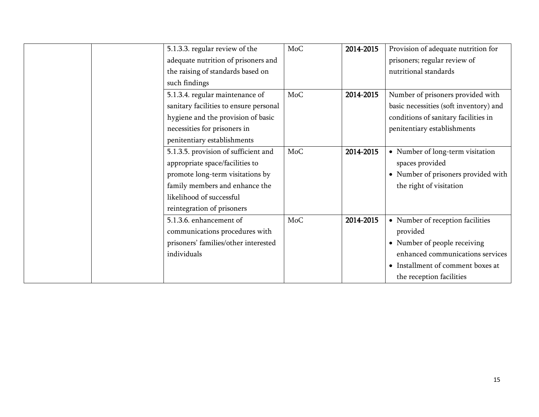|  | 5.1.3.3. regular review of the         | MoC | 2014-2015 | Provision of adequate nutrition for    |
|--|----------------------------------------|-----|-----------|----------------------------------------|
|  | adequate nutrition of prisoners and    |     |           | prisoners; regular review of           |
|  | the raising of standards based on      |     |           | nutritional standards                  |
|  | such findings                          |     |           |                                        |
|  | 5.1.3.4. regular maintenance of        | MoC | 2014-2015 | Number of prisoners provided with      |
|  | sanitary facilities to ensure personal |     |           | basic necessities (soft inventory) and |
|  | hygiene and the provision of basic     |     |           | conditions of sanitary facilities in   |
|  | necessities for prisoners in           |     |           | penitentiary establishments            |
|  | penitentiary establishments            |     |           |                                        |
|  | 5.1.3.5. provision of sufficient and   | MoC | 2014-2015 | • Number of long-term visitation       |
|  | appropriate space/facilities to        |     |           | spaces provided                        |
|  | promote long-term visitations by       |     |           | • Number of prisoners provided with    |
|  | family members and enhance the         |     |           | the right of visitation                |
|  | likelihood of successful               |     |           |                                        |
|  | reintegration of prisoners             |     |           |                                        |
|  | 5.1.3.6. enhancement of                | MoC | 2014-2015 | • Number of reception facilities       |
|  | communications procedures with         |     |           | provided                               |
|  | prisoners' families/other interested   |     |           | • Number of people receiving           |
|  | individuals                            |     |           | enhanced communications services       |
|  |                                        |     |           | • Installment of comment boxes at      |
|  |                                        |     |           | the reception facilities               |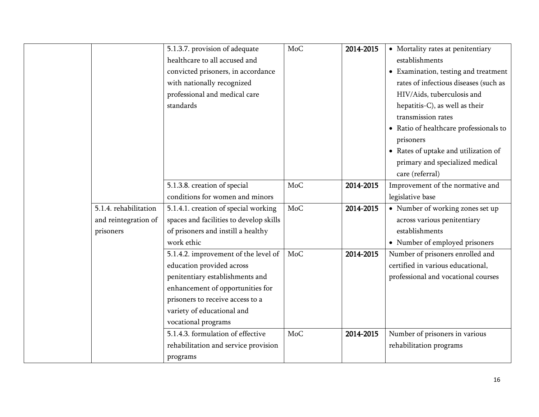|                       | 5.1.3.7. provision of adequate          | MoC | 2014-2015 | • Mortality rates at penitentiary         |
|-----------------------|-----------------------------------------|-----|-----------|-------------------------------------------|
|                       | healthcare to all accused and           |     |           | establishments                            |
|                       | convicted prisoners, in accordance      |     |           | • Examination, testing and treatment      |
|                       | with nationally recognized              |     |           | rates of infectious diseases (such as     |
|                       | professional and medical care           |     |           | HIV/Aids, tuberculosis and                |
|                       | standards                               |     |           | hepatitis-C), as well as their            |
|                       |                                         |     |           | transmission rates                        |
|                       |                                         |     |           | • Ratio of healthcare professionals to    |
|                       |                                         |     |           | prisoners                                 |
|                       |                                         |     |           | • Rates of uptake and utilization of      |
|                       |                                         |     |           | primary and specialized medical           |
|                       |                                         |     |           | care (referral)                           |
|                       | 5.1.3.8. creation of special            | MoC | 2014-2015 | Improvement of the normative and          |
|                       | conditions for women and minors         |     |           | legislative base                          |
| 5.1.4. rehabilitation | 5.1.4.1. creation of special working    | MoC | 2014-2015 | $\bullet~$ Number of working zones set up |
| and reintegration of  | spaces and facilities to develop skills |     |           | across various penitentiary               |
| prisoners             | of prisoners and instill a healthy      |     |           | establishments                            |
|                       | work ethic                              |     |           | • Number of employed prisoners            |
|                       | 5.1.4.2. improvement of the level of    | MoC | 2014-2015 | Number of prisoners enrolled and          |
|                       | education provided across               |     |           | certified in various educational,         |
|                       | penitentiary establishments and         |     |           | professional and vocational courses       |
|                       | enhancement of opportunities for        |     |           |                                           |
|                       | prisoners to receive access to a        |     |           |                                           |
|                       | variety of educational and              |     |           |                                           |
|                       | vocational programs                     |     |           |                                           |
|                       | 5.1.4.3. formulation of effective       | MoC | 2014-2015 | Number of prisoners in various            |
|                       | rehabilitation and service provision    |     |           | rehabilitation programs                   |
|                       | programs                                |     |           |                                           |
|                       |                                         |     |           |                                           |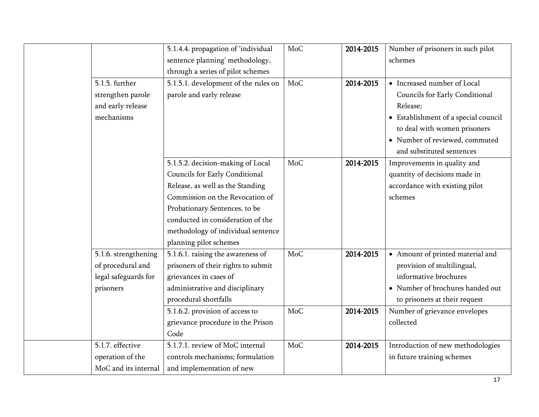|                      | 5.1.4.4. propagation of 'individual  | <b>MoC</b> | 2014-2015 | Number of prisoners in such pilot    |
|----------------------|--------------------------------------|------------|-----------|--------------------------------------|
|                      | sentence planning' methodology,      |            |           | schemes                              |
|                      | through a series of pilot schemes    |            |           |                                      |
| 5.1.5. further       | 5.1.5.1. development of the rules on | MoC        | 2014-2015 | • Increased number of Local          |
| strengthen parole    | parole and early release             |            |           | Councils for Early Conditional       |
| and early release    |                                      |            |           | Release;                             |
| mechanisms           |                                      |            |           | • Establishment of a special council |
|                      |                                      |            |           | to deal with women prisoners         |
|                      |                                      |            |           | • Number of reviewed, commuted       |
|                      |                                      |            |           | and substituted sentences            |
|                      | 5.1.5.2. decision-making of Local    | MoC        | 2014-2015 | Improvements in quality and          |
|                      | Councils for Early Conditional       |            |           | quantity of decisions made in        |
|                      | Release, as well as the Standing     |            |           | accordance with existing pilot       |
|                      | Commission on the Revocation of      |            |           | schemes                              |
|                      | Probationary Sentences, to be        |            |           |                                      |
|                      | conducted in consideration of the    |            |           |                                      |
|                      | methodology of individual sentence   |            |           |                                      |
|                      | planning pilot schemes               |            |           |                                      |
| 5.1.6. strengthening | 5.1.6.1. raising the awareness of    | MoC        | 2014-2015 | • Amount of printed material and     |
| of procedural and    | prisoners of their rights to submit  |            |           | provision of multilingual,           |
| legal safeguards for | grievances in cases of               |            |           | informative brochures                |
| prisoners            | administrative and disciplinary      |            |           | • Number of brochures handed out     |
|                      | procedural shortfalls                |            |           | to prisoners at their request        |
|                      | 5.1.6.2. provision of access to      | <b>MoC</b> | 2014-2015 | Number of grievance envelopes        |
|                      | grievance procedure in the Prison    |            |           | collected                            |
|                      | Code                                 |            |           |                                      |
| 5.1.7. effective     | 5.1.7.1. review of MoC internal      | <b>MoC</b> | 2014-2015 | Introduction of new methodologies    |
| operation of the     | controls mechanisms; formulation     |            |           | in future training schemes           |
| MoC and its internal | and implementation of new            |            |           |                                      |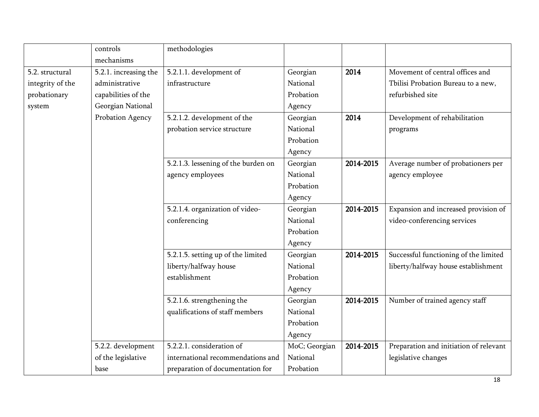|                  | controls              | methodologies                       |               |           |                                        |
|------------------|-----------------------|-------------------------------------|---------------|-----------|----------------------------------------|
|                  | mechanisms            |                                     |               |           |                                        |
| 5.2. structural  | 5.2.1. increasing the | 5.2.1.1. development of             | Georgian      | 2014      | Movement of central offices and        |
| integrity of the | administrative        | infrastructure                      | National      |           | Tbilisi Probation Bureau to a new,     |
| probationary     | capabilities of the   |                                     | Probation     |           | refurbished site                       |
| system           | Georgian National     |                                     | Agency        |           |                                        |
|                  | Probation Agency      | 5.2.1.2. development of the         | Georgian      | 2014      | Development of rehabilitation          |
|                  |                       | probation service structure         | National      |           | programs                               |
|                  |                       |                                     | Probation     |           |                                        |
|                  |                       |                                     | Agency        |           |                                        |
|                  |                       | 5.2.1.3. lessening of the burden on | Georgian      | 2014-2015 | Average number of probationers per     |
|                  |                       | agency employees                    | National      |           | agency employee                        |
|                  |                       |                                     | Probation     |           |                                        |
|                  |                       |                                     | Agency        |           |                                        |
|                  |                       | 5.2.1.4. organization of video-     | Georgian      | 2014-2015 | Expansion and increased provision of   |
|                  |                       | conferencing                        | National      |           | video-conferencing services            |
|                  |                       |                                     | Probation     |           |                                        |
|                  |                       |                                     | Agency        |           |                                        |
|                  |                       | 5.2.1.5. setting up of the limited  | Georgian      | 2014-2015 | Successful functioning of the limited  |
|                  |                       | liberty/halfway house               | National      |           | liberty/halfway house establishment    |
|                  |                       | establishment                       | Probation     |           |                                        |
|                  |                       |                                     | Agency        |           |                                        |
|                  |                       | 5.2.1.6. strengthening the          | Georgian      | 2014-2015 | Number of trained agency staff         |
|                  |                       | qualifications of staff members     | National      |           |                                        |
|                  |                       |                                     | Probation     |           |                                        |
|                  |                       |                                     | Agency        |           |                                        |
|                  | 5.2.2. development    | 5.2.2.1. consideration of           | MoC; Georgian | 2014-2015 | Preparation and initiation of relevant |
|                  | of the legislative    | international recommendations and   | National      |           | legislative changes                    |
|                  | base                  | preparation of documentation for    | Probation     |           |                                        |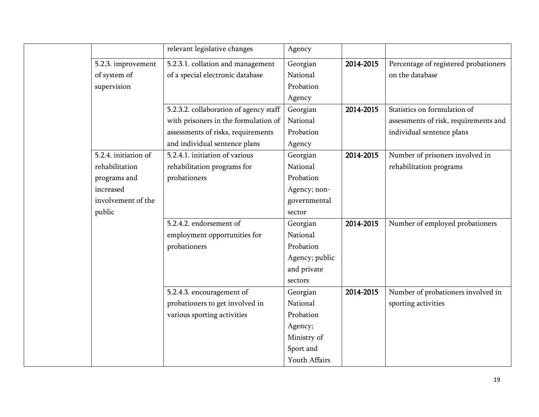|                      | relevant legislative changes           | Agency         |           |                                       |
|----------------------|----------------------------------------|----------------|-----------|---------------------------------------|
| 5.2.3. improvement   | 5.2.3.1. collation and management      | Georgian       | 2014-2015 | Percentage of registered probationers |
| of system of         | of a special electronic database       | National       |           | on the database                       |
| supervision          |                                        | Probation      |           |                                       |
|                      |                                        | Agency         |           |                                       |
|                      | 5.2.3.2. collaboration of agency staff | Georgian       | 2014-2015 | Statistics on formulation of          |
|                      | with prisoners in the formulation of   | National       |           | assessments of risk, requirements and |
|                      | assessments of risks, requirements     | Probation      |           | individual sentence plans             |
|                      | and individual sentence plans          | Agency         |           |                                       |
| 5.2.4. initiation of | 5.2.4.1. initiation of various         | Georgian       | 2014-2015 | Number of prisoners involved in       |
| rehabilitation       | rehabilitation programs for            | National       |           | rehabilitation programs               |
| programs and         | probationers                           | Probation      |           |                                       |
| increased            |                                        | Agency; non-   |           |                                       |
| involvement of the   |                                        | governmental   |           |                                       |
| public               |                                        | sector         |           |                                       |
|                      | 5.2.4.2. endorsement of                | Georgian       | 2014-2015 | Number of employed probationers       |
|                      | employment opportunities for           | National       |           |                                       |
|                      | probationers                           | Probation      |           |                                       |
|                      |                                        | Agency; public |           |                                       |
|                      |                                        | and private    |           |                                       |
|                      |                                        | sectors        |           |                                       |
|                      | 5.2.4.3. encouragement of              | Georgian       | 2014-2015 | Number of probationers involved in    |
|                      | probationers to get involved in        | National       |           | sporting activities                   |
|                      | various sporting activities            | Probation      |           |                                       |
|                      |                                        | Agency;        |           |                                       |
|                      |                                        | Ministry of    |           |                                       |
|                      |                                        | Sport and      |           |                                       |
|                      |                                        | Youth Affairs  |           |                                       |
|                      |                                        |                |           |                                       |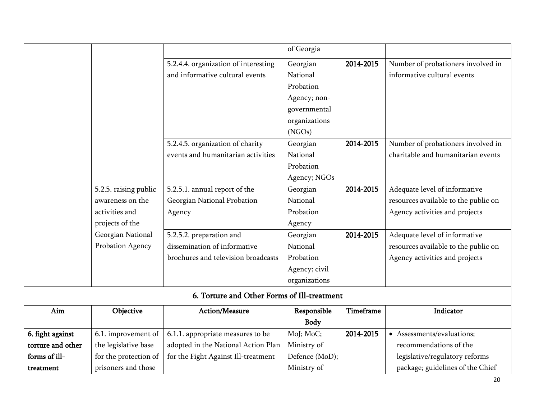|                   |                       |                                             | of Georgia     |           |                                      |
|-------------------|-----------------------|---------------------------------------------|----------------|-----------|--------------------------------------|
|                   |                       | 5.2.4.4. organization of interesting        | Georgian       | 2014-2015 | Number of probationers involved in   |
|                   |                       | and informative cultural events             | National       |           | informative cultural events          |
|                   |                       |                                             | Probation      |           |                                      |
|                   |                       |                                             | Agency; non-   |           |                                      |
|                   |                       |                                             | governmental   |           |                                      |
|                   |                       |                                             | organizations  |           |                                      |
|                   |                       |                                             | (NGOs)         |           |                                      |
|                   |                       | 5.2.4.5. organization of charity            | Georgian       | 2014-2015 | Number of probationers involved in   |
|                   |                       | events and humanitarian activities          | National       |           | charitable and humanitarian events   |
|                   |                       |                                             | Probation      |           |                                      |
|                   |                       |                                             | Agency; NGOs   |           |                                      |
|                   | 5.2.5. raising public | 5.2.5.1. annual report of the               | Georgian       | 2014-2015 | Adequate level of informative        |
|                   | awareness on the      | Georgian National Probation                 | National       |           | resources available to the public on |
|                   | activities and        | Agency                                      | Probation      |           | Agency activities and projects       |
|                   | projects of the       |                                             | Agency         |           |                                      |
|                   | Georgian National     | 5.2.5.2. preparation and                    | Georgian       | 2014-2015 | Adequate level of informative        |
|                   | Probation Agency      | dissemination of informative                | National       |           | resources available to the public on |
|                   |                       | brochures and television broadcasts         | Probation      |           | Agency activities and projects       |
|                   |                       |                                             | Agency; civil  |           |                                      |
|                   |                       |                                             | organizations  |           |                                      |
|                   |                       | 6. Torture and Other Forms of Ill-treatment |                |           |                                      |
| $\rm{Aim}$        | Objective             | Action/Measure                              | Responsible    | Timeframe | Indicator                            |
|                   |                       |                                             | <b>Body</b>    |           |                                      |
| 6. fight against  | 6.1. improvement of   | 6.1.1. appropriate measures to be           | MoJ; MoC;      | 2014-2015 | • Assessments/evaluations;           |
| torture and other | the legislative base  | adopted in the National Action Plan         | Ministry of    |           | recommendations of the               |
| forms of ill-     | for the protection of | for the Fight Against Ill-treatment         | Defence (MoD); |           | legislative/regulatory reforms       |
| treatment         | prisoners and those   |                                             | Ministry of    |           | package; guidelines of the Chief     |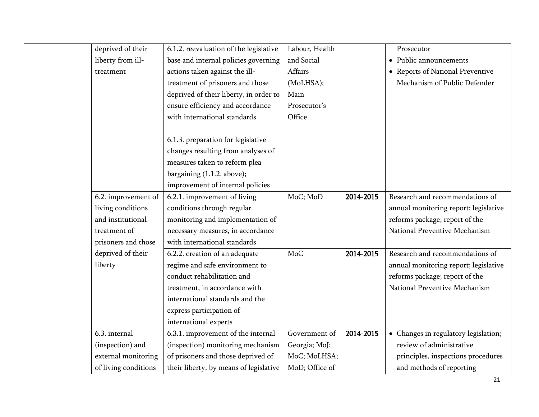| deprived of their    | 6.1.2. reevaluation of the legislative | Labour, Health |           | Prosecutor                            |
|----------------------|----------------------------------------|----------------|-----------|---------------------------------------|
| liberty from ill-    | base and internal policies governing   | and Social     |           | • Public announcements                |
| treatment            | actions taken against the ill-         | Affairs        |           | • Reports of National Preventive      |
|                      | treatment of prisoners and those       | (MoLHSA);      |           | Mechanism of Public Defender          |
|                      | deprived of their liberty, in order to | Main           |           |                                       |
|                      | ensure efficiency and accordance       | Prosecutor's   |           |                                       |
|                      | with international standards           | Office         |           |                                       |
|                      |                                        |                |           |                                       |
|                      | 6.1.3. preparation for legislative     |                |           |                                       |
|                      | changes resulting from analyses of     |                |           |                                       |
|                      | measures taken to reform plea          |                |           |                                       |
|                      | bargaining (1.1.2. above);             |                |           |                                       |
|                      | improvement of internal policies       |                |           |                                       |
| 6.2. improvement of  | 6.2.1. improvement of living           | MoC; MoD       | 2014-2015 | Research and recommendations of       |
| living conditions    | conditions through regular             |                |           | annual monitoring report; legislative |
| and institutional    | monitoring and implementation of       |                |           | reforms package; report of the        |
| treatment of         | necessary measures, in accordance      |                |           | National Preventive Mechanism         |
| prisoners and those  | with international standards           |                |           |                                       |
| deprived of their    | 6.2.2. creation of an adequate         | MoC            | 2014-2015 | Research and recommendations of       |
| liberty              | regime and safe environment to         |                |           | annual monitoring report; legislative |
|                      | conduct rehabilitation and             |                |           | reforms package; report of the        |
|                      | treatment, in accordance with          |                |           | National Preventive Mechanism         |
|                      | international standards and the        |                |           |                                       |
|                      | express participation of               |                |           |                                       |
|                      | international experts                  |                |           |                                       |
| 6.3. internal        | 6.3.1. improvement of the internal     | Government of  | 2014-2015 | • Changes in regulatory legislation;  |
| (inspection) and     | (inspection) monitoring mechanism      | Georgia; MoJ;  |           | review of administrative              |
| external monitoring  | of prisoners and those deprived of     | MoC; MoLHSA;   |           | principles, inspections procedures    |
| of living conditions | their liberty, by means of legislative | MoD; Office of |           | and methods of reporting              |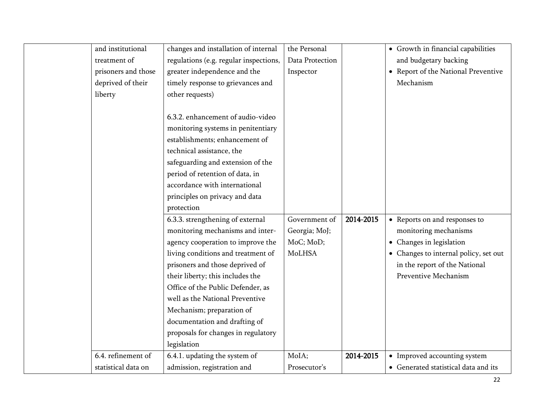| and institutional   | changes and installation of internal   | the Personal    |           | • Growth in financial capabilities    |
|---------------------|----------------------------------------|-----------------|-----------|---------------------------------------|
| treatment of        | regulations (e.g. regular inspections, | Data Protection |           | and budgetary backing                 |
| prisoners and those | greater independence and the           | Inspector       |           | • Report of the National Preventive   |
| deprived of their   | timely response to grievances and      |                 |           | Mechanism                             |
| liberty             | other requests)                        |                 |           |                                       |
|                     |                                        |                 |           |                                       |
|                     | 6.3.2. enhancement of audio-video      |                 |           |                                       |
|                     | monitoring systems in penitentiary     |                 |           |                                       |
|                     | establishments; enhancement of         |                 |           |                                       |
|                     | technical assistance, the              |                 |           |                                       |
|                     | safeguarding and extension of the      |                 |           |                                       |
|                     | period of retention of data, in        |                 |           |                                       |
|                     | accordance with international          |                 |           |                                       |
|                     | principles on privacy and data         |                 |           |                                       |
|                     | protection                             |                 |           |                                       |
|                     | 6.3.3. strengthening of external       | Government of   | 2014-2015 | • Reports on and responses to         |
|                     | monitoring mechanisms and inter-       | Georgia; MoJ;   |           | monitoring mechanisms                 |
|                     | agency cooperation to improve the      | MoC; MoD;       |           | • Changes in legislation              |
|                     | living conditions and treatment of     | MoLHSA          |           | • Changes to internal policy, set out |
|                     | prisoners and those deprived of        |                 |           | in the report of the National         |
|                     | their liberty; this includes the       |                 |           | Preventive Mechanism                  |
|                     | Office of the Public Defender, as      |                 |           |                                       |
|                     | well as the National Preventive        |                 |           |                                       |
|                     | Mechanism; preparation of              |                 |           |                                       |
|                     | documentation and drafting of          |                 |           |                                       |
|                     | proposals for changes in regulatory    |                 |           |                                       |
|                     | legislation                            |                 |           |                                       |
| 6.4. refinement of  | 6.4.1. updating the system of          | MoIA;           | 2014-2015 | • Improved accounting system          |
| statistical data on | admission, registration and            | Prosecutor's    |           | • Generated statistical data and its  |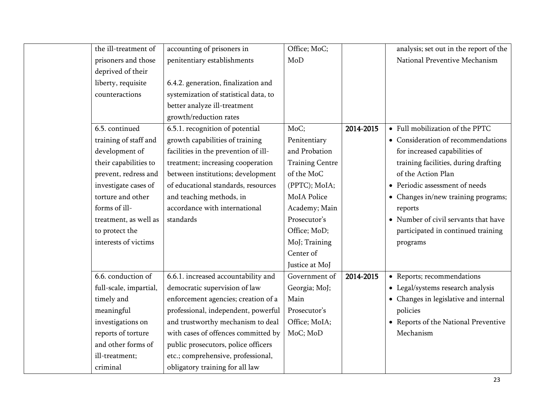| the ill-treatment of   | accounting of prisoners in            | Office; MoC;           |           | analysis; set out in the report of the |
|------------------------|---------------------------------------|------------------------|-----------|----------------------------------------|
| prisoners and those    | penitentiary establishments           | MoD                    |           | National Preventive Mechanism          |
| deprived of their      |                                       |                        |           |                                        |
| liberty, requisite     | 6.4.2. generation, finalization and   |                        |           |                                        |
| counteractions         | systemization of statistical data, to |                        |           |                                        |
|                        | better analyze ill-treatment          |                        |           |                                        |
|                        | growth/reduction rates                |                        |           |                                        |
| 6.5. continued         | 6.5.1. recognition of potential       | MoC;                   | 2014-2015 | • Full mobilization of the PPTC        |
| training of staff and  | growth capabilities of training       | Penitentiary           |           | • Consideration of recommendations     |
| development of         | facilities in the prevention of ill-  | and Probation          |           | for increased capabilities of          |
| their capabilities to  | treatment; increasing cooperation     | <b>Training Centre</b> |           | training facilities, during drafting   |
| prevent, redress and   | between institutions; development     | of the MoC             |           | of the Action Plan                     |
| investigate cases of   | of educational standards, resources   | (PPTC); MoIA;          |           | • Periodic assessment of needs         |
| torture and other      | and teaching methods, in              | MoIA Police            |           | • Changes in/new training programs;    |
| forms of ill-          | accordance with international         | Academy; Main          |           | reports                                |
| treatment, as well as  | standards                             | Prosecutor's           |           | • Number of civil servants that have   |
| to protect the         |                                       | Office; MoD;           |           | participated in continued training     |
| interests of victims   |                                       | MoJ; Training          |           | programs                               |
|                        |                                       | Center of              |           |                                        |
|                        |                                       | Justice at MoJ         |           |                                        |
| 6.6. conduction of     | 6.6.1. increased accountability and   | Government of          | 2014-2015 | • Reports; recommendations             |
| full-scale, impartial, | democratic supervision of law         | Georgia; MoJ;          |           | • Legal/systems research analysis      |
| timely and             | enforcement agencies; creation of a   | Main                   |           | • Changes in legislative and internal  |
| meaningful             | professional, independent, powerful   | Prosecutor's           |           | policies                               |
| investigations on      | and trustworthy mechanism to deal     | Office; MoIA;          |           | • Reports of the National Preventive   |
| reports of torture     | with cases of offences committed by   | MoC; MoD               |           | Mechanism                              |
| and other forms of     | public prosecutors, police officers   |                        |           |                                        |
| ill-treatment;         | etc.; comprehensive, professional,    |                        |           |                                        |
| criminal               | obligatory training for all law       |                        |           |                                        |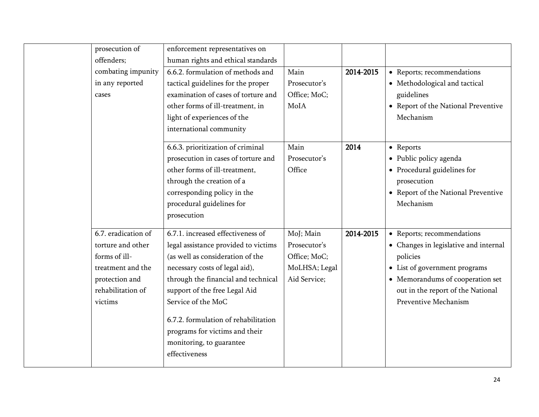| prosecution of      | enforcement representatives on       |               |           |                                       |
|---------------------|--------------------------------------|---------------|-----------|---------------------------------------|
| offenders;          | human rights and ethical standards   |               |           |                                       |
| combating impunity  | 6.6.2. formulation of methods and    | Main          | 2014-2015 | • Reports; recommendations            |
| in any reported     | tactical guidelines for the proper   | Prosecutor's  |           | • Methodological and tactical         |
| cases               | examination of cases of torture and  | Office; MoC;  |           | guidelines                            |
|                     | other forms of ill-treatment, in     | MoIA          |           | • Report of the National Preventive   |
|                     | light of experiences of the          |               |           | Mechanism                             |
|                     | international community              |               |           |                                       |
|                     | 6.6.3. prioritization of criminal    | Main          | 2014      | • Reports                             |
|                     | prosecution in cases of torture and  | Prosecutor's  |           | • Public policy agenda                |
|                     | other forms of ill-treatment,        | Office        |           | • Procedural guidelines for           |
|                     | through the creation of a            |               |           | prosecution                           |
|                     | corresponding policy in the          |               |           | • Report of the National Preventive   |
|                     | procedural guidelines for            |               |           | Mechanism                             |
|                     | prosecution                          |               |           |                                       |
| 6.7. eradication of | 6.7.1. increased effectiveness of    | MoJ; Main     | 2014-2015 | • Reports; recommendations            |
| torture and other   | legal assistance provided to victims | Prosecutor's  |           | • Changes in legislative and internal |
| forms of ill-       | (as well as consideration of the     | Office; MoC;  |           | policies                              |
| treatment and the   | necessary costs of legal aid),       | MoLHSA; Legal |           | • List of government programs         |
| protection and      | through the financial and technical  | Aid Service;  |           | • Memorandums of cooperation set      |
| rehabilitation of   | support of the free Legal Aid        |               |           | out in the report of the National     |
| victims             | Service of the MoC                   |               |           | Preventive Mechanism                  |
|                     | 6.7.2. formulation of rehabilitation |               |           |                                       |
|                     | programs for victims and their       |               |           |                                       |
|                     | monitoring, to guarantee             |               |           |                                       |
|                     | effectiveness                        |               |           |                                       |
|                     |                                      |               |           |                                       |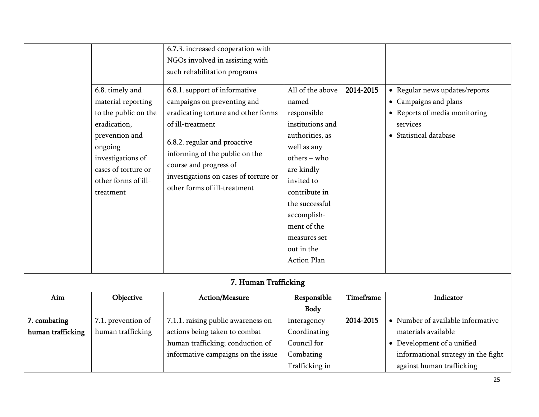|                                                                                                                                                                                            | 6.7.3. increased cooperation with                                                                                                                                                                                                                                                            |                                                                                                                                                                                                                                                                   |                                                                                           |                                                                                                                                |
|--------------------------------------------------------------------------------------------------------------------------------------------------------------------------------------------|----------------------------------------------------------------------------------------------------------------------------------------------------------------------------------------------------------------------------------------------------------------------------------------------|-------------------------------------------------------------------------------------------------------------------------------------------------------------------------------------------------------------------------------------------------------------------|-------------------------------------------------------------------------------------------|--------------------------------------------------------------------------------------------------------------------------------|
|                                                                                                                                                                                            | NGOs involved in assisting with                                                                                                                                                                                                                                                              |                                                                                                                                                                                                                                                                   |                                                                                           |                                                                                                                                |
|                                                                                                                                                                                            | such rehabilitation programs                                                                                                                                                                                                                                                                 |                                                                                                                                                                                                                                                                   |                                                                                           |                                                                                                                                |
| 6.8. timely and<br>material reporting<br>to the public on the<br>eradication,<br>prevention and<br>ongoing<br>investigations of<br>cases of torture or<br>other forms of ill-<br>treatment | 6.8.1. support of informative<br>campaigns on preventing and<br>eradicating torture and other forms<br>of ill-treatment<br>6.8.2. regular and proactive<br>informing of the public on the<br>course and progress of<br>investigations on cases of torture or<br>other forms of ill-treatment | All of the above<br>named<br>responsible<br>institutions and<br>authorities, as<br>well as any<br>$others - who$<br>are kindly<br>invited to<br>contribute in<br>the successful<br>accomplish-<br>ment of the<br>measures set<br>out in the<br><b>Action Plan</b> | 2014-2015                                                                                 | • Regular news updates/reports<br>• Campaigns and plans<br>• Reports of media monitoring<br>services<br>• Statistical database |
|                                                                                                                                                                                            |                                                                                                                                                                                                                                                                                              |                                                                                                                                                                                                                                                                   |                                                                                           |                                                                                                                                |
|                                                                                                                                                                                            |                                                                                                                                                                                                                                                                                              |                                                                                                                                                                                                                                                                   |                                                                                           |                                                                                                                                |
|                                                                                                                                                                                            |                                                                                                                                                                                                                                                                                              |                                                                                                                                                                                                                                                                   |                                                                                           | Indicator                                                                                                                      |
|                                                                                                                                                                                            |                                                                                                                                                                                                                                                                                              |                                                                                                                                                                                                                                                                   |                                                                                           |                                                                                                                                |
|                                                                                                                                                                                            |                                                                                                                                                                                                                                                                                              |                                                                                                                                                                                                                                                                   |                                                                                           | • Number of available informative                                                                                              |
|                                                                                                                                                                                            |                                                                                                                                                                                                                                                                                              |                                                                                                                                                                                                                                                                   |                                                                                           | materials available                                                                                                            |
|                                                                                                                                                                                            |                                                                                                                                                                                                                                                                                              |                                                                                                                                                                                                                                                                   |                                                                                           | • Development of a unified                                                                                                     |
|                                                                                                                                                                                            | informative campaigns on the issue                                                                                                                                                                                                                                                           | Combating                                                                                                                                                                                                                                                         |                                                                                           | informational strategy in the fight                                                                                            |
|                                                                                                                                                                                            |                                                                                                                                                                                                                                                                                              | Trafficking in                                                                                                                                                                                                                                                    |                                                                                           | against human trafficking                                                                                                      |
|                                                                                                                                                                                            | Objective<br>7.1. prevention of<br>human trafficking                                                                                                                                                                                                                                         | Action/Measure<br>7.1.1. raising public awareness on<br>actions being taken to combat<br>human trafficking; conduction of                                                                                                                                         | 7. Human Trafficking<br>Responsible<br>Body<br>Interagency<br>Coordinating<br>Council for | Timeframe<br>2014-2015                                                                                                         |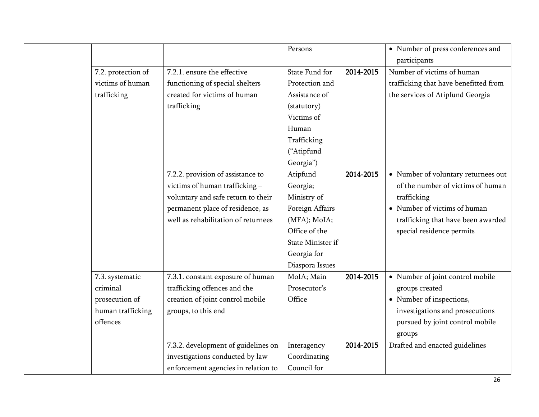|                    |                                     | Persons           |           | • Number of press conferences and     |
|--------------------|-------------------------------------|-------------------|-----------|---------------------------------------|
|                    |                                     |                   |           | participants                          |
| 7.2. protection of | 7.2.1. ensure the effective         | State Fund for    | 2014-2015 | Number of victims of human            |
| victims of human   | functioning of special shelters     | Protection and    |           | trafficking that have benefitted from |
| trafficking        | created for victims of human        | Assistance of     |           | the services of Atipfund Georgia      |
|                    | trafficking                         | (statutory)       |           |                                       |
|                    |                                     | Victims of        |           |                                       |
|                    |                                     | Human             |           |                                       |
|                    |                                     | Trafficking       |           |                                       |
|                    |                                     | ("Atipfund        |           |                                       |
|                    |                                     | Georgia")         |           |                                       |
|                    | 7.2.2. provision of assistance to   | Atipfund          | 2014-2015 | • Number of voluntary returnees out   |
|                    | victims of human trafficking -      | Georgia;          |           | of the number of victims of human     |
|                    | voluntary and safe return to their  | Ministry of       |           | trafficking                           |
|                    | permanent place of residence, as    | Foreign Affairs   |           | • Number of victims of human          |
|                    | well as rehabilitation of returnees | (MFA); MoIA;      |           | trafficking that have been awarded    |
|                    |                                     | Office of the     |           | special residence permits             |
|                    |                                     | State Minister if |           |                                       |
|                    |                                     | Georgia for       |           |                                       |
|                    |                                     | Diaspora Issues   |           |                                       |
| 7.3. systematic    | 7.3.1. constant exposure of human   | MoIA; Main        | 2014-2015 | • Number of joint control mobile      |
| criminal           | trafficking offences and the        | Prosecutor's      |           | groups created                        |
| prosecution of     | creation of joint control mobile    | Office            |           | • Number of inspections,              |
| human trafficking  | groups, to this end                 |                   |           | investigations and prosecutions       |
| offences           |                                     |                   |           | pursued by joint control mobile       |
|                    |                                     |                   |           | groups                                |
|                    | 7.3.2. development of guidelines on | Interagency       | 2014-2015 | Drafted and enacted guidelines        |
|                    | investigations conducted by law     | Coordinating      |           |                                       |
|                    | enforcement agencies in relation to | Council for       |           |                                       |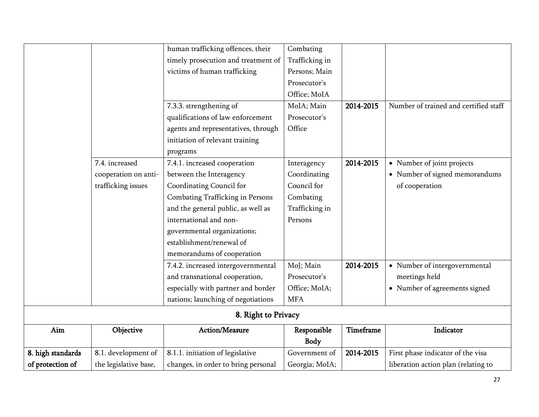|                   |                       | human trafficking offences, their   | Combating      |           |                                       |
|-------------------|-----------------------|-------------------------------------|----------------|-----------|---------------------------------------|
|                   |                       | timely prosecution and treatment of | Trafficking in |           |                                       |
|                   |                       | victims of human trafficking        | Persons; Main  |           |                                       |
|                   |                       |                                     | Prosecutor's   |           |                                       |
|                   |                       |                                     | Office; MoIA   |           |                                       |
|                   |                       | 7.3.3. strengthening of             | MoIA; Main     | 2014-2015 | Number of trained and certified staff |
|                   |                       | qualifications of law enforcement   | Prosecutor's   |           |                                       |
|                   |                       | agents and representatives, through | Office         |           |                                       |
|                   |                       | initiation of relevant training     |                |           |                                       |
|                   |                       | programs                            |                |           |                                       |
|                   | 7.4. increased        | 7.4.1. increased cooperation        | Interagency    | 2014-2015 | • Number of joint projects            |
|                   | cooperation on anti-  | between the Interagency             | Coordinating   |           | • Number of signed memorandums        |
|                   | trafficking issues    | Coordinating Council for            | Council for    |           | of cooperation                        |
|                   |                       | Combating Trafficking in Persons    | Combating      |           |                                       |
|                   |                       | and the general public, as well as  | Trafficking in |           |                                       |
|                   |                       | international and non-              | Persons        |           |                                       |
|                   |                       | governmental organizations;         |                |           |                                       |
|                   |                       | establishment/renewal of            |                |           |                                       |
|                   |                       | memorandums of cooperation          |                |           |                                       |
|                   |                       | 7.4.2. increased intergovernmental  | MoJ; Main      | 2014-2015 | • Number of intergovernmental         |
|                   |                       | and transnational cooperation,      | Prosecutor's   |           | meetings held                         |
|                   |                       | especially with partner and border  | Office; MoIA;  |           | • Number of agreements signed         |
|                   |                       | nations; launching of negotiations  | <b>MFA</b>     |           |                                       |
|                   |                       | 8. Right to Privacy                 |                |           |                                       |
| Aim               | Objective             | Action/Measure                      | Responsible    | Timeframe | Indicator                             |
|                   |                       |                                     | <b>Body</b>    |           |                                       |
| 8. high standards | 8.1. development of   | 8.1.1. initiation of legislative    | Government of  | 2014-2015 | First phase indicator of the visa     |
| of protection of  | the legislative base, | changes, in order to bring personal | Georgia; MoIA; |           | liberation action plan (relating to   |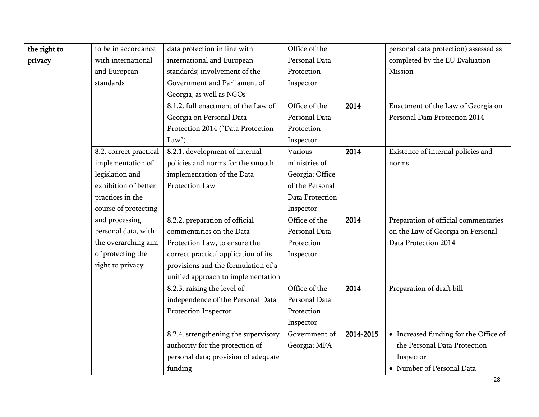| the right to | to be in accordance    | data protection in line with         | Office of the   |           | personal data protection) assessed as |
|--------------|------------------------|--------------------------------------|-----------------|-----------|---------------------------------------|
| privacy      | with international     | international and European           | Personal Data   |           | completed by the EU Evaluation        |
|              | and European           | standards; involvement of the        | Protection      |           | Mission                               |
|              | standards              | Government and Parliament of         | Inspector       |           |                                       |
|              |                        | Georgia, as well as NGOs             |                 |           |                                       |
|              |                        | 8.1.2. full enactment of the Law of  | Office of the   | 2014      | Enactment of the Law of Georgia on    |
|              |                        | Georgia on Personal Data             | Personal Data   |           | Personal Data Protection 2014         |
|              |                        | Protection 2014 ("Data Protection    | Protection      |           |                                       |
|              |                        | Law'                                 | Inspector       |           |                                       |
|              | 8.2. correct practical | 8.2.1. development of internal       | Various         | 2014      | Existence of internal policies and    |
|              | implementation of      | policies and norms for the smooth    | ministries of   |           | norms                                 |
|              | legislation and        | implementation of the Data           | Georgia; Office |           |                                       |
|              | exhibition of better   | Protection Law                       | of the Personal |           |                                       |
|              | practices in the       |                                      | Data Protection |           |                                       |
|              | course of protecting   |                                      | Inspector       |           |                                       |
|              | and processing         | 8.2.2. preparation of official       | Office of the   | 2014      | Preparation of official commentaries  |
|              | personal data, with    | commentaries on the Data             | Personal Data   |           | on the Law of Georgia on Personal     |
|              | the overarching aim    | Protection Law, to ensure the        | Protection      |           | Data Protection 2014                  |
|              | of protecting the      | correct practical application of its | Inspector       |           |                                       |
|              | right to privacy       | provisions and the formulation of a  |                 |           |                                       |
|              |                        | unified approach to implementation   |                 |           |                                       |
|              |                        | 8.2.3. raising the level of          | Office of the   | 2014      | Preparation of draft bill             |
|              |                        | independence of the Personal Data    | Personal Data   |           |                                       |
|              |                        | Protection Inspector                 | Protection      |           |                                       |
|              |                        |                                      | Inspector       |           |                                       |
|              |                        | 8.2.4. strengthening the supervisory | Government of   | 2014-2015 | • Increased funding for the Office of |
|              |                        | authority for the protection of      | Georgia; MFA    |           | the Personal Data Protection          |
|              |                        | personal data; provision of adequate |                 |           | Inspector                             |
|              |                        | funding                              |                 |           | • Number of Personal Data             |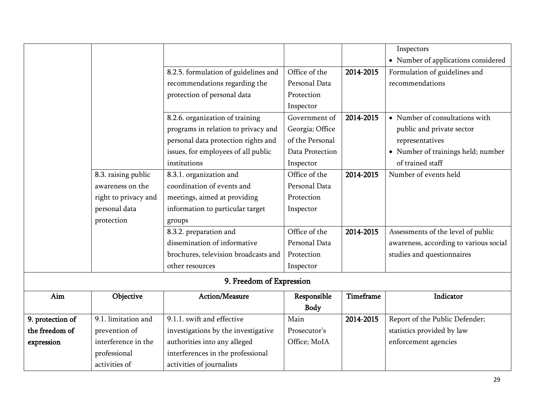|                  |                      |                                      |                 |           | Inspectors                             |
|------------------|----------------------|--------------------------------------|-----------------|-----------|----------------------------------------|
|                  |                      |                                      |                 |           |                                        |
|                  |                      |                                      |                 |           | • Number of applications considered    |
|                  |                      | 8.2.5. formulation of guidelines and | Office of the   | 2014-2015 | Formulation of guidelines and          |
|                  |                      | recommendations regarding the        | Personal Data   |           | recommendations                        |
|                  |                      | protection of personal data          | Protection      |           |                                        |
|                  |                      |                                      | Inspector       |           |                                        |
|                  |                      | 8.2.6. organization of training      | Government of   | 2014-2015 | • Number of consultations with         |
|                  |                      | programs in relation to privacy and  | Georgia; Office |           | public and private sector              |
|                  |                      | personal data protection rights and  | of the Personal |           | representatives                        |
|                  |                      | issues, for employees of all public  | Data Protection |           | • Number of trainings held; number     |
|                  |                      | institutions                         | Inspector       |           | of trained staff                       |
|                  | 8.3. raising public  | 8.3.1. organization and              | Office of the   | 2014-2015 | Number of events held                  |
|                  | awareness on the     | coordination of events and           | Personal Data   |           |                                        |
|                  | right to privacy and | meetings, aimed at providing         | Protection      |           |                                        |
|                  | personal data        | information to particular target     | Inspector       |           |                                        |
|                  | protection           | groups                               |                 |           |                                        |
|                  |                      | 8.3.2. preparation and               | Office of the   | 2014-2015 | Assessments of the level of public     |
|                  |                      | dissemination of informative         | Personal Data   |           | awareness, according to various social |
|                  |                      | brochures, television broadcasts and | Protection      |           | studies and questionnaires             |
|                  |                      | other resources                      | Inspector       |           |                                        |
|                  |                      | 9. Freedom of Expression             |                 |           |                                        |
| Aim              | Objective            | Action/Measure                       | Responsible     | Timeframe | Indicator                              |
|                  |                      |                                      | <b>Body</b>     |           |                                        |
| 9. protection of | 9.1. limitation and  | 9.1.1. swift and effective           | Main            | 2014-2015 | Report of the Public Defender;         |
| the freedom of   | prevention of        | investigations by the investigative  | Prosecutor's    |           | statistics provided by law             |
| expression       | interference in the  | authorities into any alleged         | Office; MoIA    |           | enforcement agencies                   |
|                  | professional         | interferences in the professional    |                 |           |                                        |
|                  | activities of        | activities of journalists            |                 |           |                                        |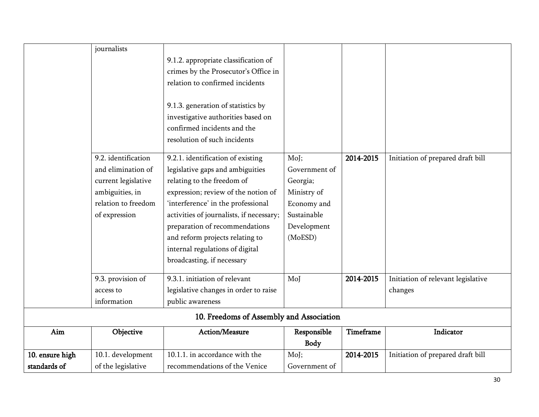|                 | journalists         |                                          |               |           |                                    |
|-----------------|---------------------|------------------------------------------|---------------|-----------|------------------------------------|
|                 |                     | 9.1.2. appropriate classification of     |               |           |                                    |
|                 |                     |                                          |               |           |                                    |
|                 |                     | crimes by the Prosecutor's Office in     |               |           |                                    |
|                 |                     | relation to confirmed incidents          |               |           |                                    |
|                 |                     |                                          |               |           |                                    |
|                 |                     | 9.1.3. generation of statistics by       |               |           |                                    |
|                 |                     | investigative authorities based on       |               |           |                                    |
|                 |                     | confirmed incidents and the              |               |           |                                    |
|                 |                     | resolution of such incidents             |               |           |                                    |
|                 | 9.2. identification | 9.2.1. identification of existing        | MoJ;          | 2014-2015 | Initiation of prepared draft bill  |
|                 | and elimination of  | legislative gaps and ambiguities         | Government of |           |                                    |
|                 |                     |                                          |               |           |                                    |
|                 | current legislative | relating to the freedom of               | Georgia;      |           |                                    |
|                 | ambiguities, in     | expression; review of the notion of      | Ministry of   |           |                                    |
|                 | relation to freedom | 'interference' in the professional       | Economy and   |           |                                    |
|                 | of expression       | activities of journalists, if necessary; | Sustainable   |           |                                    |
|                 |                     | preparation of recommendations           | Development   |           |                                    |
|                 |                     | and reform projects relating to          | (MoESD)       |           |                                    |
|                 |                     | internal regulations of digital          |               |           |                                    |
|                 |                     | broadcasting, if necessary               |               |           |                                    |
|                 | 9.3. provision of   | 9.3.1. initiation of relevant            | MoJ           | 2014-2015 | Initiation of relevant legislative |
|                 | access to           | legislative changes in order to raise    |               |           | changes                            |
|                 | information         | public awareness                         |               |           |                                    |
|                 |                     | 10. Freedoms of Assembly and Association |               |           |                                    |
| Aim             | Objective           | Action/Measure                           | Responsible   | Timeframe | Indicator                          |
|                 |                     |                                          | Body          |           |                                    |
| 10. ensure high | 10.1. development   | 10.1.1. in accordance with the           | MoJ;          | 2014-2015 | Initiation of prepared draft bill  |
| standards of    | of the legislative  | recommendations of the Venice            | Government of |           |                                    |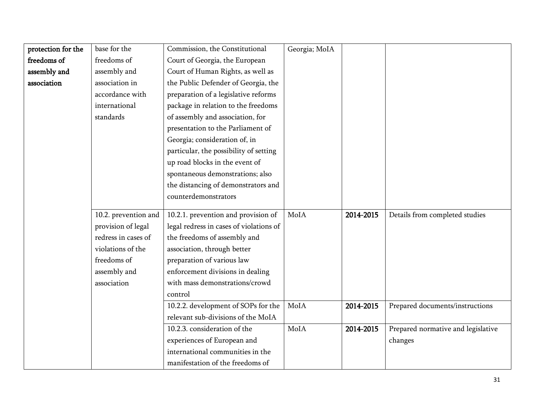| protection for the | base for the         | Commission, the Constitutional          | Georgia; MoIA |           |                                    |
|--------------------|----------------------|-----------------------------------------|---------------|-----------|------------------------------------|
| freedoms of        | freedoms of          | Court of Georgia, the European          |               |           |                                    |
| assembly and       | assembly and         | Court of Human Rights, as well as       |               |           |                                    |
| association        | association in       | the Public Defender of Georgia, the     |               |           |                                    |
|                    | accordance with      | preparation of a legislative reforms    |               |           |                                    |
|                    | international        | package in relation to the freedoms     |               |           |                                    |
|                    | standards            | of assembly and association, for        |               |           |                                    |
|                    |                      | presentation to the Parliament of       |               |           |                                    |
|                    |                      | Georgia; consideration of, in           |               |           |                                    |
|                    |                      | particular, the possibility of setting  |               |           |                                    |
|                    |                      | up road blocks in the event of          |               |           |                                    |
|                    |                      | spontaneous demonstrations; also        |               |           |                                    |
|                    |                      | the distancing of demonstrators and     |               |           |                                    |
|                    |                      | counterdemonstrators                    |               |           |                                    |
|                    |                      |                                         |               |           |                                    |
|                    | 10.2. prevention and | 10.2.1. prevention and provision of     | MoIA          | 2014-2015 | Details from completed studies     |
|                    | provision of legal   | legal redress in cases of violations of |               |           |                                    |
|                    | redress in cases of  | the freedoms of assembly and            |               |           |                                    |
|                    | violations of the    | association, through better             |               |           |                                    |
|                    | freedoms of          | preparation of various law              |               |           |                                    |
|                    | assembly and         | enforcement divisions in dealing        |               |           |                                    |
|                    | association          | with mass demonstrations/crowd          |               |           |                                    |
|                    |                      | control                                 |               |           |                                    |
|                    |                      | 10.2.2. development of SOPs for the     | MoIA          | 2014-2015 | Prepared documents/instructions    |
|                    |                      | relevant sub-divisions of the MoIA      |               |           |                                    |
|                    |                      | 10.2.3. consideration of the            | MoIA          | 2014-2015 | Prepared normative and legislative |
|                    |                      | experiences of European and             |               |           | changes                            |
|                    |                      | international communities in the        |               |           |                                    |
|                    |                      | manifestation of the freedoms of        |               |           |                                    |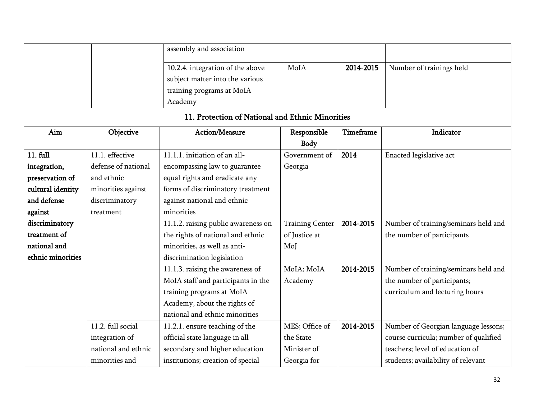|                   |                     | assembly and association                         |                            |                  |                                       |
|-------------------|---------------------|--------------------------------------------------|----------------------------|------------------|---------------------------------------|
|                   |                     | 10.2.4. integration of the above                 | MoIA                       | 2014-2015        | Number of trainings held              |
|                   |                     | subject matter into the various                  |                            |                  |                                       |
|                   |                     | training programs at MoIA                        |                            |                  |                                       |
|                   |                     | Academy                                          |                            |                  |                                       |
|                   |                     | 11. Protection of National and Ethnic Minorities |                            |                  |                                       |
| Aim               | Objective           | Action/Measure                                   | Responsible<br><b>Body</b> | <b>Timeframe</b> | Indicator                             |
| 11. full          | 11.1. effective     | 11.1.1. initiation of an all-                    | Government of              | 2014             | Enacted legislative act               |
| integration,      | defense of national | encompassing law to guarantee                    | Georgia                    |                  |                                       |
| preservation of   | and ethnic          | equal rights and eradicate any                   |                            |                  |                                       |
| cultural identity | minorities against  | forms of discriminatory treatment                |                            |                  |                                       |
| and defense       | discriminatory      | against national and ethnic                      |                            |                  |                                       |
| against           | treatment           | minorities                                       |                            |                  |                                       |
| discriminatory    |                     | 11.1.2. raising public awareness on              | <b>Training Center</b>     | 2014-2015        | Number of training/seminars held and  |
| treatment of      |                     | the rights of national and ethnic                | of Justice at              |                  | the number of participants            |
| national and      |                     | minorities, as well as anti-                     | MoJ                        |                  |                                       |
| ethnic minorities |                     | discrimination legislation                       |                            |                  |                                       |
|                   |                     | 11.1.3. raising the awareness of                 | MoIA; MoIA                 | 2014-2015        | Number of training/seminars held and  |
|                   |                     | MoIA staff and participants in the               | Academy                    |                  | the number of participants;           |
|                   |                     | training programs at MoIA                        |                            |                  | curriculum and lecturing hours        |
|                   |                     | Academy, about the rights of                     |                            |                  |                                       |
|                   |                     | national and ethnic minorities                   |                            |                  |                                       |
|                   | 11.2. full social   | 11.2.1. ensure teaching of the                   | MES; Office of             | 2014-2015        | Number of Georgian language lessons;  |
|                   | integration of      | official state language in all                   | the State                  |                  | course curricula; number of qualified |
|                   | national and ethnic | secondary and higher education                   | Minister of                |                  | teachers; level of education of       |
|                   | minorities and      | institutions; creation of special                | Georgia for                |                  | students; availability of relevant    |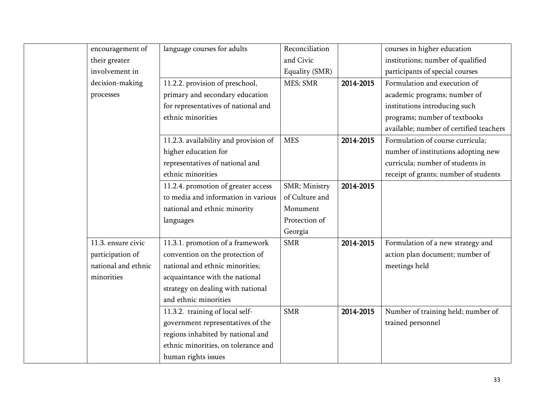| encouragement of    | language courses for adults           | Reconciliation |           | courses in higher education             |
|---------------------|---------------------------------------|----------------|-----------|-----------------------------------------|
| their greater       |                                       | and Civic      |           | institutions; number of qualified       |
| involvement in      |                                       | Equality (SMR) |           | participants of special courses         |
| decision-making     | 11.2.2. provision of preschool,       | MES; SMR       | 2014-2015 | Formulation and execution of            |
| processes           | primary and secondary education       |                |           | academic programs; number of            |
|                     | for representatives of national and   |                |           | institutions introducing such           |
|                     | ethnic minorities                     |                |           | programs; number of textbooks           |
|                     |                                       |                |           | available; number of certified teachers |
|                     | 11.2.3. availability and provision of | <b>MES</b>     | 2014-2015 | Formulation of course curricula;        |
|                     | higher education for                  |                |           | number of institutions adopting new     |
|                     | representatives of national and       |                |           | curricula; number of students in        |
|                     | ethnic minorities                     |                |           | receipt of grants; number of students   |
|                     | 11.2.4. promotion of greater access   | SMR; Ministry  | 2014-2015 |                                         |
|                     | to media and information in various   | of Culture and |           |                                         |
|                     | national and ethnic minority          | Monument       |           |                                         |
|                     | languages                             | Protection of  |           |                                         |
|                     |                                       | Georgia        |           |                                         |
| 11.3. ensure civic  | 11.3.1. promotion of a framework      | <b>SMR</b>     | 2014-2015 | Formulation of a new strategy and       |
| participation of    | convention on the protection of       |                |           | action plan document; number of         |
| national and ethnic | national and ethnic minorities;       |                |           | meetings held                           |
| minorities          | acquaintance with the national        |                |           |                                         |
|                     | strategy on dealing with national     |                |           |                                         |
|                     | and ethnic minorities                 |                |           |                                         |
|                     | 11.3.2. training of local self-       | <b>SMR</b>     | 2014-2015 | Number of training held; number of      |
|                     | government representatives of the     |                |           | trained personnel                       |
|                     | regions inhabited by national and     |                |           |                                         |
|                     | ethnic minorities, on tolerance and   |                |           |                                         |
|                     | human rights issues                   |                |           |                                         |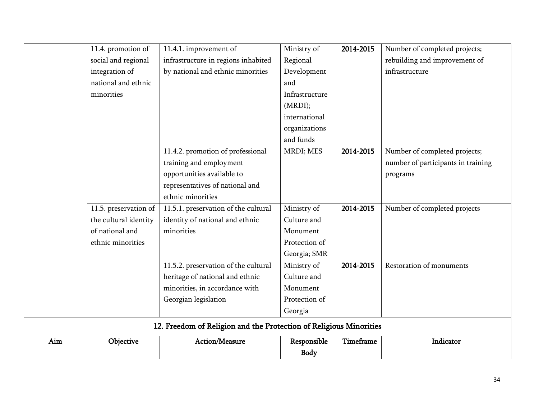|     | 11.4. promotion of    | 11.4.1. improvement of                                             | Ministry of    | 2014-2015 | Number of completed projects;      |
|-----|-----------------------|--------------------------------------------------------------------|----------------|-----------|------------------------------------|
|     | social and regional   | infrastructure in regions inhabited                                | Regional       |           | rebuilding and improvement of      |
|     | integration of        | by national and ethnic minorities                                  | Development    |           | infrastructure                     |
|     | national and ethnic   |                                                                    | and            |           |                                    |
|     | minorities            |                                                                    | Infrastructure |           |                                    |
|     |                       |                                                                    | (MRDI);        |           |                                    |
|     |                       |                                                                    | international  |           |                                    |
|     |                       |                                                                    | organizations  |           |                                    |
|     |                       |                                                                    | and funds      |           |                                    |
|     |                       | 11.4.2. promotion of professional                                  | MRDI; MES      | 2014-2015 | Number of completed projects;      |
|     |                       | training and employment                                            |                |           | number of participants in training |
|     |                       | opportunities available to                                         |                |           | programs                           |
|     |                       | representatives of national and                                    |                |           |                                    |
|     |                       | ethnic minorities                                                  |                |           |                                    |
|     | 11.5. preservation of | 11.5.1. preservation of the cultural                               | Ministry of    | 2014-2015 | Number of completed projects       |
|     | the cultural identity | identity of national and ethnic                                    | Culture and    |           |                                    |
|     | of national and       | minorities                                                         | Monument       |           |                                    |
|     | ethnic minorities     |                                                                    | Protection of  |           |                                    |
|     |                       |                                                                    | Georgia; SMR   |           |                                    |
|     |                       | 11.5.2. preservation of the cultural                               | Ministry of    | 2014-2015 | Restoration of monuments           |
|     |                       | heritage of national and ethnic                                    | Culture and    |           |                                    |
|     |                       | minorities, in accordance with                                     | Monument       |           |                                    |
|     |                       | Georgian legislation                                               | Protection of  |           |                                    |
|     |                       |                                                                    | Georgia        |           |                                    |
|     |                       | 12. Freedom of Religion and the Protection of Religious Minorities |                |           |                                    |
| Aim | Objective             | <b>Action/Measure</b>                                              | Responsible    | Timeframe | Indicator                          |
|     |                       |                                                                    | Body           |           |                                    |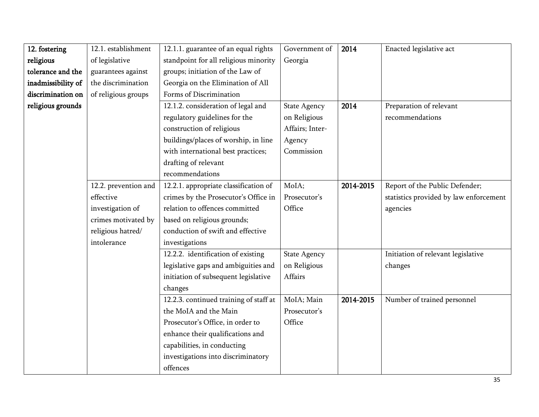| 12. fostering      | 12.1. establishment  | 12.1.1. guarantee of an equal rights   | Government of       | 2014      | Enacted legislative act                |
|--------------------|----------------------|----------------------------------------|---------------------|-----------|----------------------------------------|
| religious          | of legislative       | standpoint for all religious minority  | Georgia             |           |                                        |
| tolerance and the  | guarantees against   | groups; initiation of the Law of       |                     |           |                                        |
| inadmissibility of | the discrimination   | Georgia on the Elimination of All      |                     |           |                                        |
| discrimination on  | of religious groups  | Forms of Discrimination                |                     |           |                                        |
| religious grounds  |                      | 12.1.2. consideration of legal and     | <b>State Agency</b> | 2014      | Preparation of relevant                |
|                    |                      | regulatory guidelines for the          | on Religious        |           | recommendations                        |
|                    |                      | construction of religious              | Affairs; Inter-     |           |                                        |
|                    |                      | buildings/places of worship, in line   | Agency              |           |                                        |
|                    |                      | with international best practices;     | Commission          |           |                                        |
|                    |                      | drafting of relevant                   |                     |           |                                        |
|                    |                      | recommendations                        |                     |           |                                        |
|                    | 12.2. prevention and | 12.2.1. appropriate classification of  | MoIA;               | 2014-2015 | Report of the Public Defender;         |
|                    | effective            | crimes by the Prosecutor's Office in   | Prosecutor's        |           | statistics provided by law enforcement |
|                    | investigation of     | relation to offences committed         | Office              |           | agencies                               |
|                    | crimes motivated by  | based on religious grounds;            |                     |           |                                        |
|                    | religious hatred/    | conduction of swift and effective      |                     |           |                                        |
|                    | intolerance          | investigations                         |                     |           |                                        |
|                    |                      | 12.2.2. identification of existing     | <b>State Agency</b> |           | Initiation of relevant legislative     |
|                    |                      | legislative gaps and ambiguities and   | on Religious        |           | changes                                |
|                    |                      | initiation of subsequent legislative   | Affairs             |           |                                        |
|                    |                      | changes                                |                     |           |                                        |
|                    |                      | 12.2.3. continued training of staff at | MoIA; Main          | 2014-2015 | Number of trained personnel            |
|                    |                      | the MoIA and the Main                  | Prosecutor's        |           |                                        |
|                    |                      | Prosecutor's Office, in order to       | Office              |           |                                        |
|                    |                      | enhance their qualifications and       |                     |           |                                        |
|                    |                      | capabilities, in conducting            |                     |           |                                        |
|                    |                      | investigations into discriminatory     |                     |           |                                        |
|                    |                      | offences                               |                     |           |                                        |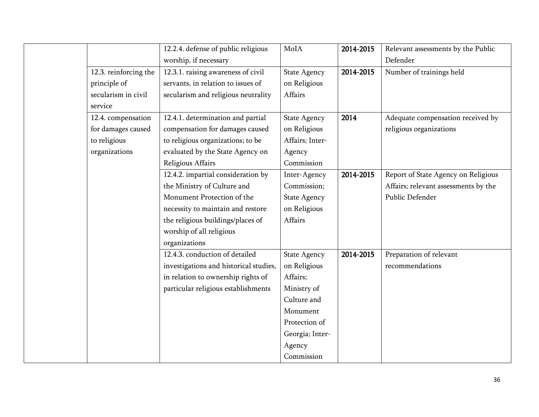|                       | 12.2.4. defense of public religious    | MoIA                | 2014-2015 | Relevant assessments by the Public   |
|-----------------------|----------------------------------------|---------------------|-----------|--------------------------------------|
|                       | worship, if necessary                  |                     |           | Defender                             |
| 12.3. reinforcing the | 12.3.1. raising awareness of civil     | <b>State Agency</b> | 2014-2015 | Number of trainings held             |
| principle of          | servants, in relation to issues of     | on Religious        |           |                                      |
| secularism in civil   | secularism and religious neutrality    | Affairs             |           |                                      |
| service               |                                        |                     |           |                                      |
| 12.4. compensation    | 12.4.1. determination and partial      | <b>State Agency</b> | 2014      | Adequate compensation received by    |
| for damages caused    | compensation for damages caused        | on Religious        |           | religious organizations              |
| to religious          | to religious organizations; to be      | Affairs; Inter-     |           |                                      |
| organizations         | evaluated by the State Agency on       | Agency              |           |                                      |
|                       | Religious Affairs                      | Commission          |           |                                      |
|                       | 12.4.2. impartial consideration by     | Inter-Agency        | 2014-2015 | Report of State Agency on Religious  |
|                       | the Ministry of Culture and            | Commission;         |           | Affairs; relevant assessments by the |
|                       | Monument Protection of the             | <b>State Agency</b> |           | Public Defender                      |
|                       | necessity to maintain and restore      | on Religious        |           |                                      |
|                       | the religious buildings/places of      | Affairs             |           |                                      |
|                       | worship of all religious               |                     |           |                                      |
|                       | organizations                          |                     |           |                                      |
|                       | 12.4.3. conduction of detailed         | <b>State Agency</b> | 2014-2015 | Preparation of relevant              |
|                       | investigations and historical studies, | on Religious        |           | recommendations                      |
|                       | in relation to ownership rights of     | Affairs;            |           |                                      |
|                       | particular religious establishments    | Ministry of         |           |                                      |
|                       |                                        | Culture and         |           |                                      |
|                       |                                        | Monument            |           |                                      |
|                       |                                        | Protection of       |           |                                      |
|                       |                                        | Georgia; Inter-     |           |                                      |
|                       |                                        | Agency              |           |                                      |
|                       |                                        | Commission          |           |                                      |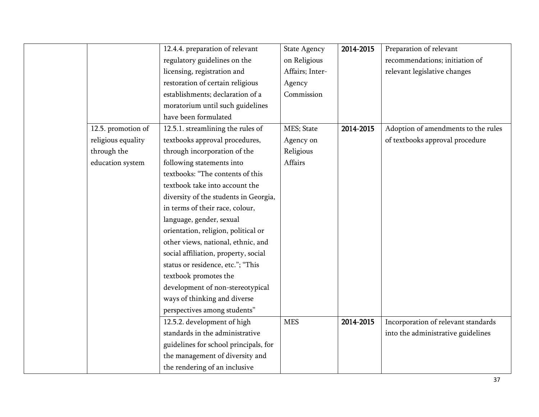|                    | 12.4.4. preparation of relevant       | <b>State Agency</b> | 2014-2015 | Preparation of relevant             |
|--------------------|---------------------------------------|---------------------|-----------|-------------------------------------|
|                    | regulatory guidelines on the          | on Religious        |           | recommendations; initiation of      |
|                    | licensing, registration and           | Affairs; Inter-     |           | relevant legislative changes        |
|                    | restoration of certain religious      | Agency              |           |                                     |
|                    | establishments; declaration of a      | Commission          |           |                                     |
|                    | moratorium until such guidelines      |                     |           |                                     |
|                    | have been formulated                  |                     |           |                                     |
| 12.5. promotion of | 12.5.1. streamlining the rules of     | MES; State          | 2014-2015 | Adoption of amendments to the rules |
| religious equality | textbooks approval procedures,        | Agency on           |           | of textbooks approval procedure     |
| through the        | through incorporation of the          | Religious           |           |                                     |
| education system   | following statements into             | Affairs             |           |                                     |
|                    | textbooks: "The contents of this      |                     |           |                                     |
|                    | textbook take into account the        |                     |           |                                     |
|                    | diversity of the students in Georgia, |                     |           |                                     |
|                    | in terms of their race, colour,       |                     |           |                                     |
|                    | language, gender, sexual              |                     |           |                                     |
|                    | orientation, religion, political or   |                     |           |                                     |
|                    | other views, national, ethnic, and    |                     |           |                                     |
|                    | social affiliation, property, social  |                     |           |                                     |
|                    | status or residence, etc."; "This     |                     |           |                                     |
|                    | textbook promotes the                 |                     |           |                                     |
|                    | development of non-stereotypical      |                     |           |                                     |
|                    | ways of thinking and diverse          |                     |           |                                     |
|                    | perspectives among students"          |                     |           |                                     |
|                    | 12.5.2. development of high           | <b>MES</b>          | 2014-2015 | Incorporation of relevant standards |
|                    | standards in the administrative       |                     |           | into the administrative guidelines  |
|                    | guidelines for school principals, for |                     |           |                                     |
|                    | the management of diversity and       |                     |           |                                     |
|                    | the rendering of an inclusive         |                     |           |                                     |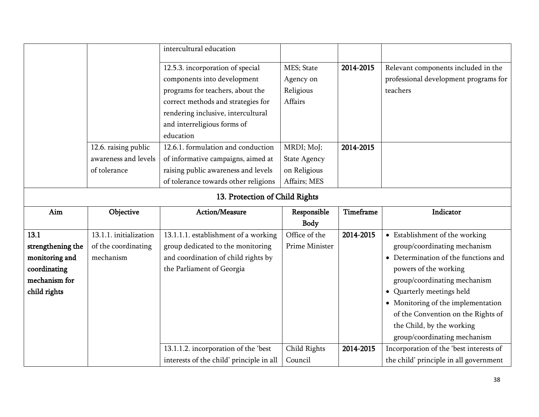|                   |                        | intercultural education              |                     |           |                                       |
|-------------------|------------------------|--------------------------------------|---------------------|-----------|---------------------------------------|
|                   |                        |                                      |                     |           |                                       |
|                   |                        | 12.5.3. incorporation of special     | MES; State          | 2014-2015 | Relevant components included in the   |
|                   |                        | components into development          | Agency on           |           | professional development programs for |
|                   |                        | programs for teachers, about the     | Religious           |           | teachers                              |
|                   |                        | correct methods and strategies for   | Affairs             |           |                                       |
|                   |                        | rendering inclusive, intercultural   |                     |           |                                       |
|                   |                        | and interreligious forms of          |                     |           |                                       |
|                   |                        | education                            |                     |           |                                       |
|                   | 12.6. raising public   | 12.6.1. formulation and conduction   | MRDI; MoJ;          | 2014-2015 |                                       |
|                   | awareness and levels   | of informative campaigns, aimed at   | <b>State Agency</b> |           |                                       |
|                   | of tolerance           | raising public awareness and levels  | on Religious        |           |                                       |
|                   |                        | of tolerance towards other religions | Affairs; MES        |           |                                       |
|                   |                        | 13. Protection of Child Rights       |                     |           |                                       |
| Aim               | Objective              | Action/Measure                       | Responsible         | Timeframe | Indicator                             |
|                   |                        |                                      |                     |           |                                       |
|                   |                        |                                      | Body                |           |                                       |
| 13.1              | 13.1.1. initialization | 13.1.1.1. establishment of a working | Office of the       | 2014-2015 | • Establishment of the working        |
| strengthening the | of the coordinating    | group dedicated to the monitoring    | Prime Minister      |           | group/coordinating mechanism          |
| monitoring and    | mechanism              | and coordination of child rights by  |                     |           | • Determination of the functions and  |
| coordinating      |                        | the Parliament of Georgia            |                     |           | powers of the working                 |
| mechanism for     |                        |                                      |                     |           | group/coordinating mechanism          |
| child rights      |                        |                                      |                     |           | • Quarterly meetings held             |
|                   |                        |                                      |                     |           | • Monitoring of the implementation    |
|                   |                        |                                      |                     |           | of the Convention on the Rights of    |

Child Rights Council

13.1.1.2. incorporation of the 'best interests of the child' principle in all group/coordinating mechanism

the child' principle in all government

2014-2015 Incorporation of the 'best interests of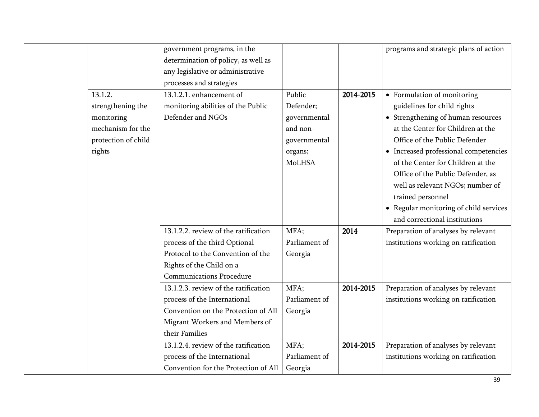|                     | government programs, in the          |               |           | programs and strategic plans of action |
|---------------------|--------------------------------------|---------------|-----------|----------------------------------------|
|                     | determination of policy, as well as  |               |           |                                        |
|                     | any legislative or administrative    |               |           |                                        |
|                     | processes and strategies             |               |           |                                        |
| 13.1.2.             | 13.1.2.1. enhancement of             | Public        | 2014-2015 | • Formulation of monitoring            |
| strengthening the   | monitoring abilities of the Public   | Defender;     |           | guidelines for child rights            |
| monitoring          | Defender and NGOs                    | governmental  |           | • Strengthening of human resources     |
| mechanism for the   |                                      | and non-      |           | at the Center for Children at the      |
| protection of child |                                      | governmental  |           | Office of the Public Defender          |
| rights              |                                      | organs;       |           | • Increased professional competencies  |
|                     |                                      | MoLHSA        |           | of the Center for Children at the      |
|                     |                                      |               |           | Office of the Public Defender, as      |
|                     |                                      |               |           | well as relevant NGOs; number of       |
|                     |                                      |               |           | trained personnel                      |
|                     |                                      |               |           | • Regular monitoring of child services |
|                     |                                      |               |           | and correctional institutions          |
|                     | 13.1.2.2. review of the ratification | MFA;          | 2014      | Preparation of analyses by relevant    |
|                     | process of the third Optional        | Parliament of |           | institutions working on ratification   |
|                     | Protocol to the Convention of the    | Georgia       |           |                                        |
|                     | Rights of the Child on a             |               |           |                                        |
|                     | <b>Communications Procedure</b>      |               |           |                                        |
|                     | 13.1.2.3. review of the ratification | MFA;          | 2014-2015 | Preparation of analyses by relevant    |
|                     | process of the International         | Parliament of |           | institutions working on ratification   |
|                     | Convention on the Protection of All  | Georgia       |           |                                        |
|                     | Migrant Workers and Members of       |               |           |                                        |
|                     | their Families                       |               |           |                                        |
|                     | 13.1.2.4. review of the ratification | MFA;          | 2014-2015 | Preparation of analyses by relevant    |
|                     | process of the International         | Parliament of |           | institutions working on ratification   |
|                     | Convention for the Protection of All | Georgia       |           |                                        |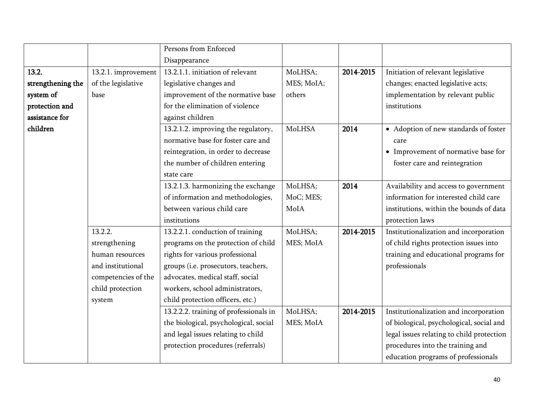|                   |                     | Persons from Enforced                  |            |           |                                           |
|-------------------|---------------------|----------------------------------------|------------|-----------|-------------------------------------------|
|                   |                     | Disappearance                          |            |           |                                           |
| 13.2.             | 13.2.1. improvement | 13.2.1.1. initiation of relevant       | MoLHSA;    | 2014-2015 | Initiation of relevant legislative        |
| strengthening the | of the legislative  | legislative changes and                | MES; MoIA; |           | changes; enacted legislative acts;        |
| system of         | base                | improvement of the normative base      | others     |           | implementation by relevant public         |
| protection and    |                     | for the elimination of violence        |            |           | institutions                              |
| assistance for    |                     | against children                       |            |           |                                           |
| children          |                     | 13.2.1.2. improving the regulatory,    | MoLHSA     | 2014      | • Adoption of new standards of foster     |
|                   |                     | normative base for foster care and     |            |           | care                                      |
|                   |                     | reintegration, in order to decrease    |            |           | • Improvement of normative base for       |
|                   |                     | the number of children entering        |            |           | foster care and reintegration             |
|                   |                     | state care                             |            |           |                                           |
|                   |                     | 13.2.1.3. harmonizing the exchange     | MoLHSA;    | 2014      | Availability and access to government     |
|                   |                     | of information and methodologies,      | MoC; MES;  |           | information for interested child care     |
|                   |                     | between various child care             | MoIA       |           | institutions, within the bounds of data   |
|                   |                     | institutions                           |            |           | protection laws                           |
|                   | 13.2.2.             | 13.2.2.1. conduction of training       | MoLHSA;    | 2014-2015 | Institutionalization and incorporation    |
|                   | strengthening       | programs on the protection of child    | MES; MoIA  |           | of child rights protection issues into    |
|                   | human resources     | rights for various professional        |            |           | training and educational programs for     |
|                   | and institutional   | groups (i.e. prosecutors, teachers,    |            |           | professionals                             |
|                   | competencies of the | advocates, medical staff, social       |            |           |                                           |
|                   | child protection    | workers, school administrators,        |            |           |                                           |
|                   | system              | child protection officers, etc.)       |            |           |                                           |
|                   |                     | 13.2.2.2. training of professionals in | MoLHSA;    | 2014-2015 | Institutionalization and incorporation    |
|                   |                     | the biological, psychological, social  | MES; MoIA  |           | of biological, psychological, social and  |
|                   |                     | and legal issues relating to child     |            |           | legal issues relating to child protection |
|                   |                     | protection procedures (referrals)      |            |           | procedures into the training and          |
|                   |                     |                                        |            |           | education programs of professionals       |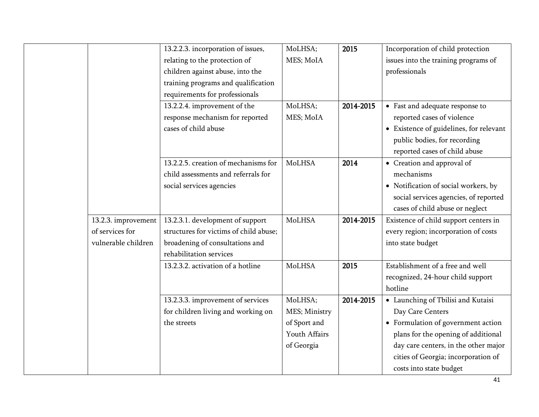|                     | 13.2.2.3. incorporation of issues,     | MoLHSA;       | 2015      | Incorporation of child protection       |
|---------------------|----------------------------------------|---------------|-----------|-----------------------------------------|
|                     | relating to the protection of          | MES; MoIA     |           | issues into the training programs of    |
|                     | children against abuse, into the       |               |           | professionals                           |
|                     | training programs and qualification    |               |           |                                         |
|                     | requirements for professionals         |               |           |                                         |
|                     | 13.2.2.4. improvement of the           | MoLHSA;       | 2014-2015 | • Fast and adequate response to         |
|                     | response mechanism for reported        | MES; MoIA     |           | reported cases of violence              |
|                     | cases of child abuse                   |               |           | • Existence of guidelines, for relevant |
|                     |                                        |               |           | public bodies, for recording            |
|                     |                                        |               |           | reported cases of child abuse           |
|                     | 13.2.2.5. creation of mechanisms for   | MoLHSA        | 2014      | • Creation and approval of              |
|                     | child assessments and referrals for    |               |           | mechanisms                              |
|                     | social services agencies               |               |           | • Notification of social workers, by    |
|                     |                                        |               |           | social services agencies, of reported   |
|                     |                                        |               |           | cases of child abuse or neglect         |
| 13.2.3. improvement | 13.2.3.1. development of support       | MoLHSA        | 2014-2015 | Existence of child support centers in   |
| of services for     | structures for victims of child abuse; |               |           | every region; incorporation of costs    |
| vulnerable children | broadening of consultations and        |               |           | into state budget                       |
|                     | rehabilitation services                |               |           |                                         |
|                     | 13.2.3.2. activation of a hotline      | MoLHSA        | 2015      | Establishment of a free and well        |
|                     |                                        |               |           | recognized, 24-hour child support       |
|                     |                                        |               |           | hotline                                 |
|                     | 13.2.3.3. improvement of services      | MoLHSA;       | 2014-2015 | • Launching of Tbilisi and Kutaisi      |
|                     | for children living and working on     | MES; Ministry |           | Day Care Centers                        |
|                     | the streets                            | of Sport and  |           | • Formulation of government action      |
|                     |                                        | Youth Affairs |           | plans for the opening of additional     |
|                     |                                        | of Georgia    |           | day care centers, in the other major    |
|                     |                                        |               |           | cities of Georgia; incorporation of     |
|                     |                                        |               |           | costs into state budget                 |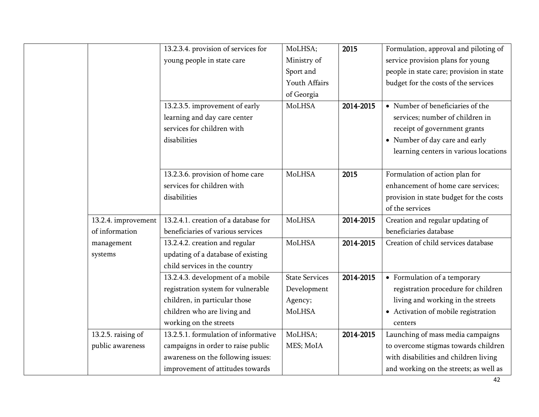|                     | 13.2.3.4. provision of services for  | MoLHSA;               | 2015      | Formulation, approval and piloting of    |
|---------------------|--------------------------------------|-----------------------|-----------|------------------------------------------|
|                     | young people in state care           | Ministry of           |           | service provision plans for young        |
|                     |                                      | Sport and             |           | people in state care; provision in state |
|                     |                                      | Youth Affairs         |           | budget for the costs of the services     |
|                     |                                      | of Georgia            |           |                                          |
|                     | 13.2.3.5. improvement of early       | MoLHSA                | 2014-2015 | • Number of beneficiaries of the         |
|                     | learning and day care center         |                       |           | services; number of children in          |
|                     | services for children with           |                       |           | receipt of government grants             |
|                     | disabilities                         |                       |           | • Number of day care and early           |
|                     |                                      |                       |           | learning centers in various locations    |
|                     |                                      |                       |           |                                          |
|                     | 13.2.3.6. provision of home care     | <b>MoLHSA</b>         | 2015      | Formulation of action plan for           |
|                     | services for children with           |                       |           | enhancement of home care services;       |
|                     | disabilities                         |                       |           | provision in state budget for the costs  |
|                     |                                      |                       |           | of the services                          |
| 13.2.4. improvement | 13.2.4.1. creation of a database for | <b>MoLHSA</b>         | 2014-2015 | Creation and regular updating of         |
| of information      | beneficiaries of various services    |                       |           | beneficiaries database                   |
| management          | 13.2.4.2. creation and regular       | MoLHSA                | 2014-2015 | Creation of child services database      |
| systems             | updating of a database of existing   |                       |           |                                          |
|                     | child services in the country        |                       |           |                                          |
|                     | 13.2.4.3. development of a mobile    | <b>State Services</b> | 2014-2015 | • Formulation of a temporary             |
|                     | registration system for vulnerable   | Development           |           | registration procedure for children      |
|                     | children, in particular those        | Agency;               |           | living and working in the streets        |
|                     | children who are living and          | MoLHSA                |           | - Activation of mobile registration      |
|                     | working on the streets               |                       |           | centers                                  |
| 13.2.5. raising of  | 13.2.5.1. formulation of informative | MoLHSA;               | 2014-2015 | Launching of mass media campaigns        |
| public awareness    | campaigns in order to raise public   | MES; MoIA             |           | to overcome stigmas towards children     |
|                     | awareness on the following issues:   |                       |           | with disabilities and children living    |
|                     | improvement of attitudes towards     |                       |           | and working on the streets; as well as   |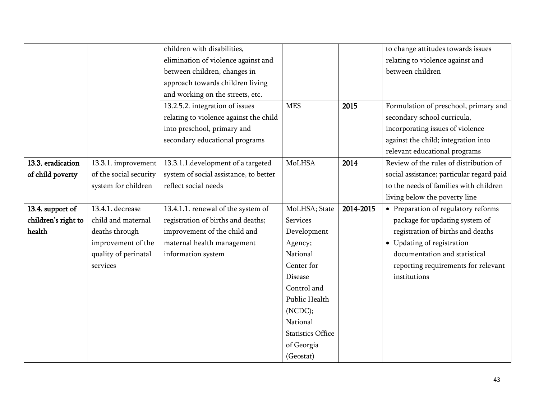|                     |                        | children with disabilities,            |                          |           | to change attitudes towards issues        |
|---------------------|------------------------|----------------------------------------|--------------------------|-----------|-------------------------------------------|
|                     |                        | elimination of violence against and    |                          |           | relating to violence against and          |
|                     |                        | between children, changes in           |                          |           | between children                          |
|                     |                        | approach towards children living       |                          |           |                                           |
|                     |                        | and working on the streets, etc.       |                          |           |                                           |
|                     |                        | 13.2.5.2. integration of issues        | <b>MES</b>               | 2015      | Formulation of preschool, primary and     |
|                     |                        | relating to violence against the child |                          |           | secondary school curricula,               |
|                     |                        | into preschool, primary and            |                          |           | incorporating issues of violence          |
|                     |                        | secondary educational programs         |                          |           | against the child; integration into       |
|                     |                        |                                        |                          |           | relevant educational programs             |
| 13.3. eradication   | 13.3.1. improvement    | 13.3.1.1.development of a targeted     | <b>MoLHSA</b>            | 2014      | Review of the rules of distribution of    |
| of child poverty    | of the social security | system of social assistance, to better |                          |           | social assistance; particular regard paid |
|                     | system for children    | reflect social needs                   |                          |           | to the needs of families with children    |
|                     |                        |                                        |                          |           | living below the poverty line             |
| 13.4. support of    | 13.4.1. decrease       | 13.4.1.1. renewal of the system of     | MoLHSA; State            | 2014-2015 | • Preparation of regulatory reforms       |
| children's right to | child and maternal     | registration of births and deaths;     | Services                 |           | package for updating system of            |
| health              | deaths through         | improvement of the child and           | Development              |           | registration of births and deaths         |
|                     | improvement of the     | maternal health management             | Agency;                  |           | • Updating of registration                |
|                     | quality of perinatal   | information system                     | National                 |           | documentation and statistical             |
|                     | services               |                                        | Center for               |           | reporting requirements for relevant       |
|                     |                        |                                        | <b>Disease</b>           |           | institutions                              |
|                     |                        |                                        | Control and              |           |                                           |
|                     |                        |                                        | Public Health            |           |                                           |
|                     |                        |                                        | (NCDC);                  |           |                                           |
|                     |                        |                                        | National                 |           |                                           |
|                     |                        |                                        | <b>Statistics Office</b> |           |                                           |
|                     |                        |                                        | of Georgia               |           |                                           |
|                     |                        |                                        | (Geostat)                |           |                                           |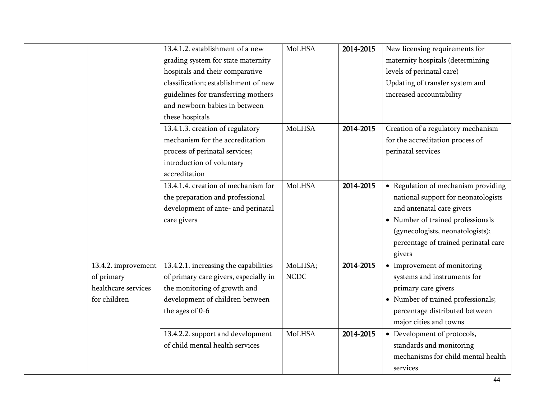|                     | 13.4.1.2. establishment of a new      | MoLHSA        | 2014-2015 | New licensing requirements for       |
|---------------------|---------------------------------------|---------------|-----------|--------------------------------------|
|                     | grading system for state maternity    |               |           | maternity hospitals (determining     |
|                     | hospitals and their comparative       |               |           | levels of perinatal care)            |
|                     | classification; establishment of new  |               |           | Updating of transfer system and      |
|                     | guidelines for transferring mothers   |               |           | increased accountability             |
|                     | and newborn babies in between         |               |           |                                      |
|                     | these hospitals                       |               |           |                                      |
|                     | 13.4.1.3. creation of regulatory      | <b>MoLHSA</b> | 2014-2015 | Creation of a regulatory mechanism   |
|                     | mechanism for the accreditation       |               |           | for the accreditation process of     |
|                     | process of perinatal services;        |               |           | perinatal services                   |
|                     | introduction of voluntary             |               |           |                                      |
|                     | accreditation                         |               |           |                                      |
|                     | 13.4.1.4. creation of mechanism for   | MoLHSA        | 2014-2015 | • Regulation of mechanism providing  |
|                     | the preparation and professional      |               |           | national support for neonatologists  |
|                     | development of ante- and perinatal    |               |           | and antenatal care givers            |
|                     | care givers                           |               |           | • Number of trained professionals    |
|                     |                                       |               |           | (gynecologists, neonatologists);     |
|                     |                                       |               |           | percentage of trained perinatal care |
|                     |                                       |               |           | givers                               |
| 13.4.2. improvement | 13.4.2.1. increasing the capabilities | MoLHSA;       | 2014-2015 | • Improvement of monitoring          |
| of primary          | of primary care givers, especially in | <b>NCDC</b>   |           | systems and instruments for          |
| healthcare services | the monitoring of growth and          |               |           | primary care givers                  |
| for children        | development of children between       |               |           | • Number of trained professionals;   |
|                     | the ages of 0-6                       |               |           | percentage distributed between       |
|                     |                                       |               |           | major cities and towns               |
|                     | 13.4.2.2. support and development     | <b>MoLHSA</b> | 2014-2015 | • Development of protocols,          |
|                     | of child mental health services       |               |           | standards and monitoring             |
|                     |                                       |               |           | mechanisms for child mental health   |
|                     |                                       |               |           | services                             |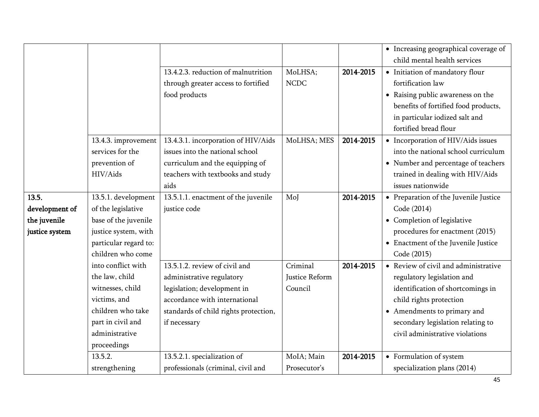|                |                       |                                       |                |           | • Increasing geographical coverage of |
|----------------|-----------------------|---------------------------------------|----------------|-----------|---------------------------------------|
|                |                       |                                       |                |           | child mental health services          |
|                |                       | 13.4.2.3. reduction of malnutrition   | MoLHSA;        | 2014-2015 | • Initiation of mandatory flour       |
|                |                       | through greater access to fortified   | <b>NCDC</b>    |           | fortification law                     |
|                |                       | food products                         |                |           | • Raising public awareness on the     |
|                |                       |                                       |                |           | benefits of fortified food products,  |
|                |                       |                                       |                |           | in particular iodized salt and        |
|                |                       |                                       |                |           | fortified bread flour                 |
|                | 13.4.3. improvement   | 13.4.3.1. incorporation of HIV/Aids   | MoLHSA; MES    | 2014-2015 | • Incorporation of HIV/Aids issues    |
|                | services for the      | issues into the national school       |                |           | into the national school curriculum   |
|                | prevention of         | curriculum and the equipping of       |                |           | • Number and percentage of teachers   |
|                | HIV/Aids              | teachers with textbooks and study     |                |           | trained in dealing with HIV/Aids      |
|                |                       | aids                                  |                |           | issues nationwide                     |
| 13.5.          | 13.5.1. development   | 13.5.1.1. enactment of the juvenile   | MoJ            | 2014-2015 | • Preparation of the Juvenile Justice |
| development of | of the legislative    | justice code                          |                |           | Code (2014)                           |
| the juvenile   | base of the juvenile  |                                       |                |           | • Completion of legislative           |
| justice system | justice system, with  |                                       |                |           | procedures for enactment (2015)       |
|                | particular regard to: |                                       |                |           | • Enactment of the Juvenile Justice   |
|                | children who come     |                                       |                |           | Code (2015)                           |
|                | into conflict with    | 13.5.1.2. review of civil and         | Criminal       | 2014-2015 | • Review of civil and administrative  |
|                | the law, child        | administrative regulatory             | Justice Reform |           | regulatory legislation and            |
|                | witnesses, child      | legislation; development in           | Council        |           | identification of shortcomings in     |
|                | victims, and          | accordance with international         |                |           | child rights protection               |
|                | children who take     | standards of child rights protection, |                |           | • Amendments to primary and           |
|                | part in civil and     | if necessary                          |                |           | secondary legislation relating to     |
|                | administrative        |                                       |                |           | civil administrative violations       |
|                | proceedings           |                                       |                |           |                                       |
|                | 13.5.2.               | 13.5.2.1. specialization of           | MoIA; Main     | 2014-2015 | • Formulation of system               |
|                | strengthening         | professionals (criminal, civil and    | Prosecutor's   |           | specialization plans (2014)           |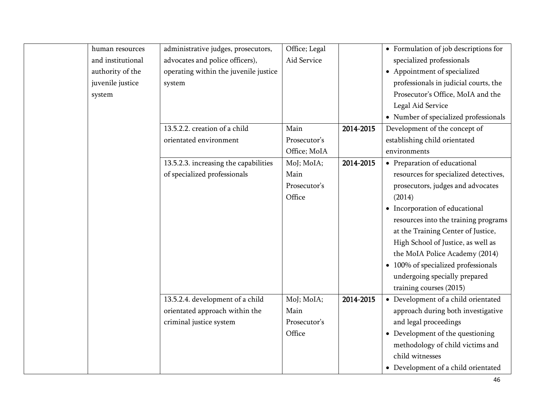| human resources   | administrative judges, prosecutors,   | Office; Legal |           | • Formulation of job descriptions for |
|-------------------|---------------------------------------|---------------|-----------|---------------------------------------|
| and institutional | advocates and police officers),       | Aid Service   |           | specialized professionals             |
| authority of the  | operating within the juvenile justice |               |           | • Appointment of specialized          |
| juvenile justice  | system                                |               |           | professionals in judicial courts, the |
| system            |                                       |               |           | Prosecutor's Office, MoIA and the     |
|                   |                                       |               |           | Legal Aid Service                     |
|                   |                                       |               |           | • Number of specialized professionals |
|                   | 13.5.2.2. creation of a child         | Main          | 2014-2015 | Development of the concept of         |
|                   | orientated environment                | Prosecutor's  |           | establishing child orientated         |
|                   |                                       | Office; MoIA  |           | environments                          |
|                   | 13.5.2.3. increasing the capabilities | MoJ; MoIA;    | 2014-2015 | • Preparation of educational          |
|                   | of specialized professionals          | Main          |           | resources for specialized detectives, |
|                   |                                       | Prosecutor's  |           | prosecutors, judges and advocates     |
|                   |                                       | Office        |           | (2014)                                |
|                   |                                       |               |           | • Incorporation of educational        |
|                   |                                       |               |           | resources into the training programs  |
|                   |                                       |               |           | at the Training Center of Justice,    |
|                   |                                       |               |           | High School of Justice, as well as    |
|                   |                                       |               |           | the MoIA Police Academy (2014)        |
|                   |                                       |               |           | • 100% of specialized professionals   |
|                   |                                       |               |           | undergoing specially prepared         |
|                   |                                       |               |           | training courses (2015)               |
|                   | 13.5.2.4. development of a child      | MoJ; MoIA;    | 2014-2015 | • Development of a child orientated   |
|                   | orientated approach within the        | Main          |           | approach during both investigative    |
|                   | criminal justice system               | Prosecutor's  |           | and legal proceedings                 |
|                   |                                       | Office        |           | • Development of the questioning      |
|                   |                                       |               |           | methodology of child victims and      |
|                   |                                       |               |           | child witnesses                       |
|                   |                                       |               |           | • Development of a child orientated   |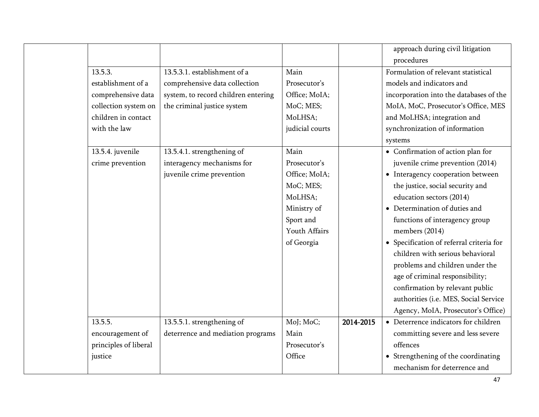|                       |                                     |                 |           | approach during civil litigation         |
|-----------------------|-------------------------------------|-----------------|-----------|------------------------------------------|
|                       |                                     |                 |           | procedures                               |
| 13.5.3.               | 13.5.3.1. establishment of a        | Main            |           | Formulation of relevant statistical      |
| establishment of a    | comprehensive data collection       | Prosecutor's    |           | models and indicators and                |
| comprehensive data    | system, to record children entering | Office; MoIA;   |           | incorporation into the databases of the  |
| collection system on  | the criminal justice system         | MoC; MES;       |           | MoIA, MoC, Prosecutor's Office, MES      |
| children in contact   |                                     | MoLHSA;         |           | and MoLHSA; integration and              |
| with the law          |                                     | judicial courts |           | synchronization of information           |
|                       |                                     |                 |           | systems                                  |
| 13.5.4. juvenile      | 13.5.4.1. strengthening of          | Main            |           | • Confirmation of action plan for        |
| crime prevention      | interagency mechanisms for          | Prosecutor's    |           | juvenile crime prevention (2014)         |
|                       | juvenile crime prevention           | Office; MoIA;   |           | • Interagency cooperation between        |
|                       |                                     | MoC; MES;       |           | the justice, social security and         |
|                       |                                     | MoLHSA;         |           | education sectors (2014)                 |
|                       |                                     | Ministry of     |           | • Determination of duties and            |
|                       |                                     | Sport and       |           | functions of interagency group           |
|                       |                                     | Youth Affairs   |           | members (2014)                           |
|                       |                                     | of Georgia      |           | • Specification of referral criteria for |
|                       |                                     |                 |           | children with serious behavioral         |
|                       |                                     |                 |           | problems and children under the          |
|                       |                                     |                 |           | age of criminal responsibility;          |
|                       |                                     |                 |           | confirmation by relevant public          |
|                       |                                     |                 |           | authorities (i.e. MES, Social Service    |
|                       |                                     |                 |           | Agency, MoIA, Prosecutor's Office)       |
| 13.5.5.               | 13.5.5.1. strengthening of          | MoJ; MoC;       | 2014-2015 | • Deterrence indicators for children     |
| encouragement of      | deterrence and mediation programs   | Main            |           | committing severe and less severe        |
| principles of liberal |                                     | Prosecutor's    |           | offences                                 |
| justice               |                                     | Office          |           | • Strengthening of the coordinating      |
|                       |                                     |                 |           | mechanism for deterrence and             |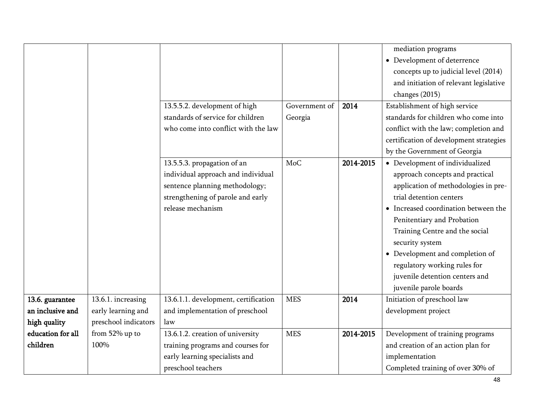|                   |                      |                                      |               |           | mediation programs                      |
|-------------------|----------------------|--------------------------------------|---------------|-----------|-----------------------------------------|
|                   |                      |                                      |               |           | • Development of deterrence             |
|                   |                      |                                      |               |           | concepts up to judicial level (2014)    |
|                   |                      |                                      |               |           | and initiation of relevant legislative  |
|                   |                      |                                      |               |           | changes (2015)                          |
|                   |                      | 13.5.5.2. development of high        | Government of | 2014      | Establishment of high service           |
|                   |                      | standards of service for children    | Georgia       |           | standards for children who come into    |
|                   |                      | who come into conflict with the law  |               |           | conflict with the law; completion and   |
|                   |                      |                                      |               |           | certification of development strategies |
|                   |                      |                                      |               |           | by the Government of Georgia            |
|                   |                      | 13.5.5.3. propagation of an          | <b>MoC</b>    | 2014-2015 | • Development of individualized         |
|                   |                      | individual approach and individual   |               |           | approach concepts and practical         |
|                   |                      | sentence planning methodology;       |               |           | application of methodologies in pre-    |
|                   |                      | strengthening of parole and early    |               |           | trial detention centers                 |
|                   |                      | release mechanism                    |               |           | • Increased coordination between the    |
|                   |                      |                                      |               |           | Penitentiary and Probation              |
|                   |                      |                                      |               |           | Training Centre and the social          |
|                   |                      |                                      |               |           | security system                         |
|                   |                      |                                      |               |           | • Development and completion of         |
|                   |                      |                                      |               |           | regulatory working rules for            |
|                   |                      |                                      |               |           | juvenile detention centers and          |
|                   |                      |                                      |               |           | juvenile parole boards                  |
| 13.6. guarantee   | 13.6.1. increasing   | 13.6.1.1. development, certification | <b>MES</b>    | 2014      | Initiation of preschool law             |
| an inclusive and  | early learning and   | and implementation of preschool      |               |           | development project                     |
| high quality      | preschool indicators | law                                  |               |           |                                         |
| education for all | from 52% up to       | 13.6.1.2. creation of university     | <b>MES</b>    | 2014-2015 | Development of training programs        |
| children          | 100%                 | training programs and courses for    |               |           | and creation of an action plan for      |
|                   |                      | early learning specialists and       |               |           | implementation                          |
|                   |                      | preschool teachers                   |               |           | Completed training of over 30% of       |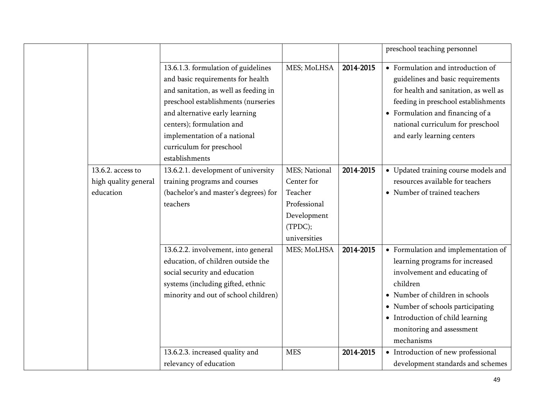|                      |                                       |               |           | preschool teaching personnel          |
|----------------------|---------------------------------------|---------------|-----------|---------------------------------------|
|                      | 13.6.1.3. formulation of guidelines   | MES; MoLHSA   | 2014-2015 | • Formulation and introduction of     |
|                      | and basic requirements for health     |               |           | guidelines and basic requirements     |
|                      | and sanitation, as well as feeding in |               |           | for health and sanitation, as well as |
|                      | preschool establishments (nurseries   |               |           | feeding in preschool establishments   |
|                      | and alternative early learning        |               |           | • Formulation and financing of a      |
|                      | centers); formulation and             |               |           | national curriculum for preschool     |
|                      | implementation of a national          |               |           | and early learning centers            |
|                      | curriculum for preschool              |               |           |                                       |
|                      | establishments                        |               |           |                                       |
| 13.6.2. access to    | 13.6.2.1. development of university   | MES; National | 2014-2015 | • Updated training course models and  |
| high quality general | training programs and courses         | Center for    |           | resources available for teachers      |
| education            | (bachelor's and master's degrees) for | Teacher       |           | • Number of trained teachers          |
|                      | teachers                              | Professional  |           |                                       |
|                      |                                       | Development   |           |                                       |
|                      |                                       | (TPDC);       |           |                                       |
|                      |                                       | universities  |           |                                       |
|                      | 13.6.2.2. involvement, into general   | MES; MoLHSA   | 2014-2015 | • Formulation and implementation of   |
|                      | education, of children outside the    |               |           | learning programs for increased       |
|                      | social security and education         |               |           | involvement and educating of          |
|                      | systems (including gifted, ethnic     |               |           | children                              |
|                      | minority and out of school children)  |               |           | • Number of children in schools       |
|                      |                                       |               |           | • Number of schools participating     |
|                      |                                       |               |           | • Introduction of child learning      |
|                      |                                       |               |           | monitoring and assessment             |
|                      |                                       |               |           | mechanisms                            |
|                      | 13.6.2.3. increased quality and       | <b>MES</b>    | 2014-2015 | • Introduction of new professional    |
|                      | relevancy of education                |               |           | development standards and schemes     |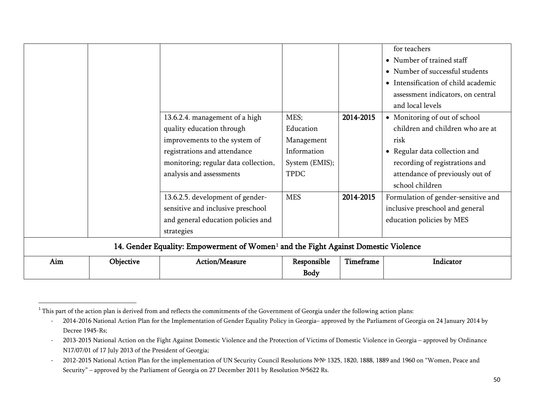<span id="page-49-0"></span>

|     |                                                                                                |                                      |                |           | for teachers                        |  |  |
|-----|------------------------------------------------------------------------------------------------|--------------------------------------|----------------|-----------|-------------------------------------|--|--|
|     |                                                                                                |                                      |                |           | • Number of trained staff           |  |  |
|     |                                                                                                |                                      |                |           | • Number of successful students     |  |  |
|     |                                                                                                |                                      |                |           | • Intensification of child academic |  |  |
|     |                                                                                                |                                      |                |           | assessment indicators, on central   |  |  |
|     |                                                                                                |                                      |                |           | and local levels                    |  |  |
|     |                                                                                                | 13.6.2.4. management of a high       | MES;           | 2014-2015 | • Monitoring of out of school       |  |  |
|     |                                                                                                | quality education through            | Education      |           | children and children who are at    |  |  |
|     |                                                                                                | improvements to the system of        | Management     |           | risk                                |  |  |
|     |                                                                                                | registrations and attendance         | Information    |           | • Regular data collection and       |  |  |
|     |                                                                                                | monitoring; regular data collection, | System (EMIS); |           | recording of registrations and      |  |  |
|     |                                                                                                | analysis and assessments             | <b>TPDC</b>    |           | attendance of previously out of     |  |  |
|     |                                                                                                |                                      |                |           | school children                     |  |  |
|     |                                                                                                | 13.6.2.5. development of gender-     | <b>MES</b>     | 2014-2015 | Formulation of gender-sensitive and |  |  |
|     |                                                                                                | sensitive and inclusive preschool    |                |           | inclusive preschool and general     |  |  |
|     |                                                                                                | and general education policies and   |                |           | education policies by MES           |  |  |
|     |                                                                                                | strategies                           |                |           |                                     |  |  |
|     | 14. Gender Equality: Empowerment of Women <sup>1</sup> and the Fight Against Domestic Violence |                                      |                |           |                                     |  |  |
| Aim | Objective                                                                                      | Action/Measure                       | Responsible    | Timeframe | Indicator                           |  |  |
|     |                                                                                                |                                      | Body           |           |                                     |  |  |

<sup>&</sup>lt;sup>1</sup> This part of the action plan is derived from and reflects the commitments of the Government of Georgia under the following action plans:

<sup>-</sup> 2014-2016 National Action Plan for the Implementation of Gender Equality Policy in Georgia– approved by the Parliament of Georgia on 24 January 2014 by Decree 1945-Rs;

<sup>-</sup> 2013-2015 National Action on the Fight Against Domestic Violence and the Protection of Victims of Domestic Violence in Georgia – approved by Ordinance N17/07/01 of 17 July 2013 of the President of Georgia;

<sup>-</sup> 2012-2015 National Action Plan for the implementation of UN Security Council Resolutions №№ 1325, 1820, 1888, 1889 and 1960 on "Women, Peace and Security" – approved by the Parliament of Georgia on 27 December 2011 by Resolution №5622 Rs.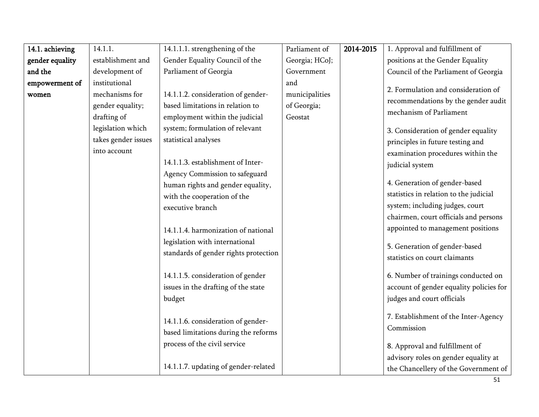| 14.1. achieving | 14.1.1.             | 14.1.1.1. strengthening of the        | Parliament of  | 2014-2015 | 1. Approval and fulfillment of          |
|-----------------|---------------------|---------------------------------------|----------------|-----------|-----------------------------------------|
| gender equality | establishment and   | Gender Equality Council of the        | Georgia; HCoJ; |           | positions at the Gender Equality        |
| and the         | development of      | Parliament of Georgia                 | Government     |           | Council of the Parliament of Georgia    |
| empowerment of  | institutional       |                                       | and            |           | 2. Formulation and consideration of     |
| women           | mechanisms for      | 14.1.1.2. consideration of gender-    | municipalities |           | recommendations by the gender audit     |
|                 | gender equality;    | based limitations in relation to      | of Georgia;    |           | mechanism of Parliament                 |
|                 | drafting of         | employment within the judicial        | Geostat        |           |                                         |
|                 | legislation which   | system; formulation of relevant       |                |           | 3. Consideration of gender equality     |
|                 | takes gender issues | statistical analyses                  |                |           | principles in future testing and        |
|                 | into account        |                                       |                |           | examination procedures within the       |
|                 |                     | 14.1.1.3. establishment of Inter-     |                |           | judicial system                         |
|                 |                     | Agency Commission to safeguard        |                |           |                                         |
|                 |                     | human rights and gender equality,     |                |           | 4. Generation of gender-based           |
|                 |                     | with the cooperation of the           |                |           | statistics in relation to the judicial  |
|                 |                     | executive branch                      |                |           | system; including judges, court         |
|                 |                     |                                       |                |           | chairmen, court officials and persons   |
|                 |                     | 14.1.1.4. harmonization of national   |                |           | appointed to management positions       |
|                 |                     | legislation with international        |                |           | 5. Generation of gender-based           |
|                 |                     | standards of gender rights protection |                |           | statistics on court claimants           |
|                 |                     |                                       |                |           |                                         |
|                 |                     | 14.1.1.5. consideration of gender     |                |           | 6. Number of trainings conducted on     |
|                 |                     | issues in the drafting of the state   |                |           | account of gender equality policies for |
|                 |                     | budget                                |                |           | judges and court officials              |
|                 |                     |                                       |                |           |                                         |
|                 |                     | 14.1.1.6. consideration of gender-    |                |           | 7. Establishment of the Inter-Agency    |
|                 |                     | based limitations during the reforms  |                |           | Commission                              |
|                 |                     | process of the civil service          |                |           | 8. Approval and fulfillment of          |
|                 |                     |                                       |                |           | advisory roles on gender equality at    |
|                 |                     | 14.1.1.7. updating of gender-related  |                |           | the Chancellery of the Government of    |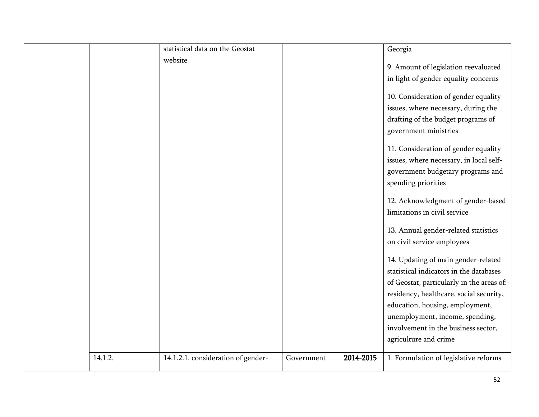|         | statistical data on the Geostat    |            |           | Georgia                                                                                                                                     |
|---------|------------------------------------|------------|-----------|---------------------------------------------------------------------------------------------------------------------------------------------|
|         | website                            |            |           | 9. Amount of legislation reevaluated<br>in light of gender equality concerns                                                                |
|         |                                    |            |           | 10. Consideration of gender equality<br>issues, where necessary, during the<br>drafting of the budget programs of<br>government ministries  |
|         |                                    |            |           | 11. Consideration of gender equality<br>issues, where necessary, in local self-<br>government budgetary programs and<br>spending priorities |
|         |                                    |            |           | 12. Acknowledgment of gender-based<br>limitations in civil service                                                                          |
|         |                                    |            |           | 13. Annual gender-related statistics<br>on civil service employees                                                                          |
|         |                                    |            |           | 14. Updating of main gender-related<br>statistical indicators in the databases                                                              |
|         |                                    |            |           | of Geostat, particularly in the areas of:<br>residency, healthcare, social security,<br>education, housing, employment,                     |
|         |                                    |            |           | unemployment, income, spending,<br>involvement in the business sector,<br>agriculture and crime                                             |
| 14.1.2. | 14.1.2.1. consideration of gender- | Government | 2014-2015 | 1. Formulation of legislative reforms                                                                                                       |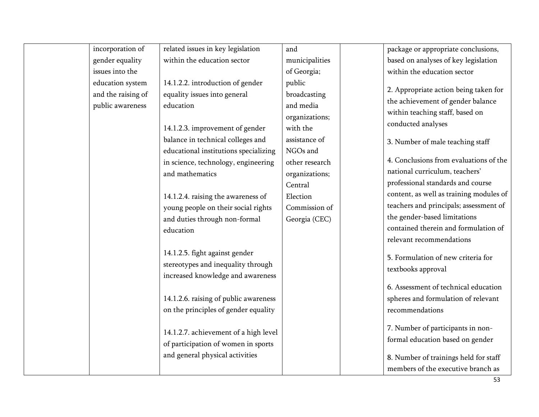| incorporation of                                           | related issues in key legislation                                                                                                                                                                                                                                                                                                                                                   | and                                                                                                                                                                                         | package or appropriate conclusions,                                                                                                                                                                                                                                                                                                                                                                                                                                               |
|------------------------------------------------------------|-------------------------------------------------------------------------------------------------------------------------------------------------------------------------------------------------------------------------------------------------------------------------------------------------------------------------------------------------------------------------------------|---------------------------------------------------------------------------------------------------------------------------------------------------------------------------------------------|-----------------------------------------------------------------------------------------------------------------------------------------------------------------------------------------------------------------------------------------------------------------------------------------------------------------------------------------------------------------------------------------------------------------------------------------------------------------------------------|
| gender equality                                            | within the education sector                                                                                                                                                                                                                                                                                                                                                         | municipalities                                                                                                                                                                              | based on analyses of key legislation                                                                                                                                                                                                                                                                                                                                                                                                                                              |
| issues into the                                            |                                                                                                                                                                                                                                                                                                                                                                                     | of Georgia;                                                                                                                                                                                 | within the education sector                                                                                                                                                                                                                                                                                                                                                                                                                                                       |
| education system<br>and the raising of<br>public awareness | 14.1.2.2. introduction of gender<br>equality issues into general<br>education<br>14.1.2.3. improvement of gender<br>balance in technical colleges and<br>educational institutions specializing<br>in science, technology, engineering<br>and mathematics<br>14.1.2.4. raising the awareness of<br>young people on their social rights<br>and duties through non-formal<br>education | public<br>broadcasting<br>and media<br>organizations;<br>with the<br>assistance of<br>NGOs and<br>other research<br>organizations;<br>Central<br>Election<br>Commission of<br>Georgia (CEC) | 2. Appropriate action being taken for<br>the achievement of gender balance<br>within teaching staff, based on<br>conducted analyses<br>3. Number of male teaching staff<br>4. Conclusions from evaluations of the<br>national curriculum, teachers'<br>professional standards and course<br>content, as well as training modules of<br>teachers and principals; assessment of<br>the gender-based limitations<br>contained therein and formulation of<br>relevant recommendations |
|                                                            | 14.1.2.5. fight against gender<br>stereotypes and inequality through<br>increased knowledge and awareness<br>14.1.2.6. raising of public awareness<br>on the principles of gender equality<br>14.1.2.7. achievement of a high level<br>of participation of women in sports<br>and general physical activities                                                                       |                                                                                                                                                                                             | 5. Formulation of new criteria for<br>textbooks approval<br>6. Assessment of technical education<br>spheres and formulation of relevant<br>recommendations<br>7. Number of participants in non-<br>formal education based on gender<br>8. Number of trainings held for staff<br>members of the executive branch as                                                                                                                                                                |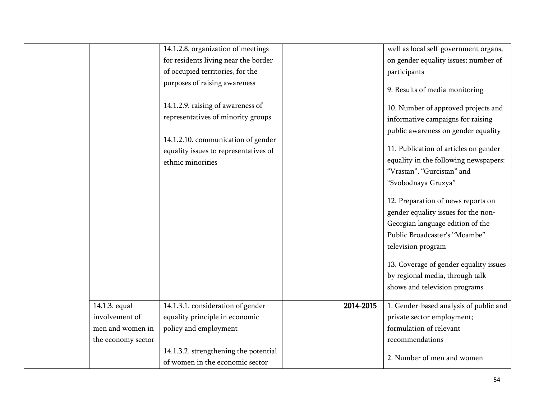|                                                                                                           | well as local self-government organs, |
|-----------------------------------------------------------------------------------------------------------|---------------------------------------|
| for residents living near the border<br>on gender equality issues; number of                              |                                       |
| of occupied territories, for the<br>participants                                                          |                                       |
| purposes of raising awareness<br>9. Results of media monitoring                                           |                                       |
| 14.1.2.9. raising of awareness of<br>10. Number of approved projects and                                  |                                       |
| representatives of minority groups<br>informative campaigns for raising                                   |                                       |
| public awareness on gender equality                                                                       |                                       |
| 14.1.2.10. communication of gender                                                                        |                                       |
| 11. Publication of articles on gender<br>equality issues to representatives of                            |                                       |
| equality in the following newspapers:<br>ethnic minorities                                                |                                       |
| "Vrastan", "Gurcistan" and                                                                                |                                       |
| "Svobodnaya Gruzya"                                                                                       |                                       |
| 12. Preparation of news reports on                                                                        |                                       |
| gender equality issues for the non-                                                                       |                                       |
| Georgian language edition of the                                                                          |                                       |
| Public Broadcaster's "Moambe"                                                                             |                                       |
| television program                                                                                        |                                       |
|                                                                                                           |                                       |
| 13. Coverage of gender equality issues                                                                    |                                       |
| by regional media, through talk-                                                                          |                                       |
| shows and television programs                                                                             |                                       |
| 14.1.3.1. consideration of gender<br>14.1.3. equal<br>2014-2015<br>1. Gender-based analysis of public and |                                       |
| equality principle in economic<br>involvement of<br>private sector employment;                            |                                       |
| formulation of relevant<br>policy and employment<br>men and women in                                      |                                       |
| recommendations<br>the economy sector                                                                     |                                       |
| 14.1.3.2. strengthening the potential                                                                     |                                       |
| 2. Number of men and women<br>of women in the economic sector                                             |                                       |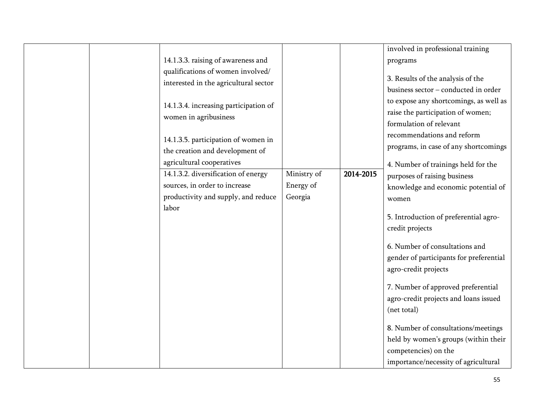|  |                                       |             |           | involved in professional training       |
|--|---------------------------------------|-------------|-----------|-----------------------------------------|
|  | 14.1.3.3. raising of awareness and    |             |           | programs                                |
|  | qualifications of women involved/     |             |           |                                         |
|  | interested in the agricultural sector |             |           | 3. Results of the analysis of the       |
|  |                                       |             |           | business sector - conducted in order    |
|  |                                       |             |           | to expose any shortcomings, as well as  |
|  | 14.1.3.4. increasing participation of |             |           | raise the participation of women;       |
|  | women in agribusiness                 |             |           | formulation of relevant                 |
|  |                                       |             |           |                                         |
|  | 14.1.3.5. participation of women in   |             |           | recommendations and reform              |
|  | the creation and development of       |             |           | programs, in case of any shortcomings   |
|  | agricultural cooperatives             |             |           |                                         |
|  |                                       | Ministry of | 2014-2015 | 4. Number of trainings held for the     |
|  | 14.1.3.2. diversification of energy   |             |           | purposes of raising business            |
|  | sources, in order to increase         | Energy of   |           | knowledge and economic potential of     |
|  | productivity and supply, and reduce   | Georgia     |           | women                                   |
|  | labor                                 |             |           |                                         |
|  |                                       |             |           | 5. Introduction of preferential agro-   |
|  |                                       |             |           | credit projects                         |
|  |                                       |             |           |                                         |
|  |                                       |             |           | 6. Number of consultations and          |
|  |                                       |             |           | gender of participants for preferential |
|  |                                       |             |           | agro-credit projects                    |
|  |                                       |             |           |                                         |
|  |                                       |             |           | 7. Number of approved preferential      |
|  |                                       |             |           | agro-credit projects and loans issued   |
|  |                                       |             |           | (net total)                             |
|  |                                       |             |           |                                         |
|  |                                       |             |           | 8. Number of consultations/meetings     |
|  |                                       |             |           | held by women's groups (within their    |
|  |                                       |             |           |                                         |
|  |                                       |             |           | competencies) on the                    |
|  |                                       |             |           | importance/necessity of agricultural    |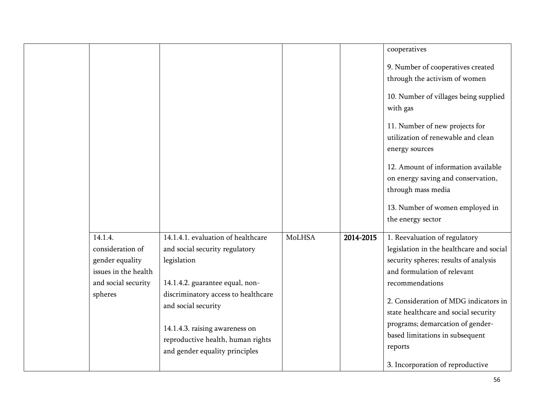|                                                                                                          |                                                                                                                                                                                                                                                                                               |        |           | cooperatives                                                                                                                                                                                                                                                                                                                            |
|----------------------------------------------------------------------------------------------------------|-----------------------------------------------------------------------------------------------------------------------------------------------------------------------------------------------------------------------------------------------------------------------------------------------|--------|-----------|-----------------------------------------------------------------------------------------------------------------------------------------------------------------------------------------------------------------------------------------------------------------------------------------------------------------------------------------|
|                                                                                                          |                                                                                                                                                                                                                                                                                               |        |           | 9. Number of cooperatives created                                                                                                                                                                                                                                                                                                       |
|                                                                                                          |                                                                                                                                                                                                                                                                                               |        |           | through the activism of women                                                                                                                                                                                                                                                                                                           |
|                                                                                                          |                                                                                                                                                                                                                                                                                               |        |           | 10. Number of villages being supplied<br>with gas                                                                                                                                                                                                                                                                                       |
|                                                                                                          |                                                                                                                                                                                                                                                                                               |        |           | 11. Number of new projects for<br>utilization of renewable and clean<br>energy sources                                                                                                                                                                                                                                                  |
|                                                                                                          |                                                                                                                                                                                                                                                                                               |        |           | 12. Amount of information available<br>on energy saving and conservation,<br>through mass media                                                                                                                                                                                                                                         |
|                                                                                                          |                                                                                                                                                                                                                                                                                               |        |           | 13. Number of women employed in<br>the energy sector                                                                                                                                                                                                                                                                                    |
| 14.1.4.<br>consideration of<br>gender equality<br>issues in the health<br>and social security<br>spheres | 14.1.4.1. evaluation of healthcare<br>and social security regulatory<br>legislation<br>14.1.4.2. guarantee equal, non-<br>discriminatory access to healthcare<br>and social security<br>14.1.4.3. raising awareness on<br>reproductive health, human rights<br>and gender equality principles | MoLHSA | 2014-2015 | 1. Reevaluation of regulatory<br>legislation in the healthcare and social<br>security spheres; results of analysis<br>and formulation of relevant<br>recommendations<br>2. Consideration of MDG indicators in<br>state healthcare and social security<br>programs; demarcation of gender-<br>based limitations in subsequent<br>reports |
|                                                                                                          |                                                                                                                                                                                                                                                                                               |        |           | 3. Incorporation of reproductive                                                                                                                                                                                                                                                                                                        |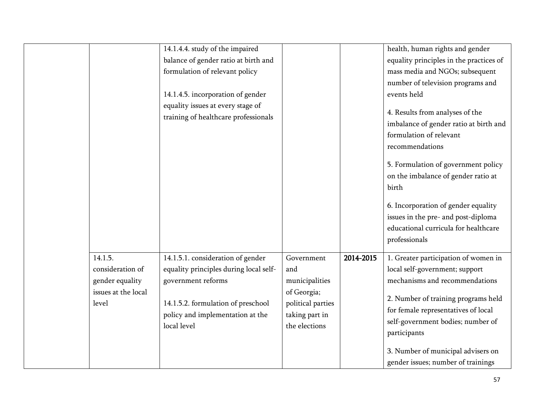|                     | 14.1.4.4. study of the impaired        |                   |           | health, human rights and gender         |
|---------------------|----------------------------------------|-------------------|-----------|-----------------------------------------|
|                     | balance of gender ratio at birth and   |                   |           | equality principles in the practices of |
|                     | formulation of relevant policy         |                   |           | mass media and NGOs; subsequent         |
|                     |                                        |                   |           | number of television programs and       |
|                     | 14.1.4.5. incorporation of gender      |                   |           | events held                             |
|                     | equality issues at every stage of      |                   |           |                                         |
|                     | training of healthcare professionals   |                   |           | 4. Results from analyses of the         |
|                     |                                        |                   |           | imbalance of gender ratio at birth and  |
|                     |                                        |                   |           | formulation of relevant                 |
|                     |                                        |                   |           | recommendations                         |
|                     |                                        |                   |           | 5. Formulation of government policy     |
|                     |                                        |                   |           | on the imbalance of gender ratio at     |
|                     |                                        |                   |           | birth                                   |
|                     |                                        |                   |           |                                         |
|                     |                                        |                   |           | 6. Incorporation of gender equality     |
|                     |                                        |                   |           | issues in the pre- and post-diploma     |
|                     |                                        |                   |           | educational curricula for healthcare    |
|                     |                                        |                   |           | professionals                           |
|                     |                                        |                   |           |                                         |
| 14.1.5.             | 14.1.5.1. consideration of gender      | Government        | 2014-2015 | 1. Greater participation of women in    |
| consideration of    | equality principles during local self- | and               |           | local self-government; support          |
| gender equality     | government reforms                     | municipalities    |           | mechanisms and recommendations          |
| issues at the local |                                        | of Georgia;       |           | 2. Number of training programs held     |
| level               | 14.1.5.2. formulation of preschool     | political parties |           | for female representatives of local     |
|                     | policy and implementation at the       | taking part in    |           | self-government bodies; number of       |
|                     | local level                            | the elections     |           | participants                            |
|                     |                                        |                   |           |                                         |
|                     |                                        |                   |           | 3. Number of municipal advisers on      |
|                     |                                        |                   |           | gender issues; number of trainings      |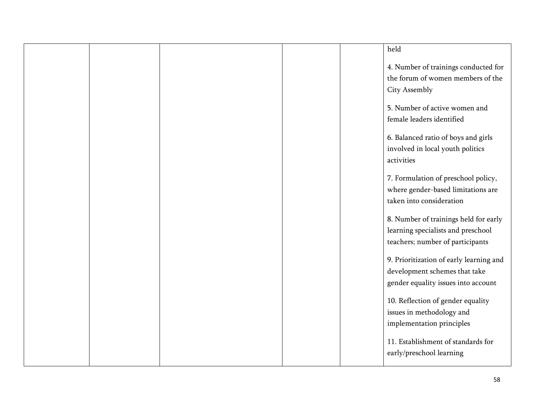|  |  | held                                                                                                            |
|--|--|-----------------------------------------------------------------------------------------------------------------|
|  |  | 4. Number of trainings conducted for                                                                            |
|  |  | the forum of women members of the                                                                               |
|  |  | City Assembly                                                                                                   |
|  |  | 5. Number of active women and                                                                                   |
|  |  | female leaders identified                                                                                       |
|  |  | 6. Balanced ratio of boys and girls<br>involved in local youth politics<br>activities                           |
|  |  | 7. Formulation of preschool policy,<br>where gender-based limitations are<br>taken into consideration           |
|  |  | 8. Number of trainings held for early<br>learning specialists and preschool<br>teachers; number of participants |
|  |  | 9. Prioritization of early learning and<br>development schemes that take<br>gender equality issues into account |
|  |  | 10. Reflection of gender equality<br>issues in methodology and<br>implementation principles                     |
|  |  | 11. Establishment of standards for<br>early/preschool learning                                                  |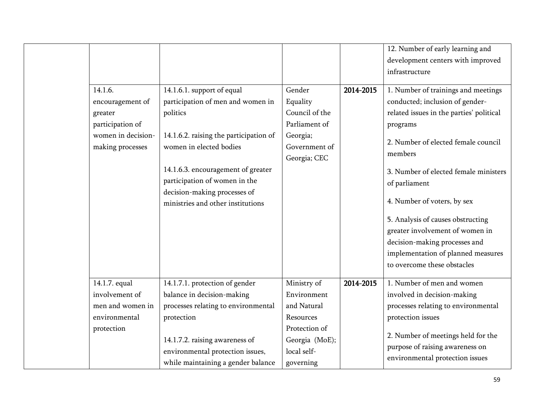|                                                                                                      |                                                                                                                                                                                                                                                                                              |                                                                                                                       |           | 12. Number of early learning and<br>development centers with improved<br>infrastructure                                                                                                                                                                                                                                                                                                                                                                 |
|------------------------------------------------------------------------------------------------------|----------------------------------------------------------------------------------------------------------------------------------------------------------------------------------------------------------------------------------------------------------------------------------------------|-----------------------------------------------------------------------------------------------------------------------|-----------|---------------------------------------------------------------------------------------------------------------------------------------------------------------------------------------------------------------------------------------------------------------------------------------------------------------------------------------------------------------------------------------------------------------------------------------------------------|
| 14.1.6.<br>encouragement of<br>greater<br>participation of<br>women in decision-<br>making processes | 14.1.6.1. support of equal<br>participation of men and women in<br>politics<br>14.1.6.2. raising the participation of<br>women in elected bodies<br>14.1.6.3. encouragement of greater<br>participation of women in the<br>decision-making processes of<br>ministries and other institutions | Gender<br>Equality<br>Council of the<br>Parliament of<br>Georgia;<br>Government of<br>Georgia; CEC                    | 2014-2015 | 1. Number of trainings and meetings<br>conducted; inclusion of gender-<br>related issues in the parties' political<br>programs<br>2. Number of elected female council<br>members<br>3. Number of elected female ministers<br>of parliament<br>4. Number of voters, by sex<br>5. Analysis of causes obstructing<br>greater involvement of women in<br>decision-making processes and<br>implementation of planned measures<br>to overcome these obstacles |
| 14.1.7. equal<br>involvement of<br>men and women in<br>environmental<br>protection                   | 14.1.7.1. protection of gender<br>balance in decision-making<br>processes relating to environmental<br>protection<br>14.1.7.2. raising awareness of<br>environmental protection issues,<br>while maintaining a gender balance                                                                | Ministry of<br>Environment<br>and Natural<br>Resources<br>Protection of<br>Georgia (MoE);<br>local self-<br>governing | 2014-2015 | 1. Number of men and women<br>involved in decision-making<br>processes relating to environmental<br>protection issues<br>2. Number of meetings held for the<br>purpose of raising awareness on<br>environmental protection issues                                                                                                                                                                                                                       |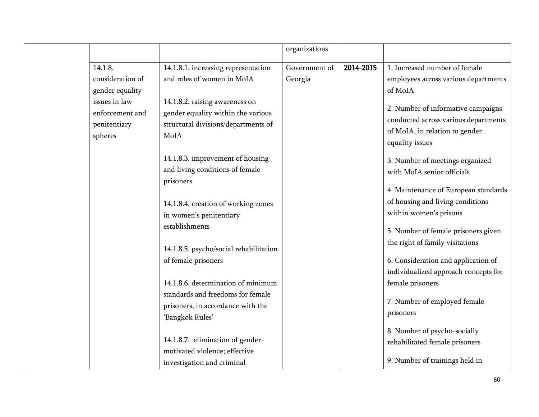|                  |                                        | organizations |           |                                      |
|------------------|----------------------------------------|---------------|-----------|--------------------------------------|
| 14.1.8.          | 14.1.8.1. increasing representation    | Government of | 2014-2015 | 1. Increased number of female        |
| consideration of | and roles of women in MoIA             | Georgia       |           | employees across various departments |
| gender equality  |                                        |               |           | of MoIA                              |
| issues in law    | 14.1.8.2. raising awareness on         |               |           | 2. Number of informative campaigns   |
| enforcement and  | gender equality within the various     |               |           | conducted across various departments |
| penitentiary     | structural divisions/departments of    |               |           | of MoIA, in relation to gender       |
| spheres          | MoIA                                   |               |           |                                      |
|                  |                                        |               |           | equality issues                      |
|                  | 14.1.8.3. improvement of housing       |               |           | 3. Number of meetings organized      |
|                  | and living conditions of female        |               |           | with MoIA senior officials           |
|                  | prisoners                              |               |           |                                      |
|                  |                                        |               |           | 4. Maintenance of European standards |
|                  | 14.1.8.4. creation of working zones    |               |           | of housing and living conditions     |
|                  | in women's penitentiary                |               |           | within women's prisons               |
|                  | establishments                         |               |           | 5. Number of female prisoners given  |
|                  |                                        |               |           | the right of family visitations      |
|                  | 14.1.8.5. psycho/social rehabilitation |               |           |                                      |
|                  | of female prisoners                    |               |           | 6. Consideration and application of  |
|                  |                                        |               |           | individualized approach concepts for |
|                  | 14.1.8.6. determination of minimum     |               |           | female prisoners                     |
|                  | standards and freedoms for female      |               |           | 7. Number of employed female         |
|                  | prisoners, in accordance with the      |               |           | prisoners                            |
|                  | 'Bangkok Rules'                        |               |           |                                      |
|                  |                                        |               |           | 8. Number of psycho-socially         |
|                  | 14.1.8.7. elimination of gender-       |               |           | rehabilitated female prisoners       |
|                  | motivated violence; effective          |               |           |                                      |
|                  | investigation and criminal             |               |           | 9. Number of trainings held in       |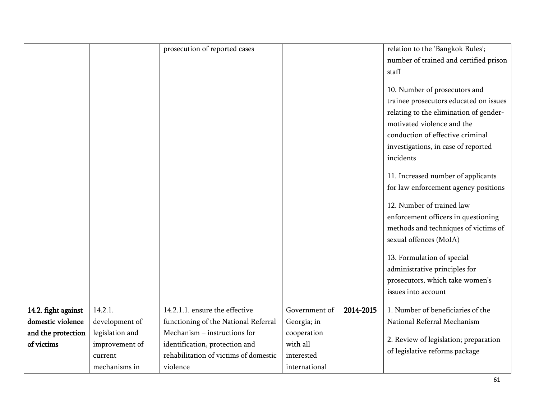|                     |                 | prosecution of reported cases         |               |           | relation to the 'Bangkok Rules';       |
|---------------------|-----------------|---------------------------------------|---------------|-----------|----------------------------------------|
|                     |                 |                                       |               |           | number of trained and certified prison |
|                     |                 |                                       |               |           | staff                                  |
|                     |                 |                                       |               |           | 10. Number of prosecutors and          |
|                     |                 |                                       |               |           | trainee prosecutors educated on issues |
|                     |                 |                                       |               |           |                                        |
|                     |                 |                                       |               |           | relating to the elimination of gender- |
|                     |                 |                                       |               |           | motivated violence and the             |
|                     |                 |                                       |               |           | conduction of effective criminal       |
|                     |                 |                                       |               |           | investigations, in case of reported    |
|                     |                 |                                       |               |           | incidents                              |
|                     |                 |                                       |               |           | 11. Increased number of applicants     |
|                     |                 |                                       |               |           | for law enforcement agency positions   |
|                     |                 |                                       |               |           |                                        |
|                     |                 |                                       |               |           | 12. Number of trained law              |
|                     |                 |                                       |               |           | enforcement officers in questioning    |
|                     |                 |                                       |               |           | methods and techniques of victims of   |
|                     |                 |                                       |               |           | sexual offences (MoIA)                 |
|                     |                 |                                       |               |           | 13. Formulation of special             |
|                     |                 |                                       |               |           | administrative principles for          |
|                     |                 |                                       |               |           | prosecutors, which take women's        |
|                     |                 |                                       |               |           | issues into account                    |
|                     |                 |                                       |               |           |                                        |
| 14.2. fight against | 14.2.1.         | 14.2.1.1. ensure the effective        | Government of | 2014-2015 | 1. Number of beneficiaries of the      |
| domestic violence   | development of  | functioning of the National Referral  | Georgia; in   |           | National Referral Mechanism            |
| and the protection  | legislation and | Mechanism – instructions for          | cooperation   |           | 2. Review of legislation; preparation  |
| of victims          | improvement of  | identification, protection and        | with all      |           | of legislative reforms package         |
|                     | current         | rehabilitation of victims of domestic | interested    |           |                                        |
|                     | mechanisms in   | violence                              | international |           |                                        |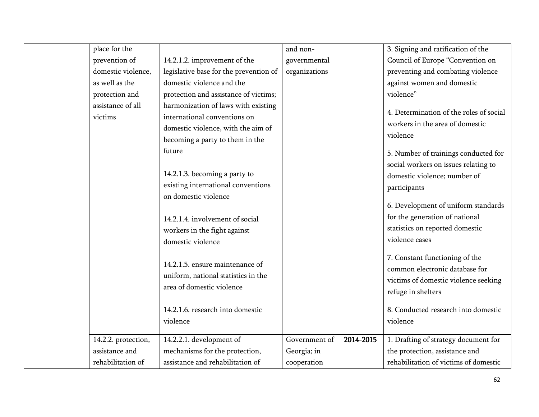| place for the       |                                        | and non-      |           | 3. Signing and ratification of the      |
|---------------------|----------------------------------------|---------------|-----------|-----------------------------------------|
| prevention of       | 14.2.1.2. improvement of the           | governmental  |           | Council of Europe "Convention on        |
| domestic violence,  | legislative base for the prevention of | organizations |           | preventing and combating violence       |
| as well as the      | domestic violence and the              |               |           | against women and domestic              |
| protection and      | protection and assistance of victims;  |               |           | violence"                               |
| assistance of all   | harmonization of laws with existing    |               |           |                                         |
| victims             | international conventions on           |               |           | 4. Determination of the roles of social |
|                     | domestic violence, with the aim of     |               |           | workers in the area of domestic         |
|                     | becoming a party to them in the        |               |           | violence                                |
|                     | future                                 |               |           | 5. Number of trainings conducted for    |
|                     |                                        |               |           | social workers on issues relating to    |
|                     | 14.2.1.3. becoming a party to          |               |           | domestic violence; number of            |
|                     | existing international conventions     |               |           | participants                            |
|                     | on domestic violence                   |               |           |                                         |
|                     |                                        |               |           | 6. Development of uniform standards     |
|                     | 14.2.1.4. involvement of social        |               |           | for the generation of national          |
|                     | workers in the fight against           |               |           | statistics on reported domestic         |
|                     | domestic violence                      |               |           | violence cases                          |
|                     |                                        |               |           |                                         |
|                     | 14.2.1.5. ensure maintenance of        |               |           | 7. Constant functioning of the          |
|                     | uniform, national statistics in the    |               |           | common electronic database for          |
|                     | area of domestic violence              |               |           | victims of domestic violence seeking    |
|                     |                                        |               |           | refuge in shelters                      |
|                     | 14.2.1.6. research into domestic       |               |           | 8. Conducted research into domestic     |
|                     | violence                               |               |           | violence                                |
|                     |                                        |               |           |                                         |
| 14.2.2. protection, | 14.2.2.1. development of               | Government of | 2014-2015 | 1. Drafting of strategy document for    |
| assistance and      | mechanisms for the protection,         | Georgia; in   |           | the protection, assistance and          |
| rehabilitation of   | assistance and rehabilitation of       | cooperation   |           | rehabilitation of victims of domestic   |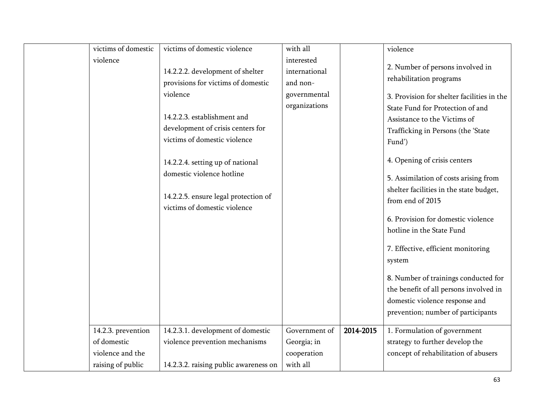| victims of domestic                                   | victims of domestic violence                                                                                                                                                                                                                          | with all                                |           | violence                                                                                                                                                                                                                                                                                               |
|-------------------------------------------------------|-------------------------------------------------------------------------------------------------------------------------------------------------------------------------------------------------------------------------------------------------------|-----------------------------------------|-----------|--------------------------------------------------------------------------------------------------------------------------------------------------------------------------------------------------------------------------------------------------------------------------------------------------------|
| violence                                              | 14.2.2.2. development of shelter<br>provisions for victims of domestic                                                                                                                                                                                | interested<br>international<br>and non- |           | 2. Number of persons involved in<br>rehabilitation programs                                                                                                                                                                                                                                            |
|                                                       | violence<br>14.2.2.3. establishment and<br>development of crisis centers for<br>victims of domestic violence<br>14.2.2.4. setting up of national<br>domestic violence hotline<br>14.2.2.5. ensure legal protection of<br>victims of domestic violence | governmental<br>organizations           |           | 3. Provision for shelter facilities in the<br>State Fund for Protection of and<br>Assistance to the Victims of<br>Trafficking in Persons (the 'State<br>Fund')<br>4. Opening of crisis centers<br>5. Assimilation of costs arising from<br>shelter facilities in the state budget,<br>from end of 2015 |
|                                                       |                                                                                                                                                                                                                                                       |                                         |           | 6. Provision for domestic violence<br>hotline in the State Fund<br>7. Effective, efficient monitoring<br>system<br>8. Number of trainings conducted for<br>the benefit of all persons involved in<br>domestic violence response and<br>prevention; number of participants                              |
| 14.2.3. prevention<br>of domestic<br>violence and the | 14.2.3.1. development of domestic<br>violence prevention mechanisms                                                                                                                                                                                   | Government of<br>Georgia; in            | 2014-2015 | 1. Formulation of government<br>strategy to further develop the                                                                                                                                                                                                                                        |
| raising of public                                     | 14.2.3.2. raising public awareness on                                                                                                                                                                                                                 | cooperation<br>with all                 |           | concept of rehabilitation of abusers                                                                                                                                                                                                                                                                   |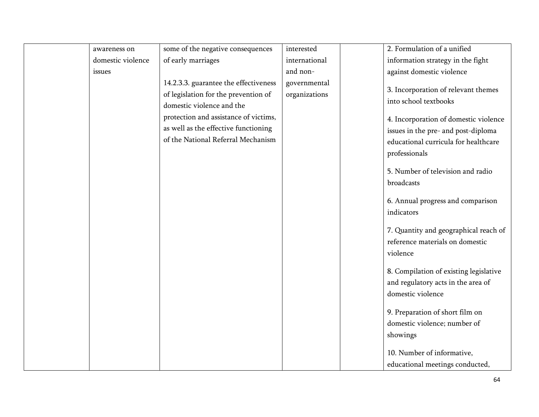| awareness on      | some of the negative consequences                                                                          | interested                    | 2. Formulation of a unified                                                          |
|-------------------|------------------------------------------------------------------------------------------------------------|-------------------------------|--------------------------------------------------------------------------------------|
| domestic violence | of early marriages                                                                                         | international                 | information strategy in the fight                                                    |
| issues            |                                                                                                            | and non-                      | against domestic violence                                                            |
|                   | 14.2.3.3. guarantee the effectiveness<br>of legislation for the prevention of<br>domestic violence and the | governmental<br>organizations | 3. Incorporation of relevant themes<br>into school textbooks                         |
|                   | protection and assistance of victims,                                                                      |                               | 4. Incorporation of domestic violence                                                |
|                   | as well as the effective functioning                                                                       |                               | issues in the pre- and post-diploma                                                  |
|                   | of the National Referral Mechanism                                                                         |                               | educational curricula for healthcare                                                 |
|                   |                                                                                                            |                               | professionals                                                                        |
|                   |                                                                                                            |                               | 5. Number of television and radio<br>broadcasts                                      |
|                   |                                                                                                            |                               | 6. Annual progress and comparison                                                    |
|                   |                                                                                                            |                               | indicators                                                                           |
|                   |                                                                                                            |                               | 7. Quantity and geographical reach of<br>reference materials on domestic<br>violence |
|                   |                                                                                                            |                               | 8. Compilation of existing legislative                                               |
|                   |                                                                                                            |                               | and regulatory acts in the area of                                                   |
|                   |                                                                                                            |                               | domestic violence                                                                    |
|                   |                                                                                                            |                               | 9. Preparation of short film on<br>domestic violence; number of<br>showings          |
|                   |                                                                                                            |                               | 10. Number of informative,                                                           |
|                   |                                                                                                            |                               | educational meetings conducted,                                                      |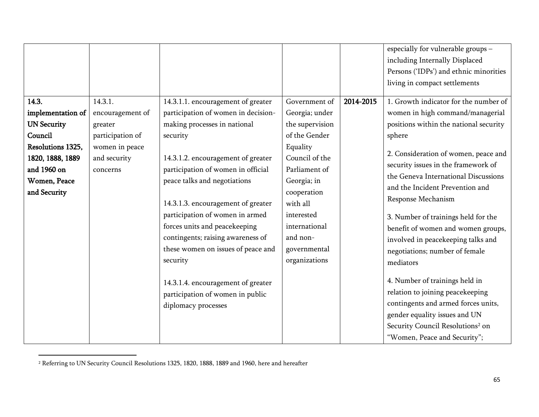|                    |                  |                                                                                                                                                                                                                                                                                                                                |                                                                         |           | especially for vulnerable groups -                                                                                                                                                                                                                                                                                                                                                                                                                    |
|--------------------|------------------|--------------------------------------------------------------------------------------------------------------------------------------------------------------------------------------------------------------------------------------------------------------------------------------------------------------------------------|-------------------------------------------------------------------------|-----------|-------------------------------------------------------------------------------------------------------------------------------------------------------------------------------------------------------------------------------------------------------------------------------------------------------------------------------------------------------------------------------------------------------------------------------------------------------|
|                    |                  |                                                                                                                                                                                                                                                                                                                                |                                                                         |           | including Internally Displaced                                                                                                                                                                                                                                                                                                                                                                                                                        |
|                    |                  |                                                                                                                                                                                                                                                                                                                                |                                                                         |           | Persons ('IDPs') and ethnic minorities                                                                                                                                                                                                                                                                                                                                                                                                                |
|                    |                  |                                                                                                                                                                                                                                                                                                                                |                                                                         |           | living in compact settlements                                                                                                                                                                                                                                                                                                                                                                                                                         |
|                    |                  |                                                                                                                                                                                                                                                                                                                                |                                                                         |           |                                                                                                                                                                                                                                                                                                                                                                                                                                                       |
| 14.3.              | 14.3.1.          | 14.3.1.1. encouragement of greater                                                                                                                                                                                                                                                                                             | Government of                                                           | 2014-2015 | 1. Growth indicator for the number of                                                                                                                                                                                                                                                                                                                                                                                                                 |
| implementation of  | encouragement of | participation of women in decision-                                                                                                                                                                                                                                                                                            | Georgia; under                                                          |           | women in high command/managerial                                                                                                                                                                                                                                                                                                                                                                                                                      |
| <b>UN Security</b> | greater          | making processes in national                                                                                                                                                                                                                                                                                                   | the supervision                                                         |           | positions within the national security                                                                                                                                                                                                                                                                                                                                                                                                                |
| Council            | participation of | security                                                                                                                                                                                                                                                                                                                       | of the Gender                                                           |           | sphere                                                                                                                                                                                                                                                                                                                                                                                                                                                |
| Resolutions 1325,  | women in peace   |                                                                                                                                                                                                                                                                                                                                | Equality                                                                |           |                                                                                                                                                                                                                                                                                                                                                                                                                                                       |
| 1820, 1888, 1889   | and security     | 14.3.1.2. encouragement of greater                                                                                                                                                                                                                                                                                             | Council of the                                                          |           | 2. Consideration of women, peace and                                                                                                                                                                                                                                                                                                                                                                                                                  |
| and 1960 on        | concerns         | participation of women in official                                                                                                                                                                                                                                                                                             | Parliament of                                                           |           | security issues in the framework of                                                                                                                                                                                                                                                                                                                                                                                                                   |
| Women, Peace       |                  |                                                                                                                                                                                                                                                                                                                                |                                                                         |           | the Geneva International Discussions                                                                                                                                                                                                                                                                                                                                                                                                                  |
|                    |                  |                                                                                                                                                                                                                                                                                                                                |                                                                         |           |                                                                                                                                                                                                                                                                                                                                                                                                                                                       |
|                    |                  |                                                                                                                                                                                                                                                                                                                                | with all                                                                |           |                                                                                                                                                                                                                                                                                                                                                                                                                                                       |
|                    |                  |                                                                                                                                                                                                                                                                                                                                | interested                                                              |           |                                                                                                                                                                                                                                                                                                                                                                                                                                                       |
|                    |                  |                                                                                                                                                                                                                                                                                                                                | international                                                           |           |                                                                                                                                                                                                                                                                                                                                                                                                                                                       |
|                    |                  |                                                                                                                                                                                                                                                                                                                                |                                                                         |           |                                                                                                                                                                                                                                                                                                                                                                                                                                                       |
|                    |                  |                                                                                                                                                                                                                                                                                                                                |                                                                         |           |                                                                                                                                                                                                                                                                                                                                                                                                                                                       |
|                    |                  |                                                                                                                                                                                                                                                                                                                                |                                                                         |           |                                                                                                                                                                                                                                                                                                                                                                                                                                                       |
|                    |                  |                                                                                                                                                                                                                                                                                                                                |                                                                         |           |                                                                                                                                                                                                                                                                                                                                                                                                                                                       |
|                    |                  |                                                                                                                                                                                                                                                                                                                                |                                                                         |           |                                                                                                                                                                                                                                                                                                                                                                                                                                                       |
|                    |                  |                                                                                                                                                                                                                                                                                                                                |                                                                         |           |                                                                                                                                                                                                                                                                                                                                                                                                                                                       |
|                    |                  |                                                                                                                                                                                                                                                                                                                                |                                                                         |           |                                                                                                                                                                                                                                                                                                                                                                                                                                                       |
|                    |                  |                                                                                                                                                                                                                                                                                                                                |                                                                         |           |                                                                                                                                                                                                                                                                                                                                                                                                                                                       |
|                    |                  |                                                                                                                                                                                                                                                                                                                                |                                                                         |           |                                                                                                                                                                                                                                                                                                                                                                                                                                                       |
|                    |                  |                                                                                                                                                                                                                                                                                                                                |                                                                         |           |                                                                                                                                                                                                                                                                                                                                                                                                                                                       |
| and Security       |                  | peace talks and negotiations<br>14.3.1.3. encouragement of greater<br>participation of women in armed<br>forces units and peacekeeping<br>contingents; raising awareness of<br>these women on issues of peace and<br>security<br>14.3.1.4. encouragement of greater<br>participation of women in public<br>diplomacy processes | Georgia; in<br>cooperation<br>and non-<br>governmental<br>organizations |           | and the Incident Prevention and<br>Response Mechanism<br>3. Number of trainings held for the<br>benefit of women and women groups,<br>involved in peacekeeping talks and<br>negotiations; number of female<br>mediators<br>4. Number of trainings held in<br>relation to joining peacekeeping<br>contingents and armed forces units,<br>gender equality issues and UN<br>Security Council Resolutions <sup>2</sup> on<br>"Women, Peace and Security"; |

<sup>2</sup> Referring to UN Security Council Resolutions 1325, 1820, 1888, 1889 and 1960, here and hereafter

 $\overline{\phantom{a}}$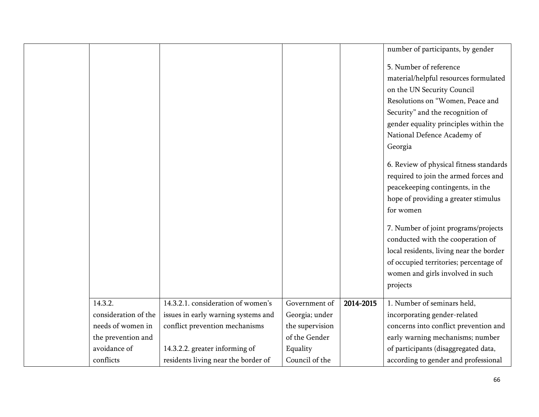|                      |                                     |                 |           | number of participants, by gender       |
|----------------------|-------------------------------------|-----------------|-----------|-----------------------------------------|
|                      |                                     |                 |           | 5. Number of reference                  |
|                      |                                     |                 |           | material/helpful resources formulated   |
|                      |                                     |                 |           | on the UN Security Council              |
|                      |                                     |                 |           | Resolutions on "Women, Peace and        |
|                      |                                     |                 |           | Security" and the recognition of        |
|                      |                                     |                 |           | gender equality principles within the   |
|                      |                                     |                 |           | National Defence Academy of             |
|                      |                                     |                 |           | Georgia                                 |
|                      |                                     |                 |           | 6. Review of physical fitness standards |
|                      |                                     |                 |           | required to join the armed forces and   |
|                      |                                     |                 |           | peacekeeping contingents, in the        |
|                      |                                     |                 |           | hope of providing a greater stimulus    |
|                      |                                     |                 |           | for women                               |
|                      |                                     |                 |           | 7. Number of joint programs/projects    |
|                      |                                     |                 |           | conducted with the cooperation of       |
|                      |                                     |                 |           | local residents, living near the border |
|                      |                                     |                 |           | of occupied territories; percentage of  |
|                      |                                     |                 |           | women and girls involved in such        |
|                      |                                     |                 |           | projects                                |
| 14.3.2.              | 14.3.2.1. consideration of women's  | Government of   | 2014-2015 | 1. Number of seminars held,             |
| consideration of the | issues in early warning systems and | Georgia; under  |           | incorporating gender-related            |
| needs of women in    | conflict prevention mechanisms      | the supervision |           | concerns into conflict prevention and   |
| the prevention and   |                                     | of the Gender   |           | early warning mechanisms; number        |
| avoidance of         | 14.3.2.2. greater informing of      | Equality        |           | of participants (disaggregated data,    |
| conflicts            | residents living near the border of | Council of the  |           | according to gender and professional    |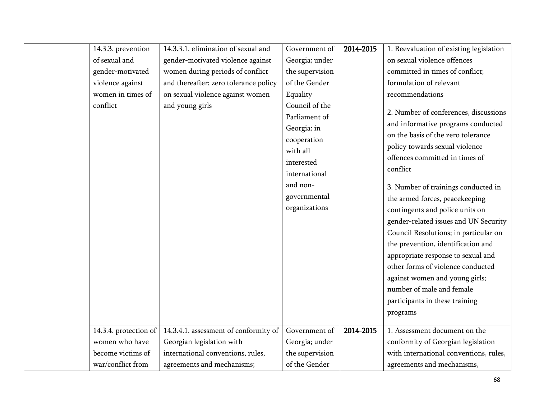| 14.3.3. prevention    | 14.3.3.1. elimination of sexual and   | Government of                                                                                                                                         | 2014-2015 | 1. Reevaluation of existing legislation                                                                                                                                                                                                                                                                                                                                                                                               |
|-----------------------|---------------------------------------|-------------------------------------------------------------------------------------------------------------------------------------------------------|-----------|---------------------------------------------------------------------------------------------------------------------------------------------------------------------------------------------------------------------------------------------------------------------------------------------------------------------------------------------------------------------------------------------------------------------------------------|
| of sexual and         | gender-motivated violence against     | Georgia; under                                                                                                                                        |           | on sexual violence offences                                                                                                                                                                                                                                                                                                                                                                                                           |
| gender-motivated      | women during periods of conflict      | the supervision                                                                                                                                       |           | committed in times of conflict;                                                                                                                                                                                                                                                                                                                                                                                                       |
| violence against      | and thereafter; zero tolerance policy | of the Gender                                                                                                                                         |           | formulation of relevant                                                                                                                                                                                                                                                                                                                                                                                                               |
| women in times of     | on sexual violence against women      | Equality                                                                                                                                              |           | recommendations                                                                                                                                                                                                                                                                                                                                                                                                                       |
| conflict              | and young girls                       | Council of the<br>Parliament of<br>Georgia; in<br>cooperation<br>with all<br>interested<br>international<br>and non-<br>governmental<br>organizations |           | 2. Number of conferences, discussions<br>and informative programs conducted<br>on the basis of the zero tolerance<br>policy towards sexual violence<br>offences committed in times of<br>conflict<br>3. Number of trainings conducted in<br>the armed forces, peacekeeping<br>contingents and police units on<br>gender-related issues and UN Security<br>Council Resolutions; in particular on<br>the prevention, identification and |
|                       |                                       |                                                                                                                                                       |           | appropriate response to sexual and<br>other forms of violence conducted<br>against women and young girls;<br>number of male and female<br>participants in these training<br>programs                                                                                                                                                                                                                                                  |
| 14.3.4. protection of | 14.3.4.1. assessment of conformity of | Government of                                                                                                                                         | 2014-2015 | 1. Assessment document on the                                                                                                                                                                                                                                                                                                                                                                                                         |
| women who have        | Georgian legislation with             | Georgia; under                                                                                                                                        |           | conformity of Georgian legislation                                                                                                                                                                                                                                                                                                                                                                                                    |
| become victims of     | international conventions, rules,     | the supervision                                                                                                                                       |           | with international conventions, rules,                                                                                                                                                                                                                                                                                                                                                                                                |
| war/conflict from     | agreements and mechanisms;            | of the Gender                                                                                                                                         |           | agreements and mechanisms,                                                                                                                                                                                                                                                                                                                                                                                                            |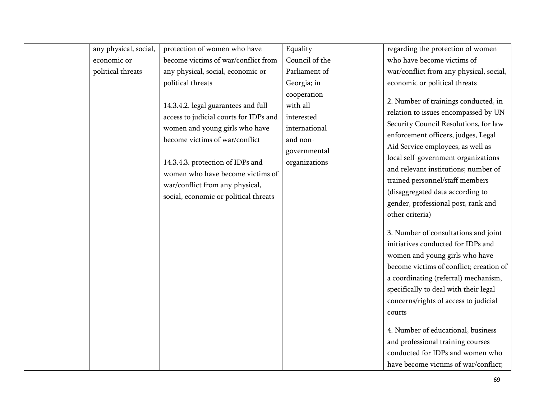| any physical, social, | protection of women who have                                                                                                                                                                                                                                                                          | Equality                                                                                            | regarding the protection of women                                                                                                                                                                                                                                                                                                                                                                                                                                                                                                                                                                                                                                                                                                                                                                                                                                       |
|-----------------------|-------------------------------------------------------------------------------------------------------------------------------------------------------------------------------------------------------------------------------------------------------------------------------------------------------|-----------------------------------------------------------------------------------------------------|-------------------------------------------------------------------------------------------------------------------------------------------------------------------------------------------------------------------------------------------------------------------------------------------------------------------------------------------------------------------------------------------------------------------------------------------------------------------------------------------------------------------------------------------------------------------------------------------------------------------------------------------------------------------------------------------------------------------------------------------------------------------------------------------------------------------------------------------------------------------------|
| economic or           | become victims of war/conflict from                                                                                                                                                                                                                                                                   | Council of the                                                                                      | who have become victims of                                                                                                                                                                                                                                                                                                                                                                                                                                                                                                                                                                                                                                                                                                                                                                                                                                              |
| political threats     | any physical, social, economic or                                                                                                                                                                                                                                                                     | Parliament of                                                                                       | war/conflict from any physical, social,                                                                                                                                                                                                                                                                                                                                                                                                                                                                                                                                                                                                                                                                                                                                                                                                                                 |
|                       | political threats                                                                                                                                                                                                                                                                                     | Georgia; in                                                                                         | economic or political threats                                                                                                                                                                                                                                                                                                                                                                                                                                                                                                                                                                                                                                                                                                                                                                                                                                           |
|                       | 14.3.4.2. legal guarantees and full<br>access to judicial courts for IDPs and<br>women and young girls who have<br>become victims of war/conflict<br>14.3.4.3. protection of IDPs and<br>women who have become victims of<br>war/conflict from any physical,<br>social, economic or political threats | cooperation<br>with all<br>interested<br>international<br>and non-<br>governmental<br>organizations | 2. Number of trainings conducted, in<br>relation to issues encompassed by UN<br>Security Council Resolutions, for law<br>enforcement officers, judges, Legal<br>Aid Service employees, as well as<br>local self-government organizations<br>and relevant institutions; number of<br>trained personnel/staff members<br>(disaggregated data according to<br>gender, professional post, rank and<br>other criteria)<br>3. Number of consultations and joint<br>initiatives conducted for IDPs and<br>women and young girls who have<br>become victims of conflict; creation of<br>a coordinating (referral) mechanism,<br>specifically to deal with their legal<br>concerns/rights of access to judicial<br>courts<br>4. Number of educational, business<br>and professional training courses<br>conducted for IDPs and women who<br>have become victims of war/conflict; |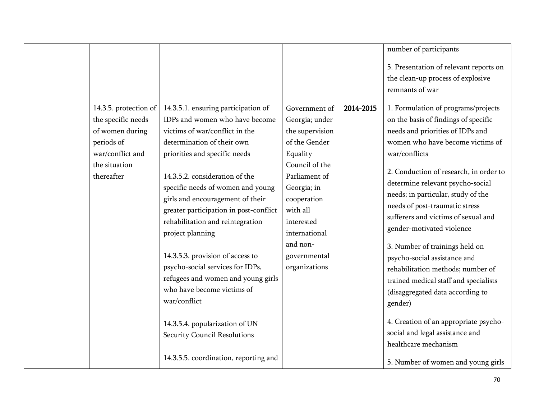|                       |                                        |                 |           | number of participants                 |
|-----------------------|----------------------------------------|-----------------|-----------|----------------------------------------|
|                       |                                        |                 |           | 5. Presentation of relevant reports on |
|                       |                                        |                 |           | the clean-up process of explosive      |
|                       |                                        |                 |           | remnants of war                        |
| 14.3.5. protection of | 14.3.5.1. ensuring participation of    | Government of   | 2014-2015 | 1. Formulation of programs/projects    |
| the specific needs    | IDPs and women who have become         | Georgia; under  |           | on the basis of findings of specific   |
| of women during       | victims of war/conflict in the         | the supervision |           | needs and priorities of IDPs and       |
| periods of            | determination of their own             | of the Gender   |           | women who have become victims of       |
| war/conflict and      | priorities and specific needs          | Equality        |           | war/conflicts                          |
| the situation         |                                        | Council of the  |           | 2. Conduction of research, in order to |
| thereafter            | 14.3.5.2. consideration of the         | Parliament of   |           | determine relevant psycho-social       |
|                       | specific needs of women and young      | Georgia; in     |           | needs; in particular, study of the     |
|                       | girls and encouragement of their       | cooperation     |           | needs of post-traumatic stress         |
|                       | greater participation in post-conflict | with all        |           | sufferers and victims of sexual and    |
|                       | rehabilitation and reintegration       | interested      |           | gender-motivated violence              |
|                       | project planning                       | international   |           |                                        |
|                       |                                        | and non-        |           | 3. Number of trainings held on         |
|                       | 14.3.5.3. provision of access to       | governmental    |           | psycho-social assistance and           |
|                       | psycho-social services for IDPs,       | organizations   |           | rehabilitation methods; number of      |
|                       | refugees and women and young girls     |                 |           | trained medical staff and specialists  |
|                       | who have become victims of             |                 |           | (disaggregated data according to       |
|                       | war/conflict                           |                 |           | gender)                                |
|                       |                                        |                 |           |                                        |
|                       | 14.3.5.4. popularization of UN         |                 |           | 4. Creation of an appropriate psycho-  |
|                       | Security Council Resolutions           |                 |           | social and legal assistance and        |
|                       |                                        |                 |           | healthcare mechanism                   |
|                       | 14.3.5.5. coordination, reporting and  |                 |           | 5. Number of women and young girls     |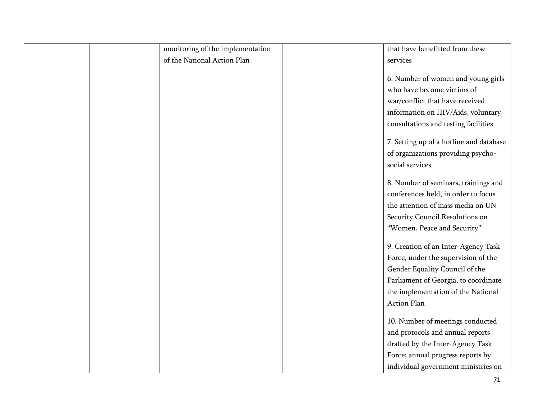| monitoring of the implementation | that have benefitted from these         |
|----------------------------------|-----------------------------------------|
| of the National Action Plan      | services                                |
|                                  |                                         |
|                                  | 6. Number of women and young girls      |
|                                  | who have become victims of              |
|                                  | war/conflict that have received         |
|                                  | information on HIV/Aids, voluntary      |
|                                  | consultations and testing facilities    |
|                                  |                                         |
|                                  | 7. Setting up of a hotline and database |
|                                  | of organizations providing psycho-      |
|                                  | social services                         |
|                                  | 8. Number of seminars, trainings and    |
|                                  | conferences held, in order to focus     |
|                                  | the attention of mass media on UN       |
|                                  | Security Council Resolutions on         |
|                                  | "Women, Peace and Security"             |
|                                  | 9. Creation of an Inter-Agency Task     |
|                                  | Force, under the supervision of the     |
|                                  | Gender Equality Council of the          |
|                                  | Parliament of Georgia, to coordinate    |
|                                  | the implementation of the National      |
|                                  | <b>Action Plan</b>                      |
|                                  |                                         |
|                                  | 10. Number of meetings conducted        |
|                                  | and protocols and annual reports        |
|                                  | drafted by the Inter-Agency Task        |
|                                  | Force; annual progress reports by       |
|                                  | individual government ministries on     |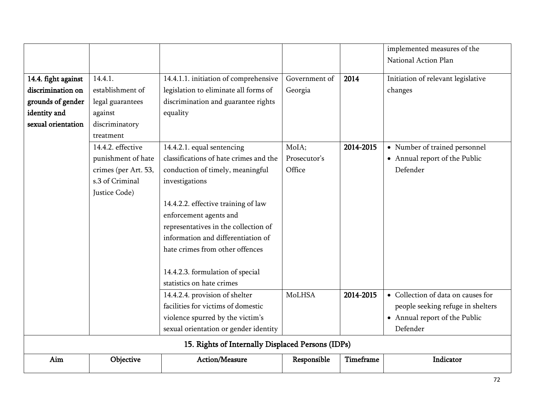|                                                   |                      |                                        |               |           | implemented measures of the        |  |
|---------------------------------------------------|----------------------|----------------------------------------|---------------|-----------|------------------------------------|--|
|                                                   |                      |                                        |               |           | National Action Plan               |  |
|                                                   |                      |                                        |               |           |                                    |  |
| 14.4. fight against                               | 14.4.1.              | 14.4.1.1. initiation of comprehensive  | Government of | 2014      | Initiation of relevant legislative |  |
| discrimination on                                 | establishment of     | legislation to eliminate all forms of  | Georgia       |           | changes                            |  |
| grounds of gender                                 | legal guarantees     | discrimination and guarantee rights    |               |           |                                    |  |
| identity and                                      | against              | equality                               |               |           |                                    |  |
| sexual orientation                                | discriminatory       |                                        |               |           |                                    |  |
|                                                   | treatment            |                                        |               |           |                                    |  |
|                                                   | 14.4.2. effective    | 14.4.2.1. equal sentencing             | MoIA;         | 2014-2015 | • Number of trained personnel      |  |
|                                                   | punishment of hate   | classifications of hate crimes and the | Prosecutor's  |           | • Annual report of the Public      |  |
|                                                   | crimes (per Art. 53, | conduction of timely, meaningful       | Office        |           | Defender                           |  |
|                                                   | s.3 of Criminal      | investigations                         |               |           |                                    |  |
|                                                   | Justice Code)        |                                        |               |           |                                    |  |
|                                                   |                      | 14.4.2.2. effective training of law    |               |           |                                    |  |
|                                                   |                      | enforcement agents and                 |               |           |                                    |  |
|                                                   |                      | representatives in the collection of   |               |           |                                    |  |
|                                                   |                      | information and differentiation of     |               |           |                                    |  |
|                                                   |                      | hate crimes from other offences        |               |           |                                    |  |
|                                                   |                      |                                        |               |           |                                    |  |
|                                                   |                      | 14.4.2.3. formulation of special       |               |           |                                    |  |
|                                                   |                      | statistics on hate crimes              |               |           |                                    |  |
|                                                   |                      | 14.4.2.4. provision of shelter         | MoLHSA        | 2014-2015 | • Collection of data on causes for |  |
|                                                   |                      | facilities for victims of domestic     |               |           | people seeking refuge in shelters  |  |
|                                                   |                      | violence spurred by the victim's       |               |           | • Annual report of the Public      |  |
|                                                   |                      | sexual orientation or gender identity  |               |           | Defender                           |  |
| 15. Rights of Internally Displaced Persons (IDPs) |                      |                                        |               |           |                                    |  |
| Aim                                               | Objective            | Action/Measure                         | Responsible   | Timeframe | Indicator                          |  |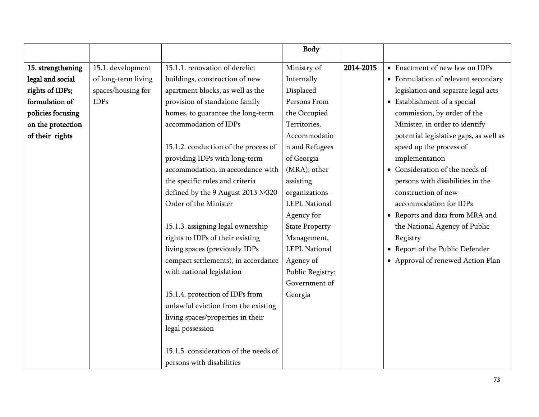|                   |                     |                                       | <b>Body</b>           |           |                                        |
|-------------------|---------------------|---------------------------------------|-----------------------|-----------|----------------------------------------|
| 15. strengthening | 15.1. development   | 15.1.1. renovation of derelict        | Ministry of           | 2014-2015 | • Enactment of new law on IDPs         |
| legal and social  | of long-term living | buildings, construction of new        | Internally            |           | • Formulation of relevant secondary    |
| rights of IDPs;   | spaces/housing for  | apartment blocks, as well as the      | Displaced             |           | legislation and separate legal acts    |
| formulation of    | <b>IDPs</b>         | provision of standalone family        | Persons From          |           | • Establishment of a special           |
| policies focusing |                     | homes, to guarantee the long-term     | the Occupied          |           | commission, by order of the            |
| on the protection |                     | accommodation of IDPs                 | Territories,          |           | Minister, in order to identify         |
| of their rights   |                     |                                       | Accommodatio          |           | potential legislative gaps, as well as |
|                   |                     | 15.1.2. conduction of the process of  | n and Refugees        |           | speed up the process of                |
|                   |                     | providing IDPs with long-term         | of Georgia            |           | implementation                         |
|                   |                     | accommodation, in accordance with     | (MRA); other          |           | • Consideration of the needs of        |
|                   |                     | the specific rules and criteria       | assisting             |           | persons with disabilities in the       |
|                   |                     | defined by the 9 August 2013 №320     | organizations-        |           | construction of new                    |
|                   |                     | Order of the Minister                 | <b>LEPL National</b>  |           | accommodation for IDPs                 |
|                   |                     |                                       | Agency for            |           | • Reports and data from MRA and        |
|                   |                     | 15.1.3. assigning legal ownership     | <b>State Property</b> |           | the National Agency of Public          |
|                   |                     | rights to IDPs of their existing      | Management,           |           | Registry                               |
|                   |                     | living spaces (previously IDPs        | <b>LEPL National</b>  |           | • Report of the Public Defender        |
|                   |                     | compact settlements), in accordance   | Agency of             |           | • Approval of renewed Action Plan      |
|                   |                     | with national legislation             | Public Registry;      |           |                                        |
|                   |                     |                                       | Government of         |           |                                        |
|                   |                     | 15.1.4. protection of IDPs from       | Georgia               |           |                                        |
|                   |                     | unlawful eviction from the existing   |                       |           |                                        |
|                   |                     | living spaces/properties in their     |                       |           |                                        |
|                   |                     | legal possession                      |                       |           |                                        |
|                   |                     |                                       |                       |           |                                        |
|                   |                     | 15.1.5. consideration of the needs of |                       |           |                                        |
|                   |                     | persons with disabilities             |                       |           |                                        |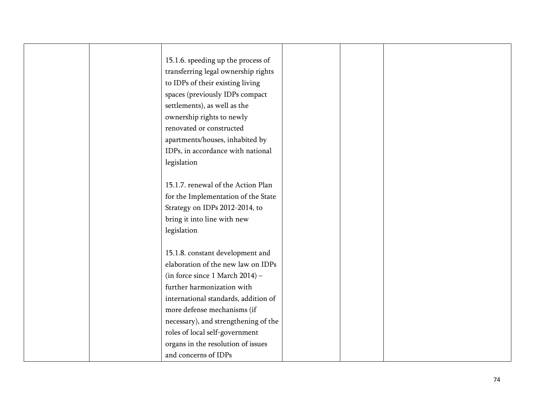| 15.1.6. speeding up the process of   |  |
|--------------------------------------|--|
| transferring legal ownership rights  |  |
| to IDPs of their existing living     |  |
| spaces (previously IDPs compact      |  |
| settlements), as well as the         |  |
| ownership rights to newly            |  |
| renovated or constructed             |  |
| apartments/houses, inhabited by      |  |
| IDPs, in accordance with national    |  |
| legislation                          |  |
|                                      |  |
| 15.1.7. renewal of the Action Plan   |  |
| for the Implementation of the State  |  |
| Strategy on IDPs 2012-2014, to       |  |
| bring it into line with new          |  |
| legislation                          |  |
|                                      |  |
| 15.1.8. constant development and     |  |
| elaboration of the new law on IDPs   |  |
| (in force since 1 March 2014) -      |  |
| further harmonization with           |  |
| international standards, addition of |  |
| more defense mechanisms (if          |  |
| necessary), and strengthening of the |  |
| roles of local self-government       |  |
| organs in the resolution of issues   |  |
| and concerns of IDPs                 |  |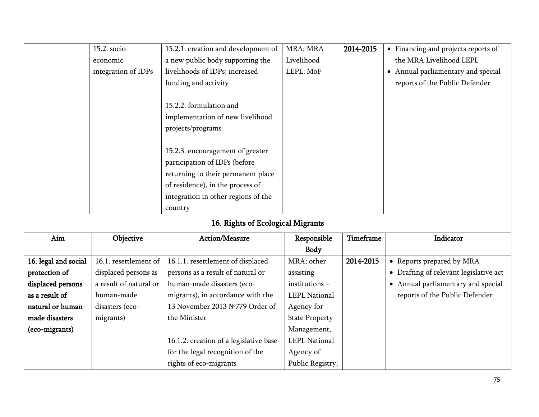|                      | 15.2. socio-           | 15.2.1. creation and development of    | MRA; MRA              | 2014-2015 | • Financing and projects reports of    |
|----------------------|------------------------|----------------------------------------|-----------------------|-----------|----------------------------------------|
|                      | economic               | a new public body supporting the       | Livelihood            |           | the MRA Livelihood LEPL                |
|                      | integration of IDPs    | livelihoods of IDPs; increased         | LEPL; MoF             |           | • Annual parliamentary and special     |
|                      |                        | funding and activity                   |                       |           | reports of the Public Defender         |
|                      |                        |                                        |                       |           |                                        |
|                      |                        | 15.2.2. formulation and                |                       |           |                                        |
|                      |                        | implementation of new livelihood       |                       |           |                                        |
|                      |                        | projects/programs                      |                       |           |                                        |
|                      |                        |                                        |                       |           |                                        |
|                      |                        | 15.2.3. encouragement of greater       |                       |           |                                        |
|                      |                        | participation of IDPs (before          |                       |           |                                        |
|                      |                        | returning to their permanent place     |                       |           |                                        |
|                      |                        | of residence), in the process of       |                       |           |                                        |
|                      |                        | integration in other regions of the    |                       |           |                                        |
|                      |                        | country                                |                       |           |                                        |
|                      |                        | 16. Rights of Ecological Migrants      |                       |           |                                        |
| Aim                  | Objective              | Action/Measure                         | Responsible           | Timeframe | Indicator                              |
|                      |                        |                                        | Body                  |           |                                        |
| 16. legal and social | 16.1. resettlement of  | 16.1.1. resettlement of displaced      | MRA; other            | 2014-2015 | • Reports prepared by MRA              |
| protection of        | displaced persons as   | persons as a result of natural or      | assisting             |           | • Drafting of relevant legislative act |
| displaced persons    | a result of natural or | human-made disasters (eco-             | institutions-         |           | • Annual parliamentary and special     |
| as a result of       | human-made             | migrants), in accordance with the      | <b>LEPL National</b>  |           | reports of the Public Defender         |
| natural or human-    | disasters (eco-        | 13 November 2013 №779 Order of         | Agency for            |           |                                        |
| made disasters       | migrants)              | the Minister                           | <b>State Property</b> |           |                                        |
| (eco-migrants)       |                        |                                        | Management,           |           |                                        |
|                      |                        | 16.1.2. creation of a legislative base | <b>LEPL National</b>  |           |                                        |
|                      |                        | for the legal recognition of the       | Agency of             |           |                                        |
|                      |                        |                                        |                       |           |                                        |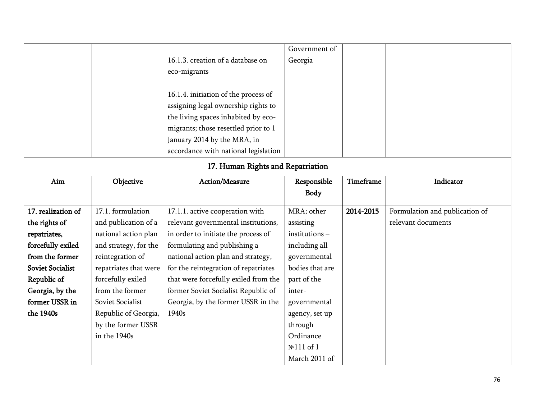|                         |                                   |                                      | Government of   |           |                                |  |  |
|-------------------------|-----------------------------------|--------------------------------------|-----------------|-----------|--------------------------------|--|--|
|                         |                                   | 16.1.3. creation of a database on    | Georgia         |           |                                |  |  |
|                         |                                   | eco-migrants                         |                 |           |                                |  |  |
|                         |                                   | 16.1.4. initiation of the process of |                 |           |                                |  |  |
|                         |                                   | assigning legal ownership rights to  |                 |           |                                |  |  |
|                         |                                   | the living spaces inhabited by eco-  |                 |           |                                |  |  |
|                         |                                   |                                      |                 |           |                                |  |  |
|                         |                                   | migrants; those resettled prior to 1 |                 |           |                                |  |  |
|                         |                                   | January 2014 by the MRA, in          |                 |           |                                |  |  |
|                         |                                   | accordance with national legislation |                 |           |                                |  |  |
|                         | 17. Human Rights and Repatriation |                                      |                 |           |                                |  |  |
| Aim                     | Objective                         | Action/Measure                       | Responsible     | Timeframe | Indicator                      |  |  |
|                         |                                   |                                      | Body            |           |                                |  |  |
| 17. realization of      | 17.1. formulation                 | 17.1.1. active cooperation with      | MRA; other      | 2014-2015 | Formulation and publication of |  |  |
| the rights of           | and publication of a              | relevant governmental institutions,  | assisting       |           | relevant documents             |  |  |
| repatriates,            | national action plan              | in order to initiate the process of  | institutions-   |           |                                |  |  |
| forcefully exiled       | and strategy, for the             | formulating and publishing a         | including all   |           |                                |  |  |
| from the former         | reintegration of                  | national action plan and strategy,   | governmental    |           |                                |  |  |
| <b>Soviet Socialist</b> | repatriates that were             | for the reintegration of repatriates | bodies that are |           |                                |  |  |
| Republic of             |                                   |                                      |                 |           |                                |  |  |
|                         | forcefully exiled                 | that were forcefully exiled from the | part of the     |           |                                |  |  |
| Georgia, by the         | from the former                   | former Soviet Socialist Republic of  | inter-          |           |                                |  |  |
| former USSR in          | Soviet Socialist                  | Georgia, by the former USSR in the   | governmental    |           |                                |  |  |
| the 1940s               | Republic of Georgia,              | 1940s                                | agency, set up  |           |                                |  |  |
|                         | by the former USSR                |                                      | through         |           |                                |  |  |
|                         | in the 1940s                      |                                      | Ordinance       |           |                                |  |  |
|                         |                                   |                                      | Nº111 of 1      |           |                                |  |  |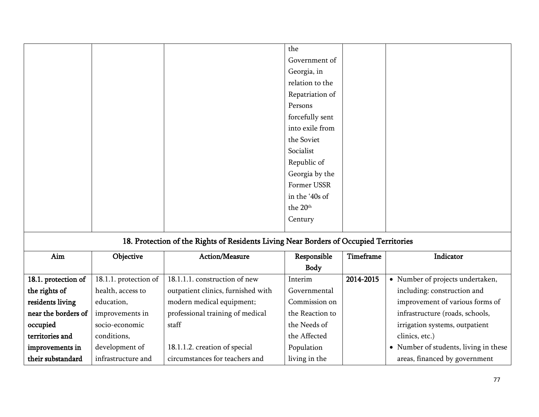|  | the               |  |
|--|-------------------|--|
|  | Government of     |  |
|  | Georgia, in       |  |
|  | relation to the   |  |
|  | Repatriation of   |  |
|  | Persons           |  |
|  | forcefully sent   |  |
|  | into exile from   |  |
|  | the Soviet        |  |
|  | Socialist         |  |
|  | Republic of       |  |
|  | Georgia by the    |  |
|  | Former USSR       |  |
|  | in the '40s of    |  |
|  | the $20^{\rm th}$ |  |
|  | Century           |  |
|  |                   |  |

## 18. Protection of the Rights of Residents Living Near Borders of Occupied Territories

| Aim                 | Objective             | Action/Measure                     | Responsible     | Timeframe | Indicator                             |
|---------------------|-----------------------|------------------------------------|-----------------|-----------|---------------------------------------|
|                     |                       |                                    | Body            |           |                                       |
| 18.1. protection of | 18.1.1. protection of | 18.1.1.1. construction of new      | Interim         | 2014-2015 | • Number of projects undertaken,      |
| the rights of       | health, access to     | outpatient clinics, furnished with | Governmental    |           | including: construction and           |
| residents living    | education,            | modern medical equipment;          | Commission on   |           | improvement of various forms of       |
| near the borders of | improvements in       | professional training of medical   | the Reaction to |           | infrastructure (roads, schools,       |
| occupied            | socio-economic        | staff                              | the Needs of    |           | irrigation systems, outpatient        |
| territories and     | conditions,           |                                    | the Affected    |           | clinics, etc.)                        |
| improvements in     | development of        | 18.1.1.2. creation of special      | Population      |           | • Number of students, living in these |
| their substandard   | infrastructure and    | circumstances for teachers and     | living in the   |           | areas, financed by government         |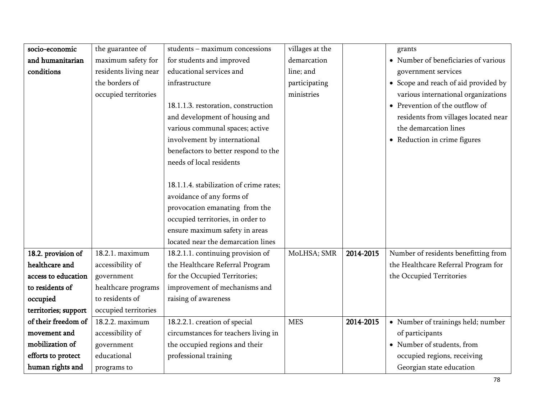| socio-economic       | the guarantee of      | students - maximum concessions          | villages at the |           | grants                                  |
|----------------------|-----------------------|-----------------------------------------|-----------------|-----------|-----------------------------------------|
| and humanitarian     | maximum safety for    | for students and improved               | demarcation     |           | • Number of beneficiaries of various    |
| conditions           | residents living near | educational services and                | line; and       |           | government services                     |
|                      | the borders of        | infrastructure                          | participating   |           | • Scope and reach of aid provided by    |
|                      | occupied territories  |                                         | ministries      |           | various international organizations     |
|                      |                       | 18.1.1.3. restoration, construction     |                 |           | $\bullet~$ Prevention of the outflow of |
|                      |                       | and development of housing and          |                 |           | residents from villages located near    |
|                      |                       | various communal spaces; active         |                 |           | the demarcation lines                   |
|                      |                       | involvement by international            |                 |           | • Reduction in crime figures            |
|                      |                       | benefactors to better respond to the    |                 |           |                                         |
|                      |                       | needs of local residents                |                 |           |                                         |
|                      |                       |                                         |                 |           |                                         |
|                      |                       | 18.1.1.4. stabilization of crime rates; |                 |           |                                         |
|                      |                       | avoidance of any forms of               |                 |           |                                         |
|                      |                       | provocation emanating from the          |                 |           |                                         |
|                      |                       | occupied territories, in order to       |                 |           |                                         |
|                      |                       | ensure maximum safety in areas          |                 |           |                                         |
|                      |                       | located near the demarcation lines      |                 |           |                                         |
| 18.2. provision of   | 18.2.1. maximum       | 18.2.1.1. continuing provision of       | MoLHSA; SMR     | 2014-2015 | Number of residents benefitting from    |
| healthcare and       | accessibility of      | the Healthcare Referral Program         |                 |           | the Healthcare Referral Program for     |
| access to education  | government            | for the Occupied Territories;           |                 |           | the Occupied Territories                |
| to residents of      | healthcare programs   | improvement of mechanisms and           |                 |           |                                         |
| occupied             | to residents of       | raising of awareness                    |                 |           |                                         |
| territories; support | occupied territories  |                                         |                 |           |                                         |
| of their freedom of  | 18.2.2. maximum       | 18.2.2.1. creation of special           | <b>MES</b>      | 2014-2015 | • Number of trainings held; number      |
| movement and         | accessibility of      | circumstances for teachers living in    |                 |           | of participants                         |
| mobilization of      | government            | the occupied regions and their          |                 |           | • Number of students, from              |
| efforts to protect   | educational           | professional training                   |                 |           | occupied regions, receiving             |
| human rights and     | programs to           |                                         |                 |           | Georgian state education                |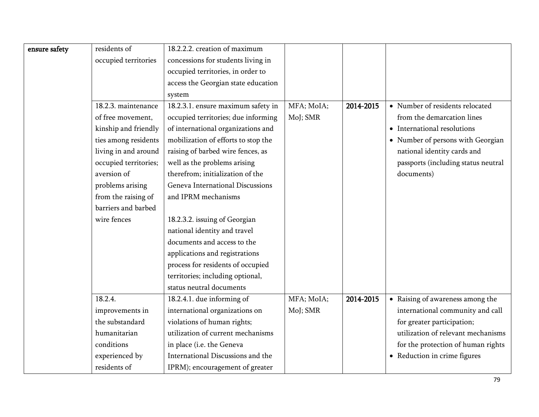| ensure safety | residents of          | 18.2.2.2. creation of maximum       |            |           |                                     |
|---------------|-----------------------|-------------------------------------|------------|-----------|-------------------------------------|
|               | occupied territories  | concessions for students living in  |            |           |                                     |
|               |                       | occupied territories, in order to   |            |           |                                     |
|               |                       | access the Georgian state education |            |           |                                     |
|               |                       | system                              |            |           |                                     |
|               | 18.2.3. maintenance   | 18.2.3.1. ensure maximum safety in  | MFA; MoIA; | 2014-2015 | • Number of residents relocated     |
|               | of free movement,     | occupied territories; due informing | MoJ; SMR   |           | from the demarcation lines          |
|               | kinship and friendly  | of international organizations and  |            |           | • International resolutions         |
|               | ties among residents  | mobilization of efforts to stop the |            |           | • Number of persons with Georgian   |
|               | living in and around  | raising of barbed wire fences, as   |            |           | national identity cards and         |
|               | occupied territories; | well as the problems arising        |            |           | passports (including status neutral |
|               | aversion of           | therefrom; initialization of the    |            |           | documents)                          |
|               | problems arising      | Geneva International Discussions    |            |           |                                     |
|               | from the raising of   | and IPRM mechanisms                 |            |           |                                     |
|               | barriers and barbed   |                                     |            |           |                                     |
|               | wire fences           | 18.2.3.2. issuing of Georgian       |            |           |                                     |
|               |                       | national identity and travel        |            |           |                                     |
|               |                       | documents and access to the         |            |           |                                     |
|               |                       | applications and registrations      |            |           |                                     |
|               |                       | process for residents of occupied   |            |           |                                     |
|               |                       | territories; including optional,    |            |           |                                     |
|               |                       | status neutral documents            |            |           |                                     |
|               | 18.2.4.               | 18.2.4.1. due informing of          | MFA; MoIA; | 2014-2015 | • Raising of awareness among the    |
|               | improvements in       | international organizations on      | MoJ; SMR   |           | international community and call    |
|               | the substandard       | violations of human rights;         |            |           | for greater participation;          |
|               | humanitarian          | utilization of current mechanisms   |            |           | utilization of relevant mechanisms  |
|               | conditions            | in place (i.e. the Geneva           |            |           | for the protection of human rights  |
|               | experienced by        | International Discussions and the   |            |           | • Reduction in crime figures        |
|               | residents of          | IPRM); encouragement of greater     |            |           |                                     |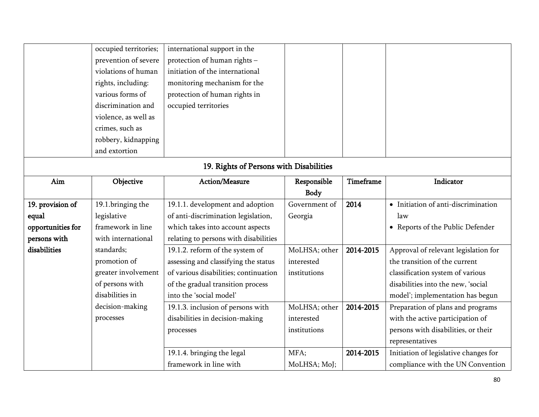|                                         | occupied territories; | international support in the          |               |                  |                                       |  |  |
|-----------------------------------------|-----------------------|---------------------------------------|---------------|------------------|---------------------------------------|--|--|
|                                         | prevention of severe  | protection of human rights -          |               |                  |                                       |  |  |
|                                         | violations of human   | initiation of the international       |               |                  |                                       |  |  |
|                                         | rights, including:    | monitoring mechanism for the          |               |                  |                                       |  |  |
|                                         | various forms of      | protection of human rights in         |               |                  |                                       |  |  |
|                                         | discrimination and    | occupied territories                  |               |                  |                                       |  |  |
|                                         | violence, as well as  |                                       |               |                  |                                       |  |  |
|                                         | crimes, such as       |                                       |               |                  |                                       |  |  |
|                                         | robbery, kidnapping   |                                       |               |                  |                                       |  |  |
|                                         | and extortion         |                                       |               |                  |                                       |  |  |
| 19. Rights of Persons with Disabilities |                       |                                       |               |                  |                                       |  |  |
| Aim                                     | Objective             | Action/Measure                        | Responsible   | <b>Timeframe</b> | Indicator                             |  |  |
|                                         |                       |                                       | <b>Body</b>   |                  |                                       |  |  |
| 19. provision of                        | 19.1.bringing the     | 19.1.1. development and adoption      | Government of | 2014             | • Initiation of anti-discrimination   |  |  |
| equal                                   | legislative           | of anti-discrimination legislation,   | Georgia       |                  | law                                   |  |  |
| opportunities for                       | framework in line     | which takes into account aspects      |               |                  | • Reports of the Public Defender      |  |  |
| persons with                            | with international    | relating to persons with disabilities |               |                  |                                       |  |  |
| disabilities                            | standards;            | 19.1.2. reform of the system of       | MoLHSA; other | 2014-2015        | Approval of relevant legislation for  |  |  |
|                                         | promotion of          | assessing and classifying the status  | interested    |                  | the transition of the current         |  |  |
|                                         | greater involvement   | of various disabilities; continuation | institutions  |                  | classification system of various      |  |  |
|                                         | of persons with       | of the gradual transition process     |               |                  | disabilities into the new, 'social    |  |  |
|                                         | disabilities in       | into the 'social model'               |               |                  | model'; implementation has begun      |  |  |
|                                         | decision-making       | 19.1.3. inclusion of persons with     | MoLHSA; other | 2014-2015        | Preparation of plans and programs     |  |  |
|                                         | processes             | disabilities in decision-making       | interested    |                  | with the active participation of      |  |  |
|                                         |                       | processes                             | institutions  |                  | persons with disabilities, or their   |  |  |
|                                         |                       |                                       |               |                  | representatives                       |  |  |
|                                         |                       | 19.1.4. bringing the legal            | MFA;          | 2014-2015        | Initiation of legislative changes for |  |  |
|                                         |                       | framework in line with                | MoLHSA; MoJ;  |                  | compliance with the UN Convention     |  |  |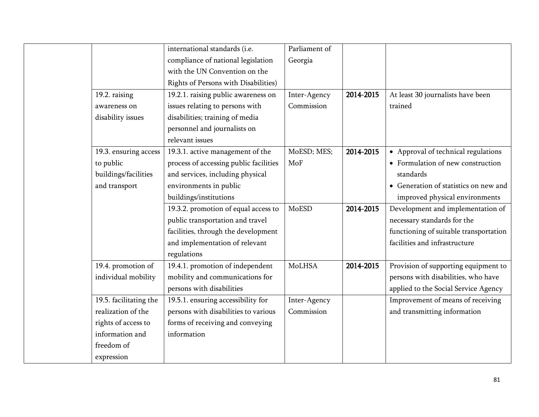|                        | international standards (i.e.          | Parliament of |           |                                        |
|------------------------|----------------------------------------|---------------|-----------|----------------------------------------|
|                        | compliance of national legislation     | Georgia       |           |                                        |
|                        | with the UN Convention on the          |               |           |                                        |
|                        | Rights of Persons with Disabilities)   |               |           |                                        |
| 19.2. raising          | 19.2.1. raising public awareness on    | Inter-Agency  | 2014-2015 | At least 30 journalists have been      |
| awareness on           | issues relating to persons with        | Commission    |           | trained                                |
| disability issues      | disabilities; training of media        |               |           |                                        |
|                        | personnel and journalists on           |               |           |                                        |
|                        | relevant issues                        |               |           |                                        |
| 19.3. ensuring access  | 19.3.1. active management of the       | MoESD; MES;   | 2014-2015 | • Approval of technical regulations    |
| to public              | process of accessing public facilities | MoF           |           | • Formulation of new construction      |
| buildings/facilities   | and services, including physical       |               |           | standards                              |
| and transport          | environments in public                 |               |           | • Generation of statistics on new and  |
|                        | buildings/institutions                 |               |           | improved physical environments         |
|                        | 19.3.2. promotion of equal access to   | MoESD         | 2014-2015 | Development and implementation of      |
|                        | public transportation and travel       |               |           | necessary standards for the            |
|                        | facilities, through the development    |               |           | functioning of suitable transportation |
|                        | and implementation of relevant         |               |           | facilities and infrastructure          |
|                        | regulations                            |               |           |                                        |
| 19.4. promotion of     | 19.4.1. promotion of independent       | MoLHSA        | 2014-2015 | Provision of supporting equipment to   |
| individual mobility    | mobility and communications for        |               |           | persons with disabilities, who have    |
|                        | persons with disabilities              |               |           | applied to the Social Service Agency   |
| 19.5. facilitating the | 19.5.1. ensuring accessibility for     | Inter-Agency  |           | Improvement of means of receiving      |
| realization of the     | persons with disabilities to various   | Commission    |           | and transmitting information           |
| rights of access to    | forms of receiving and conveying       |               |           |                                        |
| information and        | information                            |               |           |                                        |
| freedom of             |                                        |               |           |                                        |
| expression             |                                        |               |           |                                        |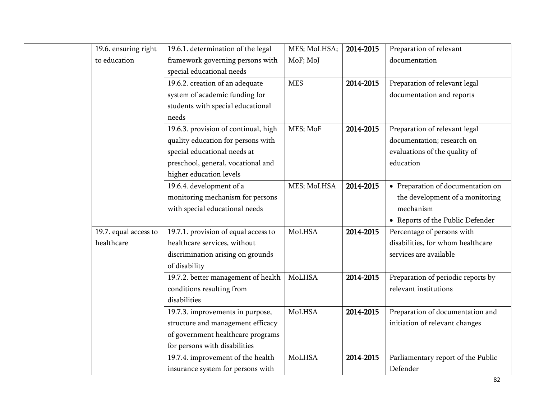| 19.6. ensuring right  | 19.6.1. determination of the legal   | MES; MoLHSA;  | 2014-2015 | Preparation of relevant            |
|-----------------------|--------------------------------------|---------------|-----------|------------------------------------|
| to education          | framework governing persons with     | MoF; MoJ      |           | documentation                      |
|                       | special educational needs            |               |           |                                    |
|                       | 19.6.2. creation of an adequate      | <b>MES</b>    | 2014-2015 | Preparation of relevant legal      |
|                       | system of academic funding for       |               |           | documentation and reports          |
|                       | students with special educational    |               |           |                                    |
|                       | needs                                |               |           |                                    |
|                       | 19.6.3. provision of continual, high | MES; MoF      | 2014-2015 | Preparation of relevant legal      |
|                       | quality education for persons with   |               |           | documentation; research on         |
|                       | special educational needs at         |               |           | evaluations of the quality of      |
|                       | preschool, general, vocational and   |               |           | education                          |
|                       | higher education levels              |               |           |                                    |
|                       | 19.6.4. development of a             | MES; MoLHSA   | 2014-2015 | • Preparation of documentation on  |
|                       | monitoring mechanism for persons     |               |           | the development of a monitoring    |
|                       | with special educational needs       |               |           | mechanism                          |
|                       |                                      |               |           | • Reports of the Public Defender   |
| 19.7. equal access to | 19.7.1. provision of equal access to | MoLHSA        | 2014-2015 | Percentage of persons with         |
| healthcare            | healthcare services, without         |               |           | disabilities, for whom healthcare  |
|                       | discrimination arising on grounds    |               |           | services are available             |
|                       | of disability                        |               |           |                                    |
|                       | 19.7.2. better management of health  | MoLHSA        | 2014-2015 | Preparation of periodic reports by |
|                       | conditions resulting from            |               |           | relevant institutions              |
|                       | disabilities                         |               |           |                                    |
|                       | 19.7.3. improvements in purpose,     | <b>MoLHSA</b> | 2014-2015 | Preparation of documentation and   |
|                       | structure and management efficacy    |               |           | initiation of relevant changes     |
|                       | of government healthcare programs    |               |           |                                    |
|                       | for persons with disabilities        |               |           |                                    |
|                       | 19.7.4. improvement of the health    | MoLHSA        | 2014-2015 | Parliamentary report of the Public |
|                       | insurance system for persons with    |               |           | Defender                           |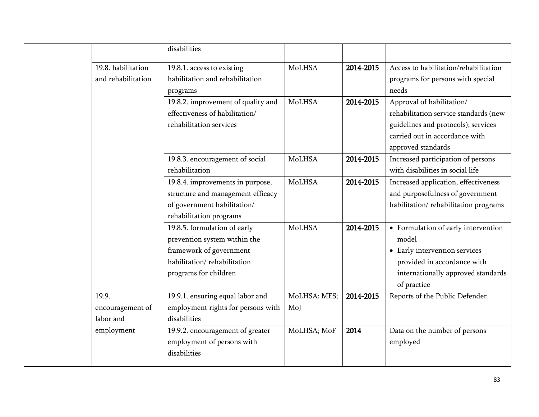|                                          | disabilities                                                                                                                                    |                     |           |                                                                                                                                                                   |
|------------------------------------------|-------------------------------------------------------------------------------------------------------------------------------------------------|---------------------|-----------|-------------------------------------------------------------------------------------------------------------------------------------------------------------------|
| 19.8. habilitation<br>and rehabilitation | 19.8.1. access to existing<br>habilitation and rehabilitation<br>programs                                                                       | MoLHSA              | 2014-2015 | Access to habilitation/rehabilitation<br>programs for persons with special<br>needs                                                                               |
|                                          | 19.8.2. improvement of quality and<br>effectiveness of habilitation/<br>rehabilitation services                                                 | MoLHSA              | 2014-2015 | Approval of habilitation/<br>rehabilitation service standards (new<br>guidelines and protocols); services<br>carried out in accordance with<br>approved standards |
|                                          | 19.8.3. encouragement of social<br>rehabilitation                                                                                               | MoLHSA              | 2014-2015 | Increased participation of persons<br>with disabilities in social life                                                                                            |
|                                          | 19.8.4. improvements in purpose,<br>structure and management efficacy<br>of government habilitation/<br>rehabilitation programs                 | MoLHSA              | 2014-2015 | Increased application, effectiveness<br>and purposefulness of government<br>habilitation/rehabilitation programs                                                  |
|                                          | 19.8.5. formulation of early<br>prevention system within the<br>framework of government<br>habilitation/rehabilitation<br>programs for children | MoLHSA              | 2014-2015 | • Formulation of early intervention<br>model<br>• Early intervention services<br>provided in accordance with<br>internationally approved standards<br>of practice |
| 19.9.<br>encouragement of<br>labor and   | 19.9.1. ensuring equal labor and<br>employment rights for persons with<br>disabilities                                                          | MoLHSA; MES;<br>MoJ | 2014-2015 | Reports of the Public Defender                                                                                                                                    |
| employment                               | 19.9.2. encouragement of greater<br>employment of persons with<br>disabilities                                                                  | MoLHSA; MoF         | 2014      | Data on the number of persons<br>employed                                                                                                                         |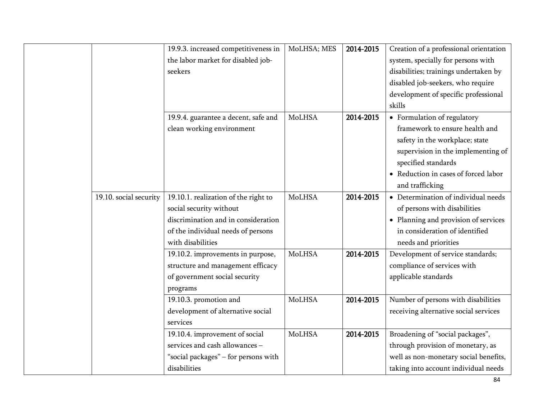|                        | 19.9.3. increased competitiveness in | MoLHSA; MES | 2014-2015 | Creation of a professional orientation |
|------------------------|--------------------------------------|-------------|-----------|----------------------------------------|
|                        | the labor market for disabled job-   |             |           | system, specially for persons with     |
|                        | seekers                              |             |           | disabilities; trainings undertaken by  |
|                        |                                      |             |           | disabled job-seekers, who require      |
|                        |                                      |             |           | development of specific professional   |
|                        |                                      |             |           | skills                                 |
|                        | 19.9.4. guarantee a decent, safe and | MoLHSA      | 2014-2015 | • Formulation of regulatory            |
|                        | clean working environment            |             |           | framework to ensure health and         |
|                        |                                      |             |           | safety in the workplace; state         |
|                        |                                      |             |           | supervision in the implementing of     |
|                        |                                      |             |           | specified standards                    |
|                        |                                      |             |           | • Reduction in cases of forced labor   |
|                        |                                      |             |           | and trafficking                        |
| 19.10. social security | 19.10.1. realization of the right to | MoLHSA      | 2014-2015 | • Determination of individual needs    |
|                        | social security without              |             |           | of persons with disabilities           |
|                        | discrimination and in consideration  |             |           | • Planning and provision of services   |
|                        | of the individual needs of persons   |             |           | in consideration of identified         |
|                        | with disabilities                    |             |           | needs and priorities                   |
|                        | 19.10.2. improvements in purpose,    | MoLHSA      | 2014-2015 | Development of service standards;      |
|                        | structure and management efficacy    |             |           | compliance of services with            |
|                        | of government social security        |             |           | applicable standards                   |
|                        | programs                             |             |           |                                        |
|                        | 19.10.3. promotion and               | MoLHSA      | 2014-2015 | Number of persons with disabilities    |
|                        | development of alternative social    |             |           | receiving alternative social services  |
|                        | services                             |             |           |                                        |
|                        | 19.10.4. improvement of social       | MoLHSA      | 2014-2015 | Broadening of "social packages",       |
|                        | services and cash allowances -       |             |           | through provision of monetary, as      |
|                        | "social packages" - for persons with |             |           | well as non-monetary social benefits,  |
|                        | disabilities                         |             |           | taking into account individual needs   |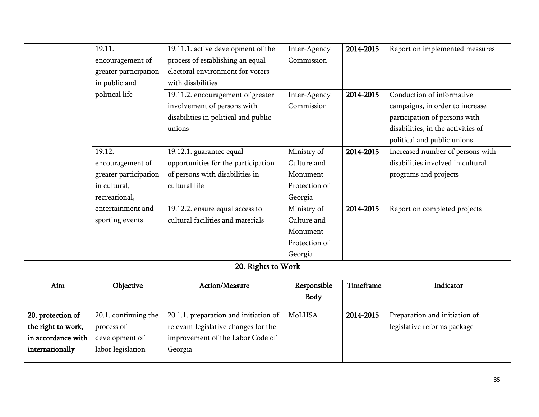|                    | 19.11.                | 19.11.1. active development of the    | Inter-Agency  | 2014-2015 | Report on implemented measures     |
|--------------------|-----------------------|---------------------------------------|---------------|-----------|------------------------------------|
|                    | encouragement of      | process of establishing an equal      | Commission    |           |                                    |
|                    | greater participation | electoral environment for voters      |               |           |                                    |
|                    | in public and         | with disabilities                     |               |           |                                    |
|                    | political life        | 19.11.2. encouragement of greater     | Inter-Agency  | 2014-2015 | Conduction of informative          |
|                    |                       | involvement of persons with           | Commission    |           | campaigns, in order to increase    |
|                    |                       | disabilities in political and public  |               |           | participation of persons with      |
|                    |                       | unions                                |               |           | disabilities, in the activities of |
|                    |                       |                                       |               |           | political and public unions        |
|                    | 19.12.                | 19.12.1. guarantee equal              | Ministry of   | 2014-2015 | Increased number of persons with   |
|                    | encouragement of      | opportunities for the participation   | Culture and   |           | disabilities involved in cultural  |
|                    | greater participation | of persons with disabilities in       | Monument      |           | programs and projects              |
|                    | in cultural,          | cultural life                         | Protection of |           |                                    |
|                    | recreational,         |                                       | Georgia       |           |                                    |
|                    | entertainment and     | 19.12.2. ensure equal access to       | Ministry of   | 2014-2015 | Report on completed projects       |
|                    | sporting events       | cultural facilities and materials     | Culture and   |           |                                    |
|                    |                       |                                       | Monument      |           |                                    |
|                    |                       |                                       | Protection of |           |                                    |
|                    |                       |                                       | Georgia       |           |                                    |
|                    |                       | 20. Rights to Work                    |               |           |                                    |
| Aim                | Objective             | Action/Measure                        | Responsible   | Timeframe | Indicator                          |
|                    |                       |                                       | <b>Body</b>   |           |                                    |
| 20. protection of  | 20.1. continuing the  | 20.1.1. preparation and initiation of | MoLHSA        | 2014-2015 | Preparation and initiation of      |
| the right to work, | process of            | relevant legislative changes for the  |               |           | legislative reforms package        |
| in accordance with | development of        | improvement of the Labor Code of      |               |           |                                    |
| internationally    | labor legislation     | Georgia                               |               |           |                                    |
|                    |                       |                                       |               |           |                                    |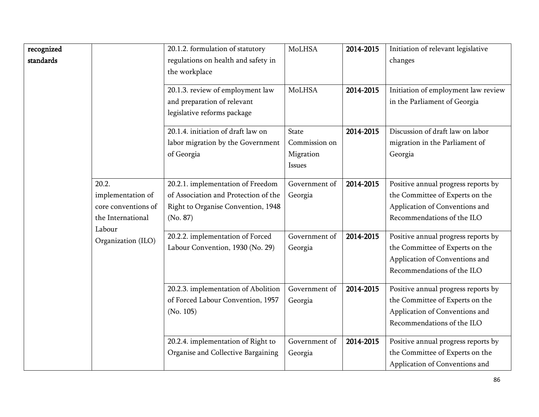| recognized<br>standards |                                                                                  | 20.1.2. formulation of statutory<br>regulations on health and safety in<br>the workplace<br>20.1.3. review of employment law | <b>MoLHSA</b><br><b>MoLHSA</b>                       | 2014-2015<br>2014-2015 | Initiation of relevant legislative<br>changes<br>Initiation of employment law review                                                   |
|-------------------------|----------------------------------------------------------------------------------|------------------------------------------------------------------------------------------------------------------------------|------------------------------------------------------|------------------------|----------------------------------------------------------------------------------------------------------------------------------------|
|                         |                                                                                  | and preparation of relevant<br>legislative reforms package                                                                   |                                                      |                        | in the Parliament of Georgia                                                                                                           |
|                         |                                                                                  | 20.1.4. initiation of draft law on<br>labor migration by the Government<br>of Georgia                                        | <b>State</b><br>Commission on<br>Migration<br>Issues | 2014-2015              | Discussion of draft law on labor<br>migration in the Parliament of<br>Georgia                                                          |
|                         | 20.2.<br>implementation of<br>core conventions of<br>the International<br>Labour | 20.2.1. implementation of Freedom<br>of Association and Protection of the<br>Right to Organise Convention, 1948<br>(No. 87)  | Government of<br>Georgia                             | 2014-2015              | Positive annual progress reports by<br>the Committee of Experts on the<br>Application of Conventions and<br>Recommendations of the ILO |
|                         | Organization (ILO)                                                               | 20.2.2. implementation of Forced<br>Labour Convention, 1930 (No. 29)                                                         | Government of<br>Georgia                             | 2014-2015              | Positive annual progress reports by<br>the Committee of Experts on the<br>Application of Conventions and<br>Recommendations of the ILO |
|                         |                                                                                  | 20.2.3. implementation of Abolition<br>of Forced Labour Convention, 1957<br>(No. 105)                                        | Government of<br>Georgia                             | 2014-2015              | Positive annual progress reports by<br>the Committee of Experts on the<br>Application of Conventions and<br>Recommendations of the ILO |
|                         |                                                                                  | 20.2.4. implementation of Right to<br>Organise and Collective Bargaining                                                     | Government of<br>Georgia                             | 2014-2015              | Positive annual progress reports by<br>the Committee of Experts on the<br>Application of Conventions and                               |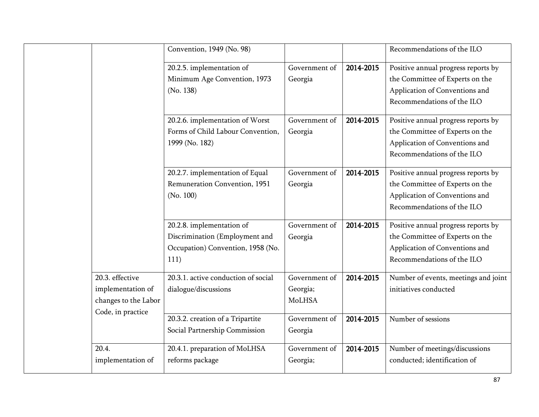|       |                                                                                   | Convention, 1949 (No. 98)                                                                                |                                     |           | Recommendations of the ILO                                                                                                             |
|-------|-----------------------------------------------------------------------------------|----------------------------------------------------------------------------------------------------------|-------------------------------------|-----------|----------------------------------------------------------------------------------------------------------------------------------------|
|       |                                                                                   | 20.2.5. implementation of<br>Minimum Age Convention, 1973<br>(No. 138)                                   | Government of<br>Georgia            | 2014-2015 | Positive annual progress reports by<br>the Committee of Experts on the<br>Application of Conventions and<br>Recommendations of the ILO |
|       |                                                                                   | 20.2.6. implementation of Worst<br>Forms of Child Labour Convention,<br>1999 (No. 182)                   | Government of<br>Georgia            | 2014-2015 | Positive annual progress reports by<br>the Committee of Experts on the<br>Application of Conventions and<br>Recommendations of the ILO |
|       |                                                                                   | 20.2.7. implementation of Equal<br>Remuneration Convention, 1951<br>(No. 100)                            | Government of<br>Georgia            | 2014-2015 | Positive annual progress reports by<br>the Committee of Experts on the<br>Application of Conventions and<br>Recommendations of the ILO |
|       |                                                                                   | 20.2.8. implementation of<br>Discrimination (Employment and<br>Occupation) Convention, 1958 (No.<br>111) | Government of<br>Georgia            | 2014-2015 | Positive annual progress reports by<br>the Committee of Experts on the<br>Application of Conventions and<br>Recommendations of the ILO |
|       | 20.3. effective<br>implementation of<br>changes to the Labor<br>Code, in practice | 20.3.1. active conduction of social<br>dialogue/discussions                                              | Government of<br>Georgia;<br>MoLHSA | 2014-2015 | Number of events, meetings and joint<br>initiatives conducted                                                                          |
|       |                                                                                   | 20.3.2. creation of a Tripartite<br>Social Partnership Commission                                        | Government of<br>Georgia            | 2014-2015 | Number of sessions                                                                                                                     |
| 20.4. | implementation of                                                                 | 20.4.1. preparation of MoLHSA<br>reforms package                                                         | Government of<br>Georgia;           | 2014-2015 | Number of meetings/discussions<br>conducted; identification of                                                                         |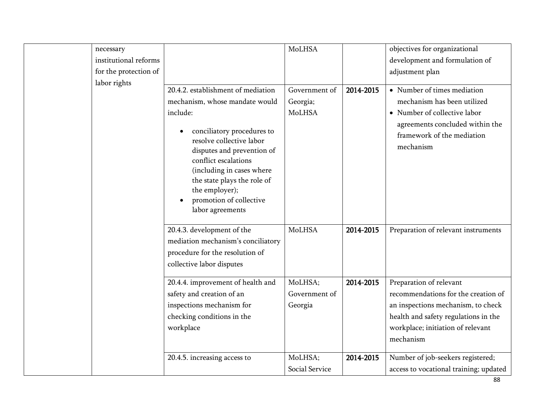| necessary             |                                                    | MoLHSA         |           | objectives for organizational          |
|-----------------------|----------------------------------------------------|----------------|-----------|----------------------------------------|
| institutional reforms |                                                    |                |           | development and formulation of         |
| for the protection of |                                                    |                |           | adjustment plan                        |
| labor rights          |                                                    |                |           |                                        |
|                       | 20.4.2. establishment of mediation                 | Government of  | 2014-2015 | • Number of times mediation            |
|                       | mechanism, whose mandate would                     | Georgia;       |           | mechanism has been utilized            |
|                       | include:                                           | MoLHSA         |           | • Number of collective labor           |
|                       |                                                    |                |           | agreements concluded within the        |
|                       | conciliatory procedures to<br>$\bullet$            |                |           | framework of the mediation             |
|                       | resolve collective labor                           |                |           | mechanism                              |
|                       | disputes and prevention of<br>conflict escalations |                |           |                                        |
|                       | (including in cases where                          |                |           |                                        |
|                       | the state plays the role of                        |                |           |                                        |
|                       | the employer);                                     |                |           |                                        |
|                       | promotion of collective<br>$\bullet$               |                |           |                                        |
|                       | labor agreements                                   |                |           |                                        |
|                       |                                                    |                |           |                                        |
|                       | 20.4.3. development of the                         | MoLHSA         | 2014-2015 | Preparation of relevant instruments    |
|                       | mediation mechanism's conciliatory                 |                |           |                                        |
|                       | procedure for the resolution of                    |                |           |                                        |
|                       | collective labor disputes                          |                |           |                                        |
|                       | 20.4.4. improvement of health and                  | MoLHSA;        | 2014-2015 | Preparation of relevant                |
|                       | safety and creation of an                          | Government of  |           | recommendations for the creation of    |
|                       | inspections mechanism for                          | Georgia        |           | an inspections mechanism, to check     |
|                       | checking conditions in the                         |                |           | health and safety regulations in the   |
|                       | workplace                                          |                |           | workplace; initiation of relevant      |
|                       |                                                    |                |           | mechanism                              |
|                       |                                                    |                |           |                                        |
|                       | 20.4.5. increasing access to                       | MoLHSA;        | 2014-2015 | Number of job-seekers registered;      |
|                       |                                                    | Social Service |           | access to vocational training; updated |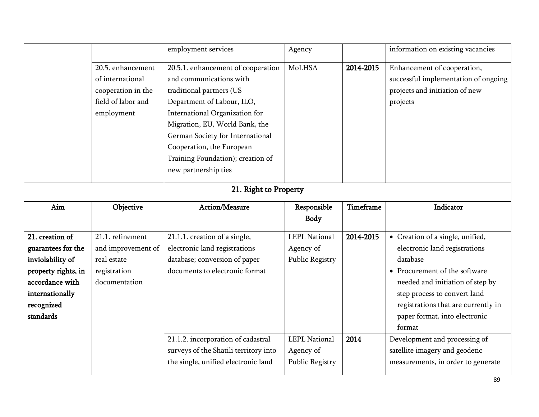|                                                                                                                                                   |                                                                                                 | employment services                                                                                                                                                                                                                                                                                                       | Agency                                                                       |                   | information on existing vacancies                                                                                                                                                                                                                                                                     |  |  |
|---------------------------------------------------------------------------------------------------------------------------------------------------|-------------------------------------------------------------------------------------------------|---------------------------------------------------------------------------------------------------------------------------------------------------------------------------------------------------------------------------------------------------------------------------------------------------------------------------|------------------------------------------------------------------------------|-------------------|-------------------------------------------------------------------------------------------------------------------------------------------------------------------------------------------------------------------------------------------------------------------------------------------------------|--|--|
|                                                                                                                                                   | 20.5. enhancement<br>of international<br>cooperation in the<br>field of labor and<br>employment | 20.5.1. enhancement of cooperation<br>and communications with<br>traditional partners (US<br>Department of Labour, ILO,<br>International Organization for<br>Migration, EU, World Bank, the<br>German Society for International<br>Cooperation, the European<br>Training Foundation); creation of<br>new partnership ties | MoLHSA                                                                       | 2014-2015         | Enhancement of cooperation,<br>successful implementation of ongoing<br>projects and initiation of new<br>projects                                                                                                                                                                                     |  |  |
|                                                                                                                                                   | 21. Right to Property                                                                           |                                                                                                                                                                                                                                                                                                                           |                                                                              |                   |                                                                                                                                                                                                                                                                                                       |  |  |
| Aim                                                                                                                                               | Objective                                                                                       | Action/Measure                                                                                                                                                                                                                                                                                                            | Responsible<br><b>Body</b>                                                   | Timeframe         | Indicator                                                                                                                                                                                                                                                                                             |  |  |
| 21. creation of<br>guarantees for the<br>inviolability of<br>property rights, in<br>accordance with<br>internationally<br>recognized<br>standards | 21.1. refinement<br>and improvement of<br>real estate<br>registration<br>documentation          | 21.1.1. creation of a single,<br>electronic land registrations<br>database; conversion of paper<br>documents to electronic format<br>21.1.2. incorporation of cadastral                                                                                                                                                   | <b>LEPL National</b><br>Agency of<br>Public Registry<br><b>LEPL National</b> | 2014-2015<br>2014 | • Creation of a single, unified,<br>electronic land registrations<br>database<br>• Procurement of the software<br>needed and initiation of step by<br>step process to convert land<br>registrations that are currently in<br>paper format, into electronic<br>format<br>Development and processing of |  |  |
|                                                                                                                                                   |                                                                                                 | surveys of the Shatili territory into<br>the single, unified electronic land                                                                                                                                                                                                                                              | Agency of<br>Public Registry                                                 |                   | satellite imagery and geodetic<br>measurements, in order to generate                                                                                                                                                                                                                                  |  |  |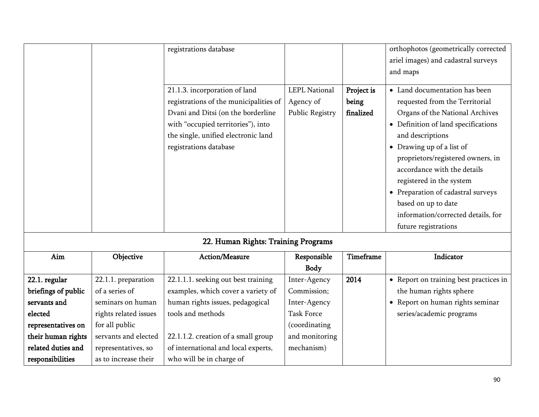|                     |                       |                                     | Body           |      |                                        |
|---------------------|-----------------------|-------------------------------------|----------------|------|----------------------------------------|
| 22.1. regular       | 22.1.1. preparation   | 22.1.1.1. seeking out best training | Inter-Agency   | 2014 | • Report on training best practices in |
| briefings of public | of a series of        | examples, which cover a variety of  | Commission;    |      | the human rights sphere                |
| servants and        | seminars on human     | human rights issues, pedagogical    | Inter-Agency   |      | • Report on human rights seminar       |
| elected             | rights related issues | tools and methods                   | Task Force     |      | series/academic programs               |
| representatives on  | for all public        |                                     | (coordinating  |      |                                        |
| their human rights  | servants and elected  | 22.1.1.2. creation of a small group | and monitoring |      |                                        |
| related duties and  | representatives, so   | of international and local experts, | mechanism)     |      |                                        |
| responsibilities    | as to increase their  | who will be in charge of            |                |      |                                        |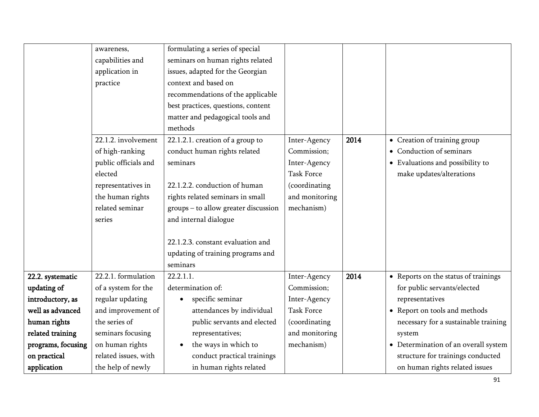|                    | awareness,           | formulating a series of special      |                   |      |                                      |
|--------------------|----------------------|--------------------------------------|-------------------|------|--------------------------------------|
|                    | capabilities and     | seminars on human rights related     |                   |      |                                      |
|                    | application in       | issues, adapted for the Georgian     |                   |      |                                      |
|                    | practice             | context and based on                 |                   |      |                                      |
|                    |                      | recommendations of the applicable    |                   |      |                                      |
|                    |                      | best practices, questions, content   |                   |      |                                      |
|                    |                      | matter and pedagogical tools and     |                   |      |                                      |
|                    |                      | methods                              |                   |      |                                      |
|                    | 22.1.2. involvement  | 22.1.2.1. creation of a group to     | Inter-Agency      | 2014 | • Creation of training group         |
|                    | of high-ranking      | conduct human rights related         | Commission;       |      | • Conduction of seminars             |
|                    | public officials and | seminars                             | Inter-Agency      |      | • Evaluations and possibility to     |
|                    | elected              |                                      | <b>Task Force</b> |      | make updates/alterations             |
|                    | representatives in   | 22.1.2.2. conduction of human        | (coordinating     |      |                                      |
|                    | the human rights     | rights related seminars in small     | and monitoring    |      |                                      |
|                    | related seminar      | groups - to allow greater discussion | mechanism)        |      |                                      |
|                    | series               | and internal dialogue                |                   |      |                                      |
|                    |                      |                                      |                   |      |                                      |
|                    |                      | 22.1.2.3. constant evaluation and    |                   |      |                                      |
|                    |                      | updating of training programs and    |                   |      |                                      |
|                    |                      | seminars                             |                   |      |                                      |
| 22.2. systematic   | 22.2.1. formulation  | 22.2.1.1                             | Inter-Agency      | 2014 | • Reports on the status of trainings |
| updating of        | of a system for the  | determination of:                    | Commission;       |      | for public servants/elected          |
| introductory, as   | regular updating     | specific seminar                     | Inter-Agency      |      | representatives                      |
| well as advanced   | and improvement of   | attendances by individual            | <b>Task Force</b> |      | • Report on tools and methods        |
| human rights       | the series of        | public servants and elected          | (coordinating     |      | necessary for a sustainable training |
| related training   | seminars focusing    | representatives;                     | and monitoring    |      | system                               |
| programs, focusing | on human rights      | the ways in which to                 | mechanism)        |      | • Determination of an overall system |
| on practical       | related issues, with | conduct practical trainings          |                   |      | structure for trainings conducted    |
| application        | the help of newly    | in human rights related              |                   |      | on human rights related issues       |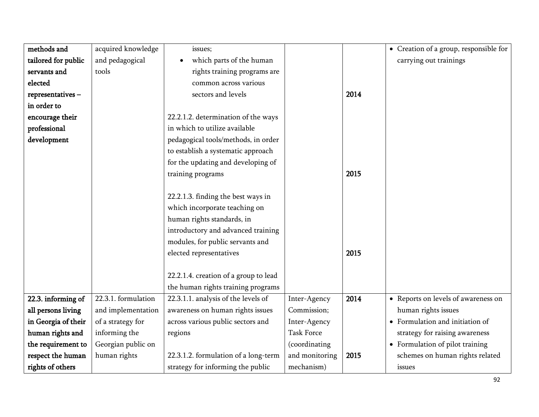| methods and         | acquired knowledge  | issues;                               |                   |      | • Creation of a group, responsible for |
|---------------------|---------------------|---------------------------------------|-------------------|------|----------------------------------------|
| tailored for public | and pedagogical     | which parts of the human              |                   |      | carrying out trainings                 |
| servants and        | tools               | rights training programs are          |                   |      |                                        |
| elected             |                     | common across various                 |                   |      |                                        |
| representatives-    |                     | sectors and levels                    |                   | 2014 |                                        |
| in order to         |                     |                                       |                   |      |                                        |
| encourage their     |                     | 22.2.1.2. determination of the ways   |                   |      |                                        |
| professional        |                     | in which to utilize available         |                   |      |                                        |
| development         |                     | pedagogical tools/methods, in order   |                   |      |                                        |
|                     |                     | to establish a systematic approach    |                   |      |                                        |
|                     |                     | for the updating and developing of    |                   |      |                                        |
|                     |                     | training programs                     |                   | 2015 |                                        |
|                     |                     |                                       |                   |      |                                        |
|                     |                     | 22.2.1.3. finding the best ways in    |                   |      |                                        |
|                     |                     | which incorporate teaching on         |                   |      |                                        |
|                     |                     | human rights standards, in            |                   |      |                                        |
|                     |                     | introductory and advanced training    |                   |      |                                        |
|                     |                     | modules, for public servants and      |                   |      |                                        |
|                     |                     | elected representatives               |                   | 2015 |                                        |
|                     |                     |                                       |                   |      |                                        |
|                     |                     | 22.2.1.4. creation of a group to lead |                   |      |                                        |
|                     |                     | the human rights training programs    |                   |      |                                        |
| 22.3. informing of  | 22.3.1. formulation | 22.3.1.1. analysis of the levels of   | Inter-Agency      | 2014 | • Reports on levels of awareness on    |
| all persons living  | and implementation  | awareness on human rights issues      | Commission;       |      | human rights issues                    |
| in Georgia of their | of a strategy for   | across various public sectors and     | Inter-Agency      |      | • Formulation and initiation of        |
| human rights and    | informing the       | regions                               | <b>Task Force</b> |      | strategy for raising awareness         |
| the requirement to  | Georgian public on  |                                       | (coordinating     |      | • Formulation of pilot training        |
| respect the human   | human rights        | 22.3.1.2. formulation of a long-term  | and monitoring    | 2015 | schemes on human rights related        |
| rights of others    |                     | strategy for informing the public     | mechanism)        |      | issues                                 |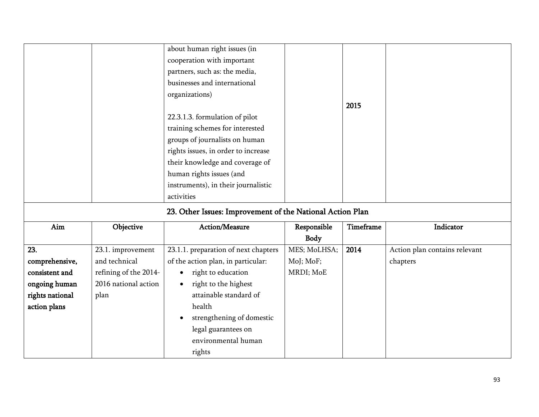|                 |                       | about human right issues (in                              |              |           |                               |
|-----------------|-----------------------|-----------------------------------------------------------|--------------|-----------|-------------------------------|
|                 |                       | cooperation with important                                |              |           |                               |
|                 |                       | partners, such as: the media,                             |              |           |                               |
|                 |                       | businesses and international                              |              |           |                               |
|                 |                       | organizations)                                            |              |           |                               |
|                 |                       |                                                           |              | 2015      |                               |
|                 |                       | 22.3.1.3. formulation of pilot                            |              |           |                               |
|                 |                       | training schemes for interested                           |              |           |                               |
|                 |                       | groups of journalists on human                            |              |           |                               |
|                 |                       | rights issues, in order to increase                       |              |           |                               |
|                 |                       | their knowledge and coverage of                           |              |           |                               |
|                 |                       | human rights issues (and                                  |              |           |                               |
|                 |                       | instruments), in their journalistic                       |              |           |                               |
|                 |                       | activities                                                |              |           |                               |
|                 |                       | 23. Other Issues: Improvement of the National Action Plan |              |           |                               |
| Aim             | Objective             | Action/Measure                                            | Responsible  | Timeframe | Indicator                     |
|                 |                       |                                                           | <b>Body</b>  |           |                               |
| 23.             | 23.1. improvement     | 23.1.1. preparation of next chapters                      | MES; MoLHSA; | 2014      | Action plan contains relevant |
| comprehensive,  | and technical         | of the action plan, in particular:                        | MoJ; MoF;    |           | chapters                      |
| consistent and  | refining of the 2014- | right to education<br>$\bullet$                           | MRDI; MoE    |           |                               |
| ongoing human   | 2016 national action  | right to the highest<br>$\bullet$                         |              |           |                               |
| rights national | plan                  | attainable standard of                                    |              |           |                               |
| action plans    |                       | health                                                    |              |           |                               |
|                 |                       | strengthening of domestic                                 |              |           |                               |
|                 |                       | legal guarantees on                                       |              |           |                               |
|                 |                       | environmental human                                       |              |           |                               |
|                 |                       | rights                                                    |              |           |                               |